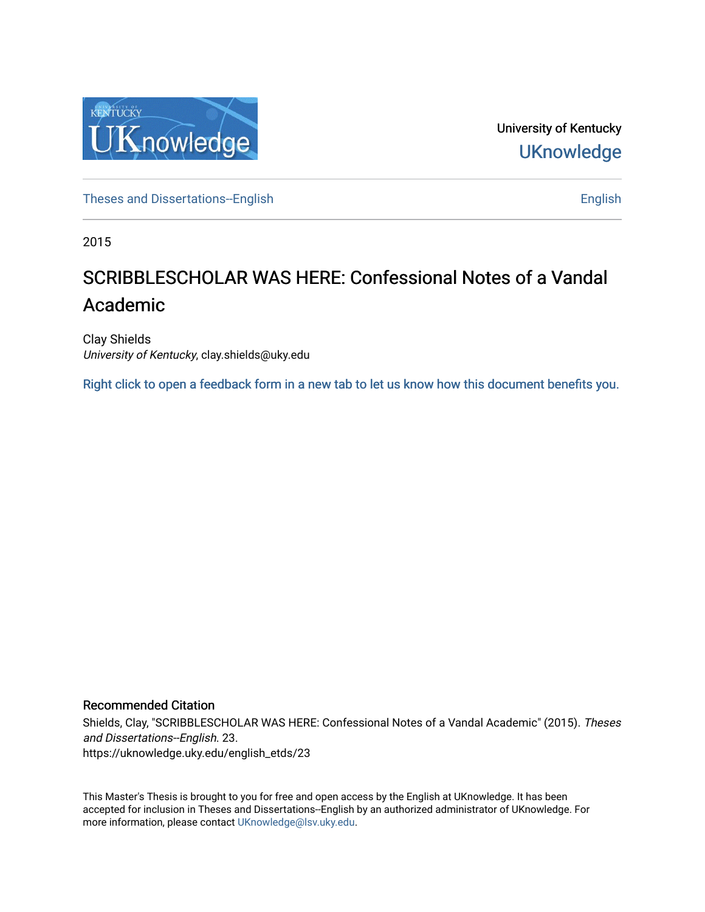

University of Kentucky **UKnowledge** 

[Theses and Dissertations--English](https://uknowledge.uky.edu/english_etds) [English](https://uknowledge.uky.edu/english) English English English

2015

# SCRIBBLESCHOLAR WAS HERE: Confessional Notes of a Vandal Academic

Clay Shields University of Kentucky, clay.shields@uky.edu

[Right click to open a feedback form in a new tab to let us know how this document benefits you.](https://uky.az1.qualtrics.com/jfe/form/SV_9mq8fx2GnONRfz7)

## Recommended Citation

Shields, Clay, "SCRIBBLESCHOLAR WAS HERE: Confessional Notes of a Vandal Academic" (2015). Theses and Dissertations--English. 23. https://uknowledge.uky.edu/english\_etds/23

This Master's Thesis is brought to you for free and open access by the English at UKnowledge. It has been accepted for inclusion in Theses and Dissertations--English by an authorized administrator of UKnowledge. For more information, please contact [UKnowledge@lsv.uky.edu](mailto:UKnowledge@lsv.uky.edu).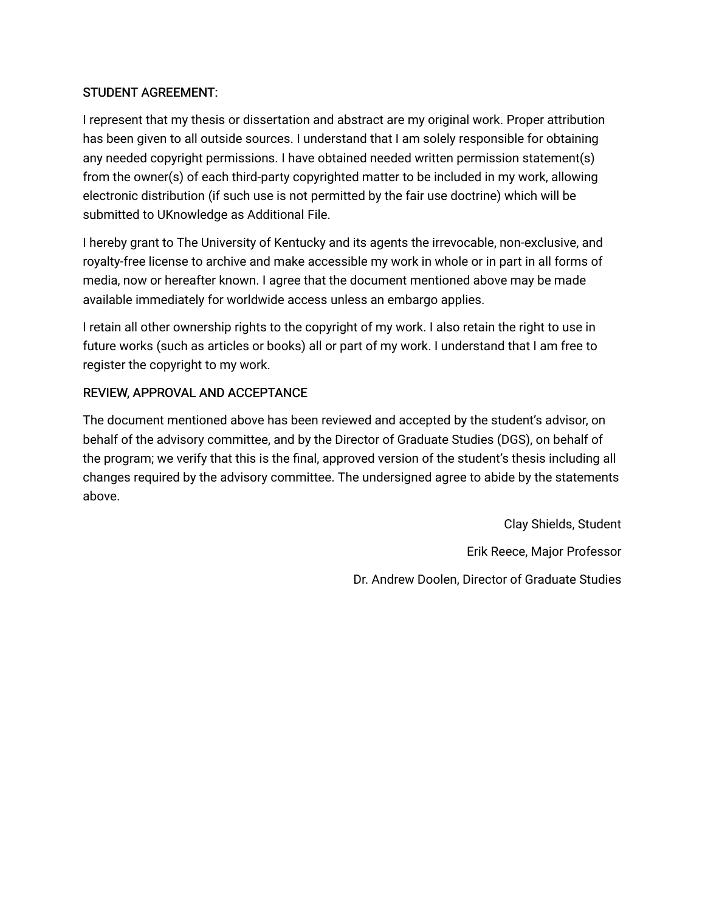## STUDENT AGREEMENT:

I represent that my thesis or dissertation and abstract are my original work. Proper attribution has been given to all outside sources. I understand that I am solely responsible for obtaining any needed copyright permissions. I have obtained needed written permission statement(s) from the owner(s) of each third-party copyrighted matter to be included in my work, allowing electronic distribution (if such use is not permitted by the fair use doctrine) which will be submitted to UKnowledge as Additional File.

I hereby grant to The University of Kentucky and its agents the irrevocable, non-exclusive, and royalty-free license to archive and make accessible my work in whole or in part in all forms of media, now or hereafter known. I agree that the document mentioned above may be made available immediately for worldwide access unless an embargo applies.

I retain all other ownership rights to the copyright of my work. I also retain the right to use in future works (such as articles or books) all or part of my work. I understand that I am free to register the copyright to my work.

## REVIEW, APPROVAL AND ACCEPTANCE

The document mentioned above has been reviewed and accepted by the student's advisor, on behalf of the advisory committee, and by the Director of Graduate Studies (DGS), on behalf of the program; we verify that this is the final, approved version of the student's thesis including all changes required by the advisory committee. The undersigned agree to abide by the statements above.

> Clay Shields, Student Erik Reece, Major Professor Dr. Andrew Doolen, Director of Graduate Studies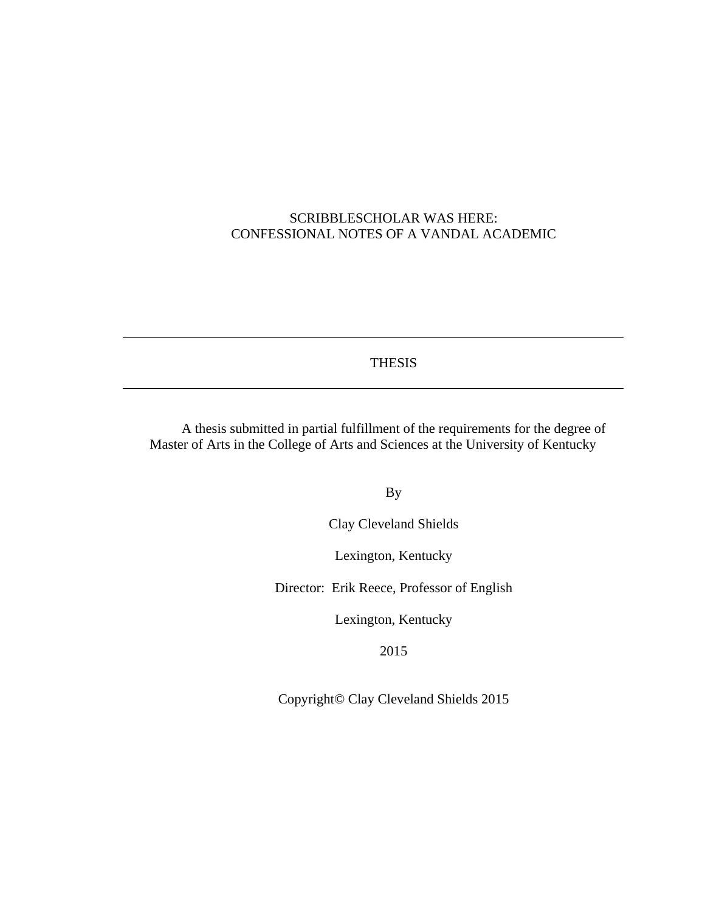## SCRIBBLESCHOLAR WAS HERE: CONFESSIONAL NOTES OF A VANDAL ACADEMIC

THESIS

A thesis submitted in partial fulfillment of the requirements for the degree of Master of Arts in the College of Arts and Sciences at the University of Kentucky

By

Clay Cleveland Shields

Lexington, Kentucky

Director: Erik Reece, Professor of English

Lexington, Kentucky

2015

Copyright© Clay Cleveland Shields 2015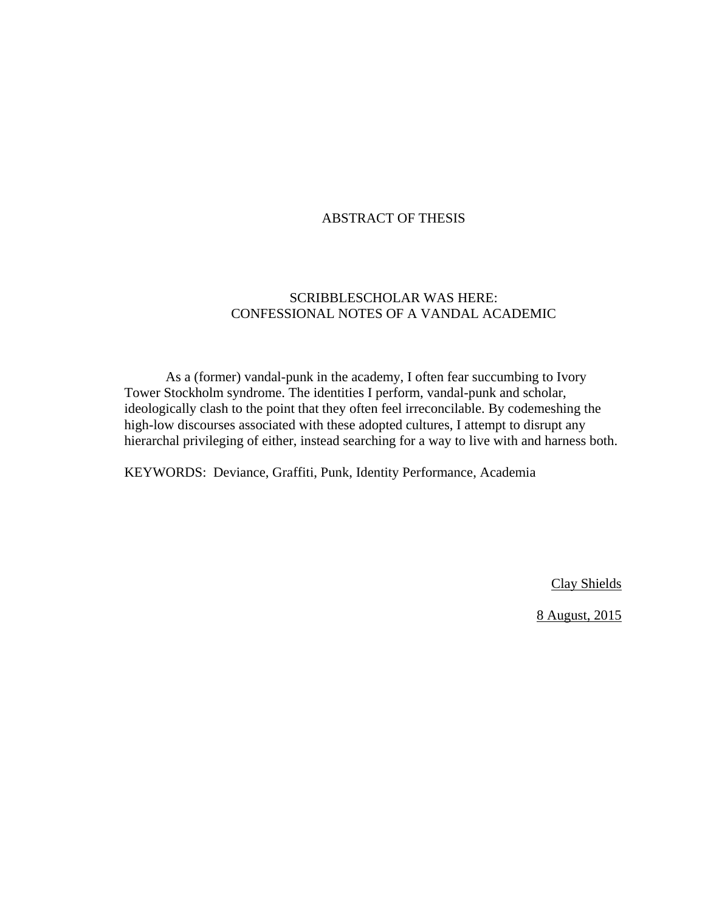## ABSTRACT OF THESIS

## SCRIBBLESCHOLAR WAS HERE: CONFESSIONAL NOTES OF A VANDAL ACADEMIC

As a (former) vandal-punk in the academy, I often fear succumbing to Ivory Tower Stockholm syndrome. The identities I perform, vandal-punk and scholar, ideologically clash to the point that they often feel irreconcilable. By codemeshing the high-low discourses associated with these adopted cultures, I attempt to disrupt any hierarchal privileging of either, instead searching for a way to live with and harness both.

KEYWORDS: Deviance, Graffiti, Punk, Identity Performance, Academia

Clay Shields

8 August, 2015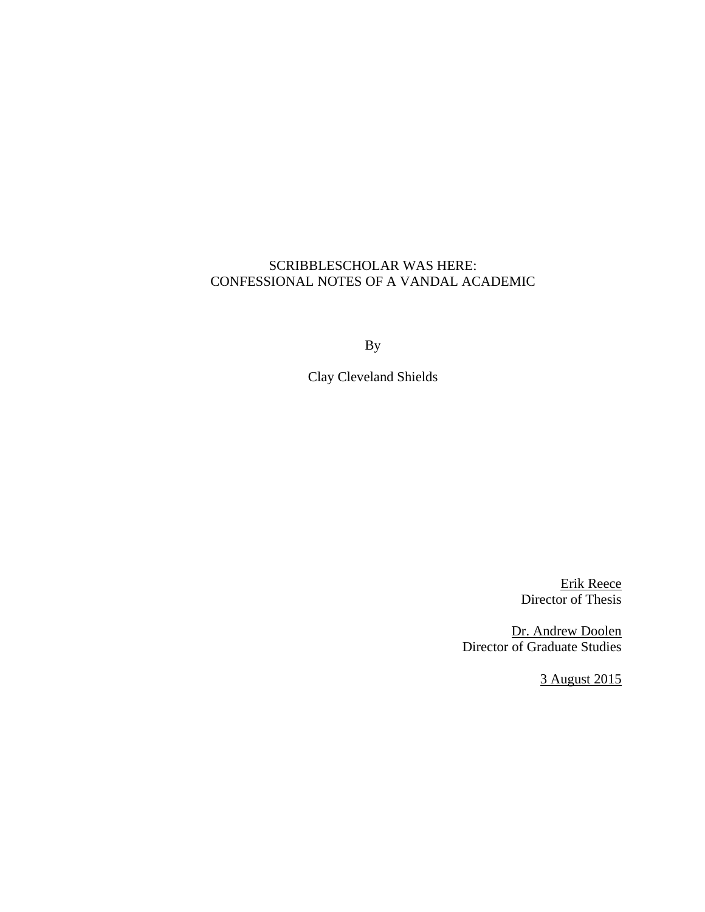## SCRIBBLESCHOLAR WAS HERE: CONFESSIONAL NOTES OF A VANDAL ACADEMIC

By

Clay Cleveland Shields

Erik Reece Director of Thesis

Dr. Andrew Doolen Director of Graduate Studies

3 August 2015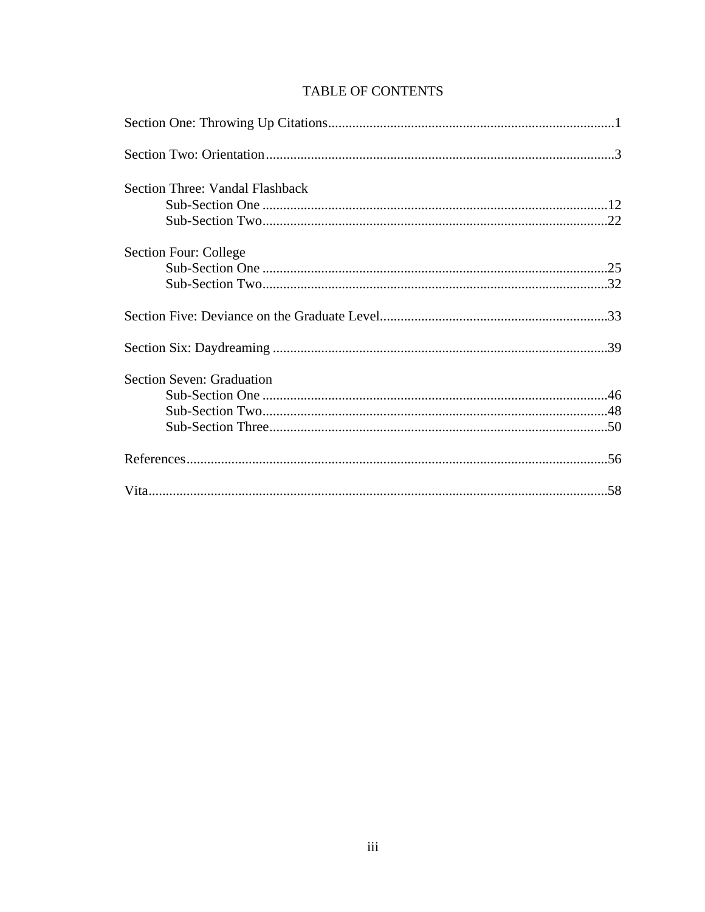## TABLE OF CONTENTS

| Section Three: Vandal Flashback |
|---------------------------------|
|                                 |
|                                 |
| Section Four: College           |
|                                 |
|                                 |
|                                 |
|                                 |
| Section Seven: Graduation       |
|                                 |
|                                 |
|                                 |
|                                 |
|                                 |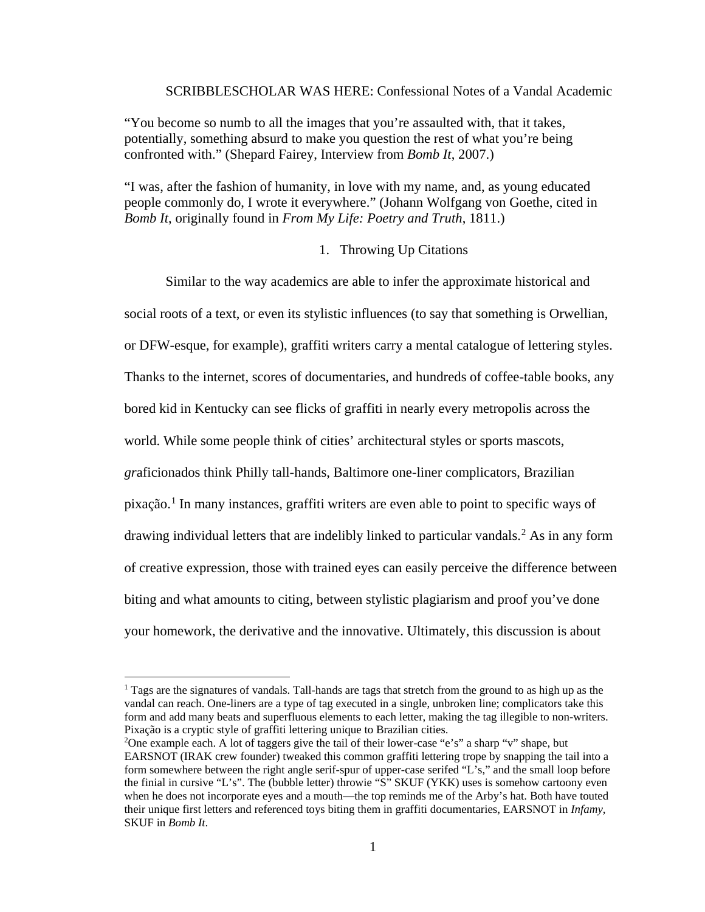SCRIBBLESCHOLAR WAS HERE: Confessional Notes of a Vandal Academic

"You become so numb to all the images that you're assaulted with, that it takes, potentially, something absurd to make you question the rest of what you're being confronted with." (Shepard Fairey, Interview from *Bomb It*, 2007.)

"I was, after the fashion of humanity, in love with my name, and, as young educated people commonly do, I wrote it everywhere." (Johann Wolfgang von Goethe, cited in *Bomb It*, originally found in *From My Life: Poetry and Truth*, 1811.)

#### 1. Throwing Up Citations

Similar to the way academics are able to infer the approximate historical and social roots of a text, or even its stylistic influences (to say that something is Orwellian, or DFW-esque, for example), graffiti writers carry a mental catalogue of lettering styles. Thanks to the internet, scores of documentaries, and hundreds of coffee-table books, any bored kid in Kentucky can see flicks of graffiti in nearly every metropolis across the world. While some people think of cities' architectural styles or sports mascots, *gr*aficionados think Philly tall-hands, Baltimore one-liner complicators, Brazilian pixação. [1](#page-6-0) In many instances, graffiti writers are even able to point to specific ways of drawing individual letters that are indelibly linked to particular vandals.<sup>[2](#page-6-1)</sup> As in any form of creative expression, those with trained eyes can easily perceive the difference between biting and what amounts to citing, between stylistic plagiarism and proof you've done your homework, the derivative and the innovative. Ultimately, this discussion is about

<span id="page-6-0"></span><sup>&</sup>lt;sup>1</sup> Tags are the signatures of vandals. Tall-hands are tags that stretch from the ground to as high up as the vandal can reach. One-liners are a type of tag executed in a single, unbroken line; complicators take this form and add many beats and superfluous elements to each letter, making the tag illegible to non-writers. Pixação is a cryptic style of graffiti lettering unique to Brazilian cities.

<span id="page-6-1"></span><sup>&</sup>lt;sup>2</sup>One example each. A lot of taggers give the tail of their lower-case "e's" a sharp "v" shape, but EARSNOT (IRAK crew founder) tweaked this common graffiti lettering trope by snapping the tail into a form somewhere between the right angle serif-spur of upper-case serifed "L's," and the small loop before the finial in cursive "L's". The (bubble letter) throwie "S" SKUF (YKK) uses is somehow cartoony even when he does not incorporate eyes and a mouth—the top reminds me of the Arby's hat. Both have touted their unique first letters and referenced toys biting them in graffiti documentaries, EARSNOT in *Infamy*, SKUF in *Bomb It*.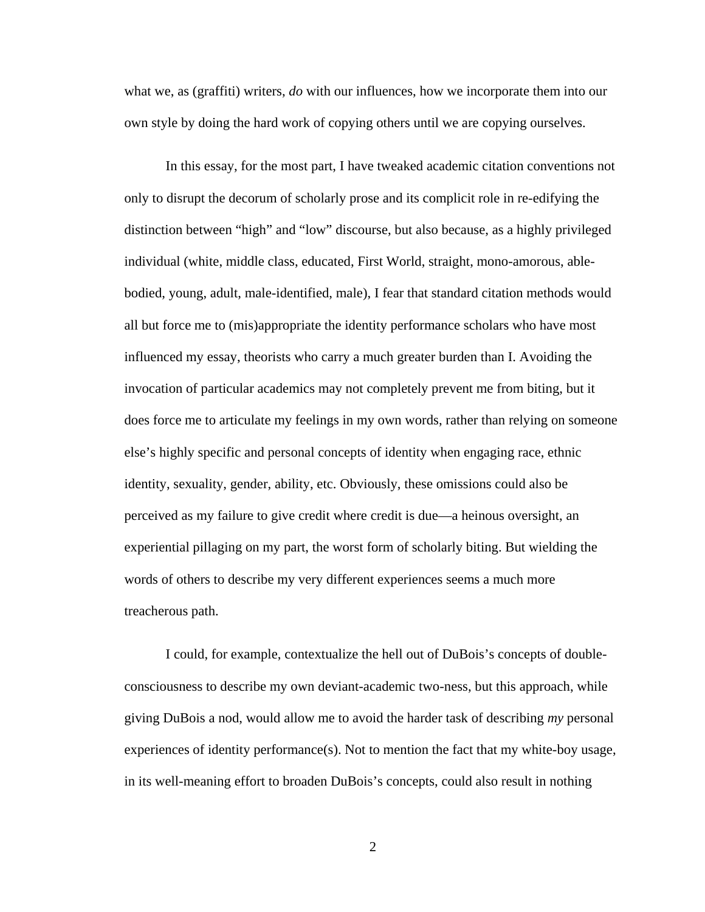what we, as (graffiti) writers, *do* with our influences, how we incorporate them into our own style by doing the hard work of copying others until we are copying ourselves.

In this essay, for the most part, I have tweaked academic citation conventions not only to disrupt the decorum of scholarly prose and its complicit role in re-edifying the distinction between "high" and "low" discourse, but also because, as a highly privileged individual (white, middle class, educated, First World, straight, mono-amorous, ablebodied, young, adult, male-identified, male), I fear that standard citation methods would all but force me to (mis)appropriate the identity performance scholars who have most influenced my essay, theorists who carry a much greater burden than I. Avoiding the invocation of particular academics may not completely prevent me from biting, but it does force me to articulate my feelings in my own words, rather than relying on someone else's highly specific and personal concepts of identity when engaging race, ethnic identity, sexuality, gender, ability, etc. Obviously, these omissions could also be perceived as my failure to give credit where credit is due—a heinous oversight, an experiential pillaging on my part, the worst form of scholarly biting. But wielding the words of others to describe my very different experiences seems a much more treacherous path.

I could, for example, contextualize the hell out of DuBois's concepts of doubleconsciousness to describe my own deviant-academic two-ness, but this approach, while giving DuBois a nod, would allow me to avoid the harder task of describing *my* personal experiences of identity performance(s). Not to mention the fact that my white-boy usage, in its well-meaning effort to broaden DuBois's concepts, could also result in nothing

2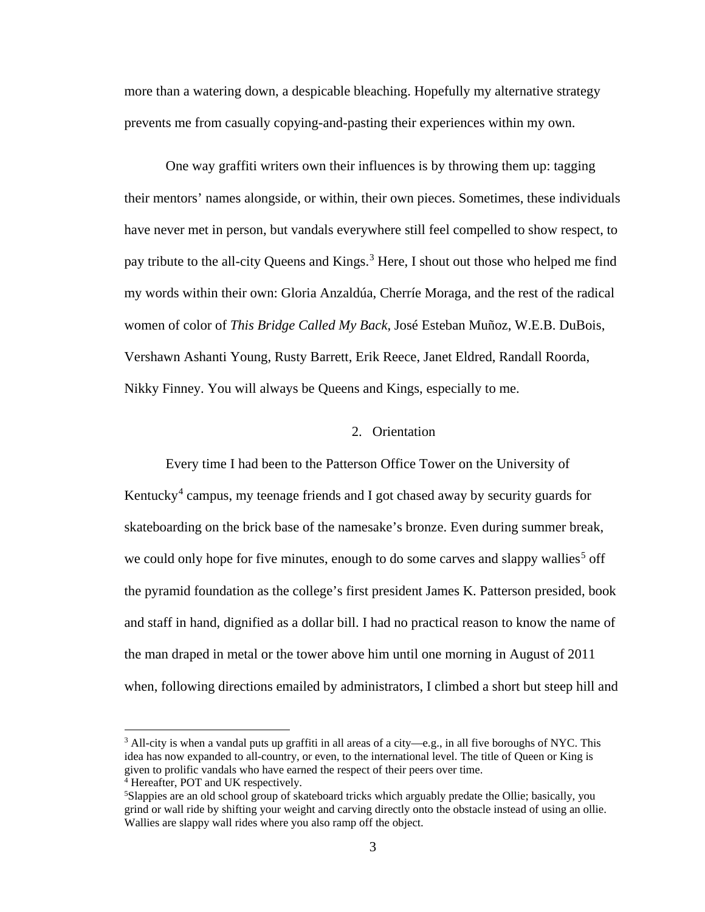more than a watering down, a despicable bleaching. Hopefully my alternative strategy prevents me from casually copying-and-pasting their experiences within my own.

One way graffiti writers own their influences is by throwing them up: tagging their mentors' names alongside, or within, their own pieces. Sometimes, these individuals have never met in person, but vandals everywhere still feel compelled to show respect, to pay tribute to the all-city Queens and Kings.<sup>[3](#page-8-0)</sup> Here, I shout out those who helped me find my words within their own: Gloria Anzaldúa, Cherríe Moraga, and the rest of the radical women of color of *This Bridge Called My Back*, José Esteban Muñoz, W.E.B. DuBois, Vershawn Ashanti Young, Rusty Barrett, Erik Reece, Janet Eldred, Randall Roorda, Nikky Finney. You will always be Queens and Kings, especially to me.

### 2. Orientation

Every time I had been to the Patterson Office Tower on the University of Kentucky<sup>[4](#page-8-1)</sup> campus, my teenage friends and I got chased away by security guards for skateboarding on the brick base of the namesake's bronze. Even during summer break, we could only hope for five minutes, enough to do some carves and slappy wallies<sup>[5](#page-8-2)</sup> off the pyramid foundation as the college's first president James K. Patterson presided, book and staff in hand, dignified as a dollar bill. I had no practical reason to know the name of the man draped in metal or the tower above him until one morning in August of 2011 when, following directions emailed by administrators, I climbed a short but steep hill and

<span id="page-8-0"></span> $3$  All-city is when a vandal puts up graffiti in all areas of a city—e.g., in all five boroughs of NYC. This idea has now expanded to all-country, or even, to the international level. The title of Queen or King is given to prolific vandals who have earned the respect of their peers over time.

<span id="page-8-1"></span> $4$  Hereafter, POT and UK respectively.

<span id="page-8-2"></span><sup>5</sup> Slappies are an old school group of skateboard tricks which arguably predate the Ollie; basically, you grind or wall ride by shifting your weight and carving directly onto the obstacle instead of using an ollie. Wallies are slappy wall rides where you also ramp off the object.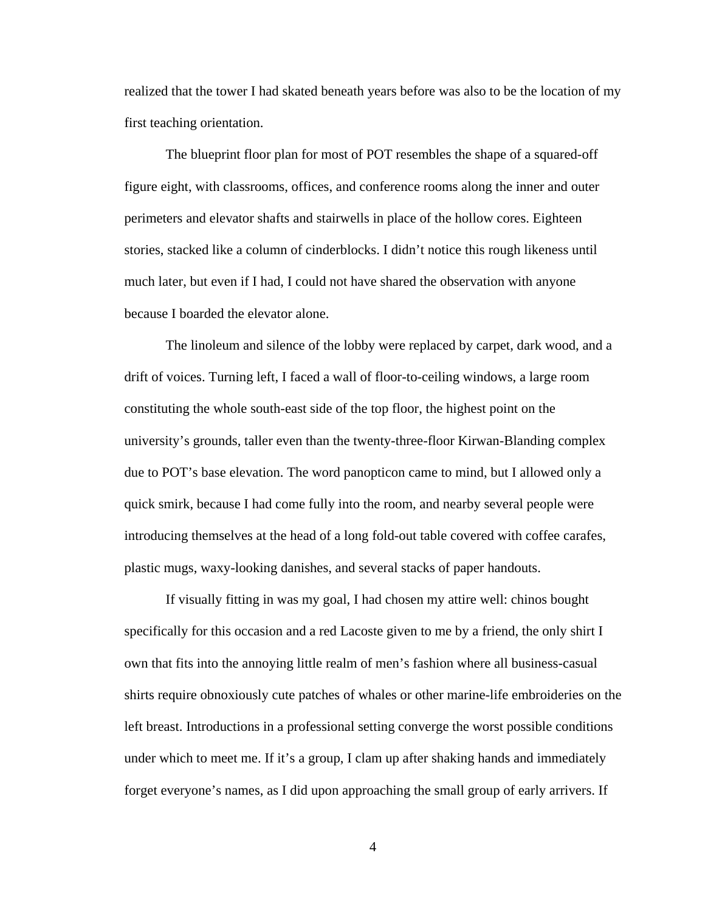realized that the tower I had skated beneath years before was also to be the location of my first teaching orientation.

The blueprint floor plan for most of POT resembles the shape of a squared-off figure eight, with classrooms, offices, and conference rooms along the inner and outer perimeters and elevator shafts and stairwells in place of the hollow cores. Eighteen stories, stacked like a column of cinderblocks. I didn't notice this rough likeness until much later, but even if I had, I could not have shared the observation with anyone because I boarded the elevator alone.

The linoleum and silence of the lobby were replaced by carpet, dark wood, and a drift of voices. Turning left, I faced a wall of floor-to-ceiling windows, a large room constituting the whole south-east side of the top floor, the highest point on the university's grounds, taller even than the twenty-three-floor Kirwan-Blanding complex due to POT's base elevation. The word panopticon came to mind, but I allowed only a quick smirk, because I had come fully into the room, and nearby several people were introducing themselves at the head of a long fold-out table covered with coffee carafes, plastic mugs, waxy-looking danishes, and several stacks of paper handouts.

If visually fitting in was my goal, I had chosen my attire well: chinos bought specifically for this occasion and a red Lacoste given to me by a friend, the only shirt I own that fits into the annoying little realm of men's fashion where all business-casual shirts require obnoxiously cute patches of whales or other marine-life embroideries on the left breast. Introductions in a professional setting converge the worst possible conditions under which to meet me. If it's a group, I clam up after shaking hands and immediately forget everyone's names, as I did upon approaching the small group of early arrivers. If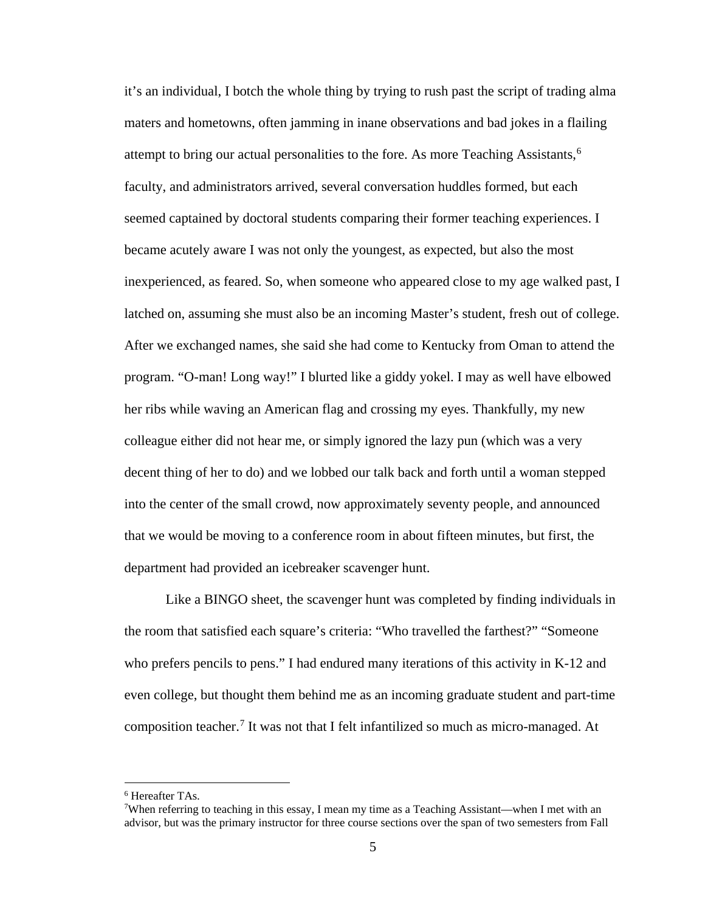it's an individual, I botch the whole thing by trying to rush past the script of trading alma maters and hometowns, often jamming in inane observations and bad jokes in a flailing attempt to bring our actual personalities to the fore. As more Teaching Assistants,<sup>[6](#page-10-0)</sup> faculty, and administrators arrived, several conversation huddles formed, but each seemed captained by doctoral students comparing their former teaching experiences. I became acutely aware I was not only the youngest, as expected, but also the most inexperienced, as feared. So, when someone who appeared close to my age walked past, I latched on, assuming she must also be an incoming Master's student, fresh out of college. After we exchanged names, she said she had come to Kentucky from Oman to attend the program. "O-man! Long way!" I blurted like a giddy yokel. I may as well have elbowed her ribs while waving an American flag and crossing my eyes. Thankfully, my new colleague either did not hear me, or simply ignored the lazy pun (which was a very decent thing of her to do) and we lobbed our talk back and forth until a woman stepped into the center of the small crowd, now approximately seventy people, and announced that we would be moving to a conference room in about fifteen minutes, but first, the department had provided an icebreaker scavenger hunt.

Like a BINGO sheet, the scavenger hunt was completed by finding individuals in the room that satisfied each square's criteria: "Who travelled the farthest?" "Someone who prefers pencils to pens." I had endured many iterations of this activity in K-12 and even college, but thought them behind me as an incoming graduate student and part-time composition teacher.<sup>[7](#page-10-1)</sup> It was not that I felt infantilized so much as micro-managed. At

<span id="page-10-1"></span><span id="page-10-0"></span> <sup>6</sup> Hereafter TAs.

<sup>7</sup> When referring to teaching in this essay, I mean my time as a Teaching Assistant—when I met with an advisor, but was the primary instructor for three course sections over the span of two semesters from Fall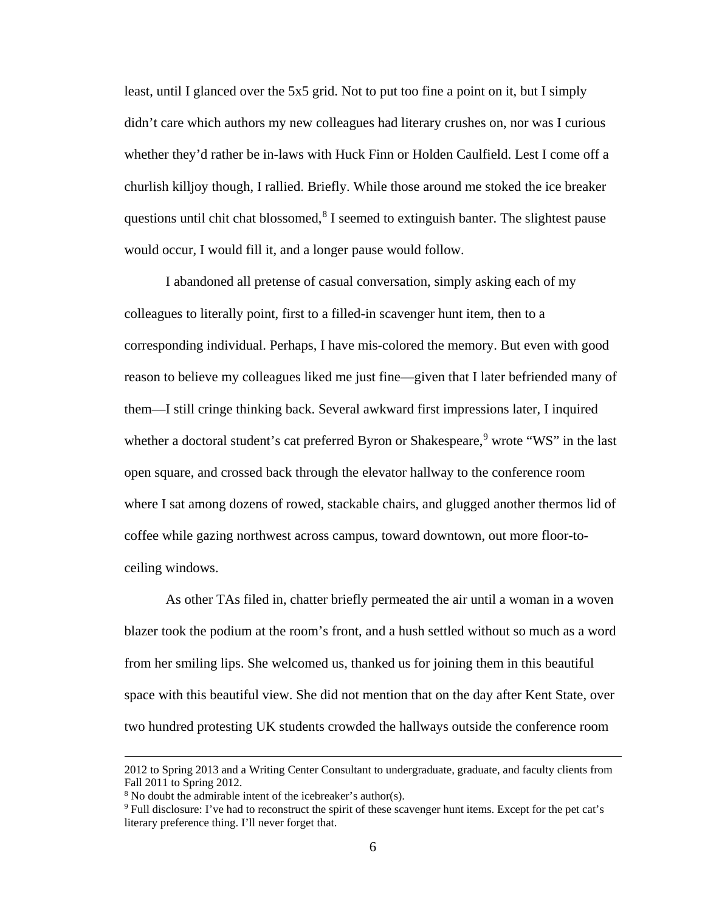least, until I glanced over the 5x5 grid. Not to put too fine a point on it, but I simply didn't care which authors my new colleagues had literary crushes on, nor was I curious whether they'd rather be in-laws with Huck Finn or Holden Caulfield. Lest I come off a churlish killjoy though, I rallied. Briefly. While those around me stoked the ice breaker questions until chit chat blossomed,  $8$  I seemed to extinguish banter. The slightest pause would occur, I would fill it, and a longer pause would follow.

I abandoned all pretense of casual conversation, simply asking each of my colleagues to literally point, first to a filled-in scavenger hunt item, then to a corresponding individual. Perhaps, I have mis-colored the memory. But even with good reason to believe my colleagues liked me just fine—given that I later befriended many of them—I still cringe thinking back. Several awkward first impressions later, I inquired whether a doctoral student's cat preferred Byron or Shakespeare,<sup>[9](#page-11-1)</sup> wrote "WS" in the last open square, and crossed back through the elevator hallway to the conference room where I sat among dozens of rowed, stackable chairs, and glugged another thermos lid of coffee while gazing northwest across campus, toward downtown, out more floor-toceiling windows.

As other TAs filed in, chatter briefly permeated the air until a woman in a woven blazer took the podium at the room's front, and a hush settled without so much as a word from her smiling lips. She welcomed us, thanked us for joining them in this beautiful space with this beautiful view. She did not mention that on the day after Kent State, over two hundred protesting UK students crowded the hallways outside the conference room

 <sup>2012</sup> to Spring 2013 and a Writing Center Consultant to undergraduate, graduate, and faculty clients from Fall 2011 to Spring 2012.

<sup>8</sup> No doubt the admirable intent of the icebreaker's author(s).

<span id="page-11-1"></span><span id="page-11-0"></span><sup>9</sup> Full disclosure: I've had to reconstruct the spirit of these scavenger hunt items. Except for the pet cat's literary preference thing. I'll never forget that.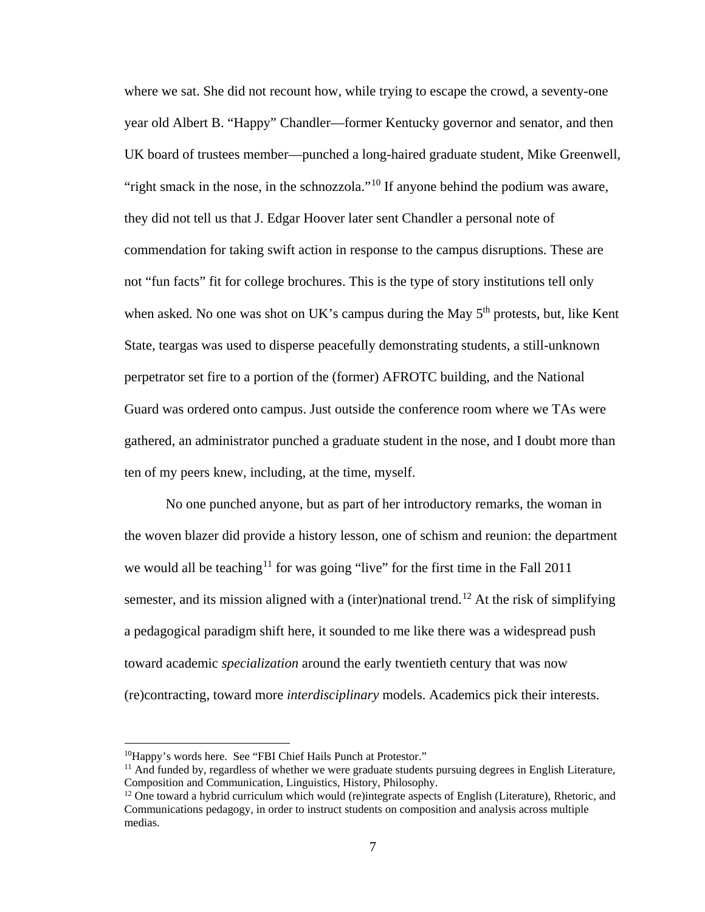where we sat. She did not recount how, while trying to escape the crowd, a seventy-one year old Albert B. "Happy" Chandler—former Kentucky governor and senator, and then UK board of trustees member—punched a long-haired graduate student, Mike Greenwell, "right smack in the nose, in the schnozzola."<sup>[10](#page-12-0)</sup> If anyone behind the podium was aware, they did not tell us that J. Edgar Hoover later sent Chandler a personal note of commendation for taking swift action in response to the campus disruptions. These are not "fun facts" fit for college brochures. This is the type of story institutions tell only when asked. No one was shot on UK's campus during the May  $5<sup>th</sup>$  protests, but, like Kent State, teargas was used to disperse peacefully demonstrating students, a still-unknown perpetrator set fire to a portion of the (former) AFROTC building, and the National Guard was ordered onto campus. Just outside the conference room where we TAs were gathered, an administrator punched a graduate student in the nose, and I doubt more than ten of my peers knew, including, at the time, myself.

No one punched anyone, but as part of her introductory remarks, the woman in the woven blazer did provide a history lesson, one of schism and reunion: the department we would all be teaching<sup>[11](#page-12-1)</sup> for was going "live" for the first time in the Fall 2011 semester, and its mission aligned with a (inter)national trend.<sup>[12](#page-12-2)</sup> At the risk of simplifying a pedagogical paradigm shift here, it sounded to me like there was a widespread push toward academic *specialization* around the early twentieth century that was now (re)contracting, toward more *interdisciplinary* models. Academics pick their interests.

<span id="page-12-0"></span><sup>&</sup>lt;sup>10</sup>Happy's words here. See "FBI Chief Hails Punch at Protestor."

<span id="page-12-1"></span> $11$  And funded by, regardless of whether we were graduate students pursuing degrees in English Literature, Composition and Communication, Linguistics, History, Philosophy.

<span id="page-12-2"></span> $12$  One toward a hybrid curriculum which would (re)integrate aspects of English (Literature), Rhetoric, and Communications pedagogy, in order to instruct students on composition and analysis across multiple medias.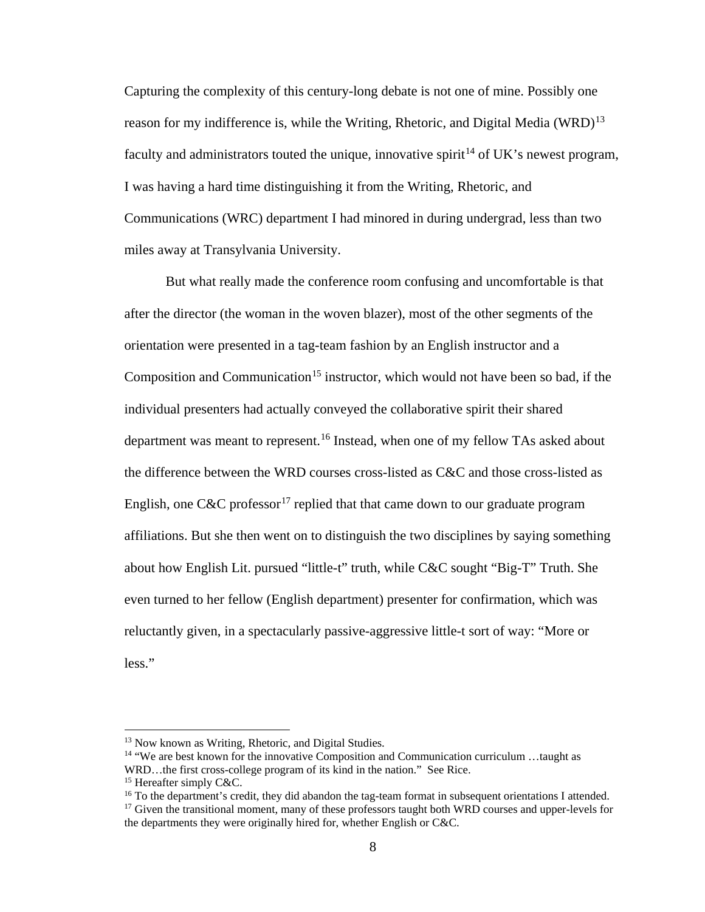Capturing the complexity of this century-long debate is not one of mine. Possibly one reason for my indifference is, while the Writing, Rhetoric, and Digital Media (WRD)<sup>[13](#page-13-0)</sup> faculty and administrators touted the unique, innovative spirit<sup>[14](#page-13-1)</sup> of UK's newest program, I was having a hard time distinguishing it from the Writing, Rhetoric, and Communications (WRC) department I had minored in during undergrad, less than two miles away at Transylvania University.

But what really made the conference room confusing and uncomfortable is that after the director (the woman in the woven blazer), most of the other segments of the orientation were presented in a tag-team fashion by an English instructor and a Composition and Communication<sup>[15](#page-13-2)</sup> instructor, which would not have been so bad, if the individual presenters had actually conveyed the collaborative spirit their shared department was meant to represent.<sup>[16](#page-13-3)</sup> Instead, when one of my fellow TAs asked about the difference between the WRD courses cross-listed as C&C and those cross-listed as English, one C&C professor<sup>[17](#page-13-4)</sup> replied that that came down to our graduate program affiliations. But she then went on to distinguish the two disciplines by saying something about how English Lit. pursued "little-t" truth, while C&C sought "Big-T" Truth. She even turned to her fellow (English department) presenter for confirmation, which was reluctantly given, in a spectacularly passive-aggressive little-t sort of way: "More or less."

<span id="page-13-1"></span><span id="page-13-0"></span><sup>&</sup>lt;sup>13</sup> Now known as Writing, Rhetoric, and Digital Studies.

<sup>&</sup>lt;sup>14</sup> "We are best known for the innovative Composition and Communication curriculum ...taught as WRD…the first cross-college program of its kind in the nation." See Rice.

<span id="page-13-2"></span><sup>&</sup>lt;sup>15</sup> Hereafter simply C&C.

<span id="page-13-4"></span><span id="page-13-3"></span><sup>&</sup>lt;sup>16</sup> To the department's credit, they did abandon the tag-team format in subsequent orientations I attended. <sup>17</sup> Given the transitional moment, many of these professors taught both WRD courses and upper-levels for the departments they were originally hired for, whether English or C&C.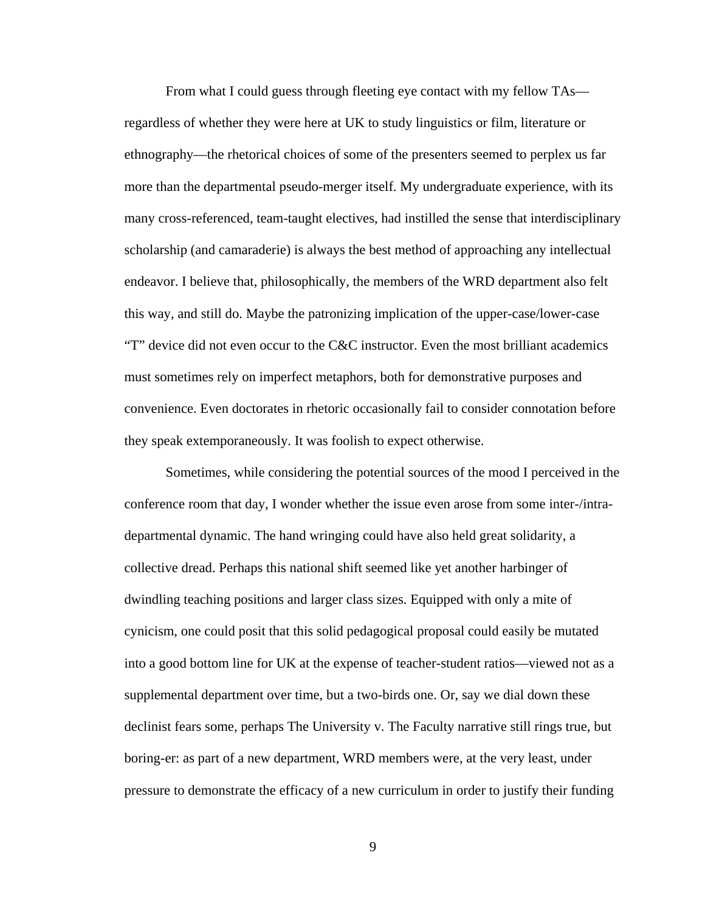From what I could guess through fleeting eye contact with my fellow TAs regardless of whether they were here at UK to study linguistics or film, literature or ethnography—the rhetorical choices of some of the presenters seemed to perplex us far more than the departmental pseudo-merger itself. My undergraduate experience, with its many cross-referenced, team-taught electives, had instilled the sense that interdisciplinary scholarship (and camaraderie) is always the best method of approaching any intellectual endeavor. I believe that, philosophically, the members of the WRD department also felt this way, and still do. Maybe the patronizing implication of the upper-case/lower-case "T" device did not even occur to the C&C instructor. Even the most brilliant academics must sometimes rely on imperfect metaphors, both for demonstrative purposes and convenience. Even doctorates in rhetoric occasionally fail to consider connotation before they speak extemporaneously. It was foolish to expect otherwise.

Sometimes, while considering the potential sources of the mood I perceived in the conference room that day, I wonder whether the issue even arose from some inter-/intradepartmental dynamic. The hand wringing could have also held great solidarity, a collective dread. Perhaps this national shift seemed like yet another harbinger of dwindling teaching positions and larger class sizes. Equipped with only a mite of cynicism, one could posit that this solid pedagogical proposal could easily be mutated into a good bottom line for UK at the expense of teacher-student ratios—viewed not as a supplemental department over time, but a two-birds one. Or, say we dial down these declinist fears some, perhaps The University v. The Faculty narrative still rings true, but boring-er: as part of a new department, WRD members were, at the very least, under pressure to demonstrate the efficacy of a new curriculum in order to justify their funding

9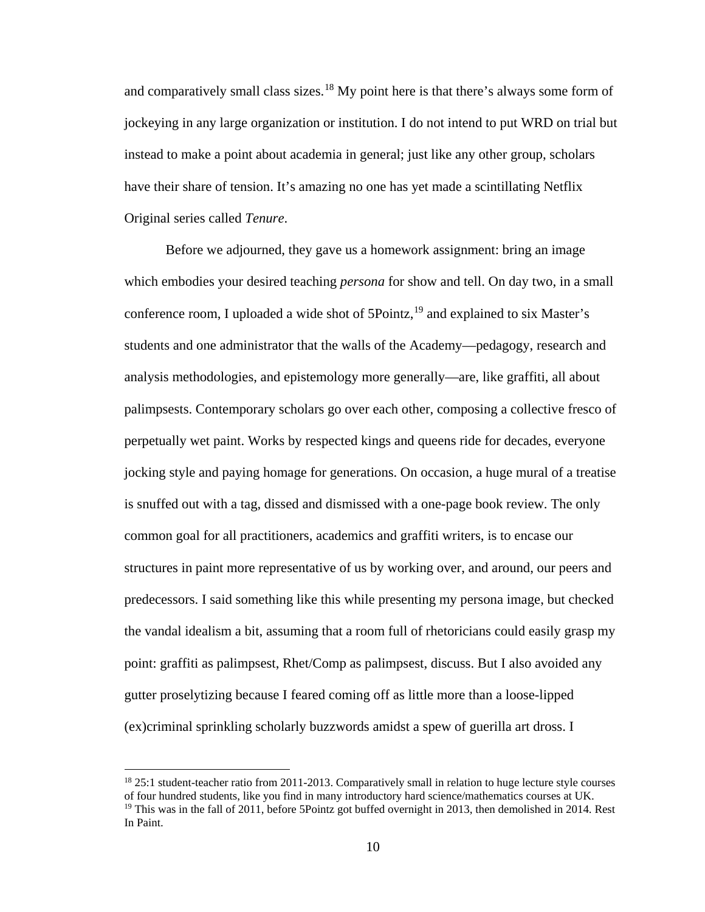and comparatively small class sizes.<sup>[18](#page-15-0)</sup> My point here is that there's always some form of jockeying in any large organization or institution. I do not intend to put WRD on trial but instead to make a point about academia in general; just like any other group, scholars have their share of tension. It's amazing no one has yet made a scintillating Netflix Original series called *Tenure*.

Before we adjourned, they gave us a homework assignment: bring an image which embodies your desired teaching *persona* for show and tell. On day two, in a small conference room, I uploaded a wide shot of  $5$ Pointz,  $19$  and explained to six Master's students and one administrator that the walls of the Academy—pedagogy, research and analysis methodologies, and epistemology more generally—are, like graffiti, all about palimpsests. Contemporary scholars go over each other, composing a collective fresco of perpetually wet paint. Works by respected kings and queens ride for decades, everyone jocking style and paying homage for generations. On occasion, a huge mural of a treatise is snuffed out with a tag, dissed and dismissed with a one-page book review. The only common goal for all practitioners, academics and graffiti writers, is to encase our structures in paint more representative of us by working over, and around, our peers and predecessors. I said something like this while presenting my persona image, but checked the vandal idealism a bit, assuming that a room full of rhetoricians could easily grasp my point: graffiti as palimpsest, Rhet/Comp as palimpsest, discuss. But I also avoided any gutter proselytizing because I feared coming off as little more than a loose-lipped (ex)criminal sprinkling scholarly buzzwords amidst a spew of guerilla art dross. I

<span id="page-15-0"></span><sup>&</sup>lt;sup>18</sup> 25:1 student-teacher ratio from 2011-2013. Comparatively small in relation to huge lecture style courses of four hundred students, like you find in many introductory hard science/mathematics courses at UK.

<span id="page-15-1"></span><sup>&</sup>lt;sup>19</sup> This was in the fall of 2011, before 5Pointz got buffed overnight in 2013, then demolished in 2014. Rest In Paint.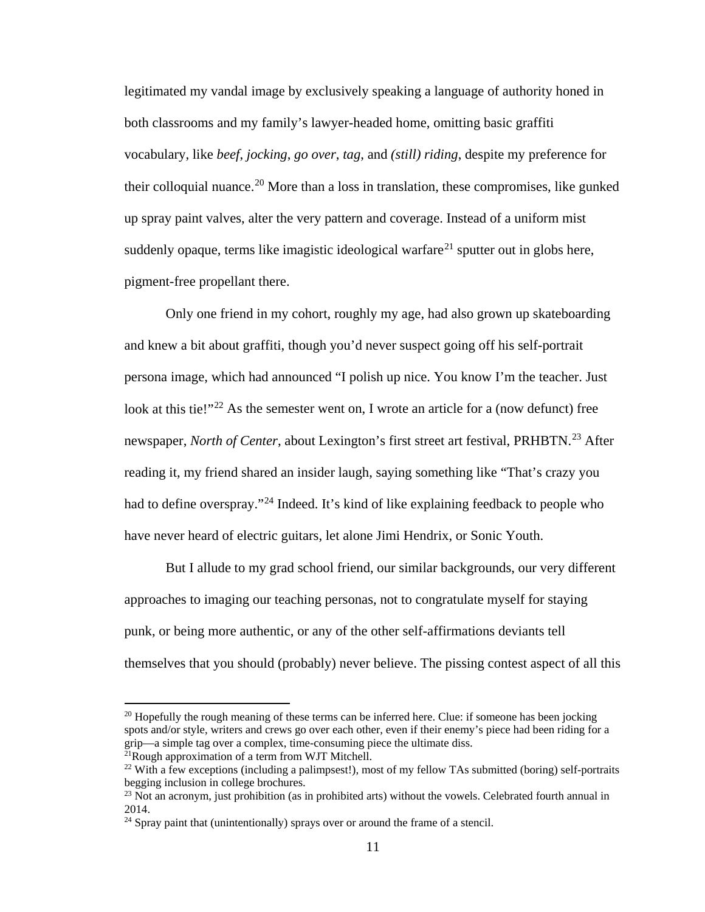legitimated my vandal image by exclusively speaking a language of authority honed in both classrooms and my family's lawyer-headed home, omitting basic graffiti vocabulary, like *beef*, *jocking*, *go over*, *tag*, and *(still) riding*, despite my preference for their colloquial nuance.<sup>[20](#page-16-0)</sup> More than a loss in translation, these compromises, like gunked up spray paint valves, alter the very pattern and coverage. Instead of a uniform mist suddenly opaque, terms like imagistic ideological warfare<sup>[21](#page-16-1)</sup> sputter out in globs here, pigment-free propellant there.

Only one friend in my cohort, roughly my age, had also grown up skateboarding and knew a bit about graffiti, though you'd never suspect going off his self-portrait persona image, which had announced "I polish up nice. You know I'm the teacher. Just look at this tie!"<sup>[22](#page-16-2)</sup> As the semester went on, I wrote an article for a (now defunct) free newspaper, *North of Center*, about Lexington's first street art festival, PRHBTN.<sup>[23](#page-16-3)</sup> After reading it, my friend shared an insider laugh, saying something like "That's crazy you had to define overspray."<sup>[24](#page-16-4)</sup> Indeed. It's kind of like explaining feedback to people who have never heard of electric guitars, let alone Jimi Hendrix, or Sonic Youth.

But I allude to my grad school friend, our similar backgrounds, our very different approaches to imaging our teaching personas, not to congratulate myself for staying punk, or being more authentic, or any of the other self-affirmations deviants tell themselves that you should (probably) never believe. The pissing contest aspect of all this

<span id="page-16-0"></span> $20$  Hopefully the rough meaning of these terms can be inferred here. Clue: if someone has been jocking spots and/or style, writers and crews go over each other, even if their enemy's piece had been riding for a grip—a simple tag over a complex, time-consuming piece the ultimate diss.  $^{21}$ Rough approximation of a term from WJT Mitchell.

<span id="page-16-2"></span><span id="page-16-1"></span> $22$  With a few exceptions (including a palimpsest!), most of my fellow TAs submitted (boring) self-portraits begging inclusion in college brochures.

<span id="page-16-3"></span><sup>&</sup>lt;sup>23</sup> Not an acronym, just prohibition (as in prohibited arts) without the vowels. Celebrated fourth annual in 2014.

<span id="page-16-4"></span> $24$  Spray paint that (unintentionally) sprays over or around the frame of a stencil.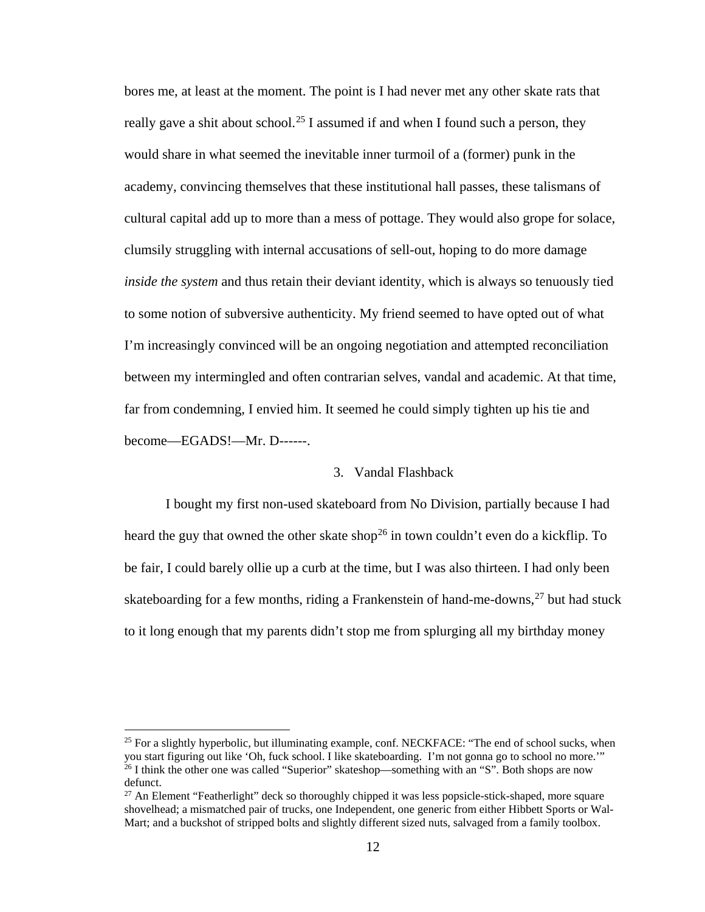bores me, at least at the moment. The point is I had never met any other skate rats that really gave a shit about school.<sup>[25](#page-17-0)</sup> I assumed if and when I found such a person, they would share in what seemed the inevitable inner turmoil of a (former) punk in the academy, convincing themselves that these institutional hall passes, these talismans of cultural capital add up to more than a mess of pottage. They would also grope for solace, clumsily struggling with internal accusations of sell-out, hoping to do more damage *inside the system* and thus retain their deviant identity, which is always so tenuously tied to some notion of subversive authenticity. My friend seemed to have opted out of what I'm increasingly convinced will be an ongoing negotiation and attempted reconciliation between my intermingled and often contrarian selves, vandal and academic. At that time, far from condemning, I envied him. It seemed he could simply tighten up his tie and become—EGADS!—Mr. D------.

#### 3. Vandal Flashback

I bought my first non-used skateboard from No Division, partially because I had heard the guy that owned the other skate shop<sup>[26](#page-17-1)</sup> in town couldn't even do a kickflip. To be fair, I could barely ollie up a curb at the time, but I was also thirteen. I had only been skateboarding for a few months, riding a Frankenstein of hand-me-downs,  $^{27}$  $^{27}$  $^{27}$  but had stuck to it long enough that my parents didn't stop me from splurging all my birthday money

<span id="page-17-0"></span> $^{25}$  For a slightly hyperbolic, but illuminating example, conf. NECKFACE: "The end of school sucks, when you start figuring out like 'Oh, fuck school. I like skateboarding. I'm not gonna go to school no more.'"  $^{26}$  I think the other one was called "Superior" skateshop—something with an "S". Both shops are now defunct.

<span id="page-17-2"></span><span id="page-17-1"></span> $27$  An Element "Featherlight" deck so thoroughly chipped it was less popsicle-stick-shaped, more square shovelhead; a mismatched pair of trucks, one Independent, one generic from either Hibbett Sports or Wal-Mart; and a buckshot of stripped bolts and slightly different sized nuts, salvaged from a family toolbox.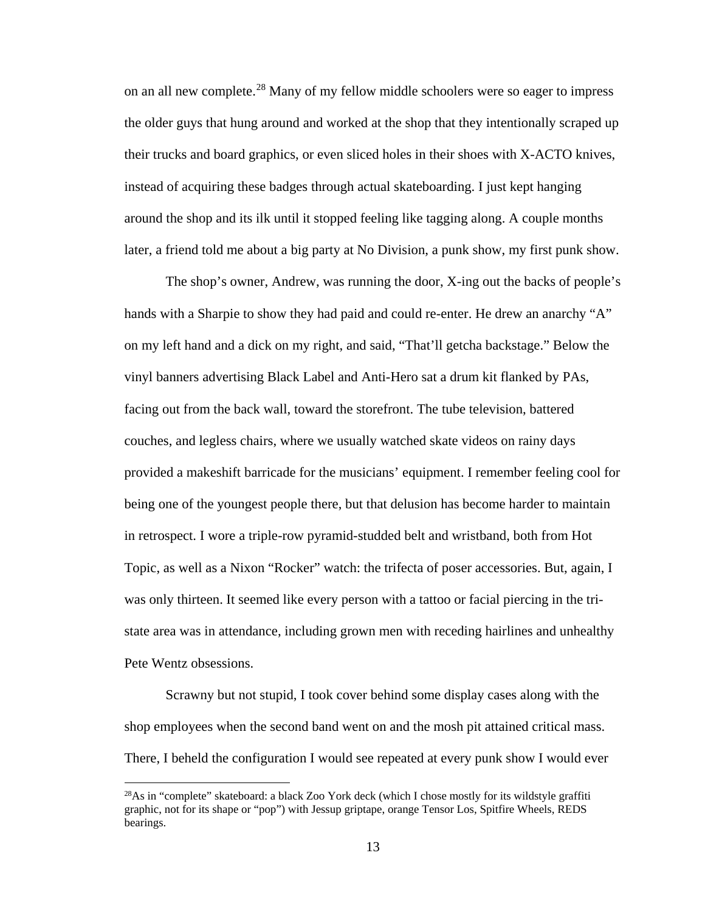on an all new complete.<sup>[28](#page-18-0)</sup> Many of my fellow middle schoolers were so eager to impress the older guys that hung around and worked at the shop that they intentionally scraped up their trucks and board graphics, or even sliced holes in their shoes with X-ACTO knives, instead of acquiring these badges through actual skateboarding. I just kept hanging around the shop and its ilk until it stopped feeling like tagging along. A couple months later, a friend told me about a big party at No Division, a punk show, my first punk show.

The shop's owner, Andrew, was running the door, X-ing out the backs of people's hands with a Sharpie to show they had paid and could re-enter. He drew an anarchy "A" on my left hand and a dick on my right, and said, "That'll getcha backstage." Below the vinyl banners advertising Black Label and Anti-Hero sat a drum kit flanked by PAs, facing out from the back wall, toward the storefront. The tube television, battered couches, and legless chairs, where we usually watched skate videos on rainy days provided a makeshift barricade for the musicians' equipment. I remember feeling cool for being one of the youngest people there, but that delusion has become harder to maintain in retrospect. I wore a triple-row pyramid-studded belt and wristband, both from Hot Topic, as well as a Nixon "Rocker" watch: the trifecta of poser accessories. But, again, I was only thirteen. It seemed like every person with a tattoo or facial piercing in the tristate area was in attendance, including grown men with receding hairlines and unhealthy Pete Wentz obsessions.

Scrawny but not stupid, I took cover behind some display cases along with the shop employees when the second band went on and the mosh pit attained critical mass. There, I beheld the configuration I would see repeated at every punk show I would ever

<span id="page-18-0"></span> $^{28}$ As in "complete" skateboard: a black Zoo York deck (which I chose mostly for its wildstyle graffiti graphic, not for its shape or "pop") with Jessup griptape, orange Tensor Los, Spitfire Wheels, REDS bearings.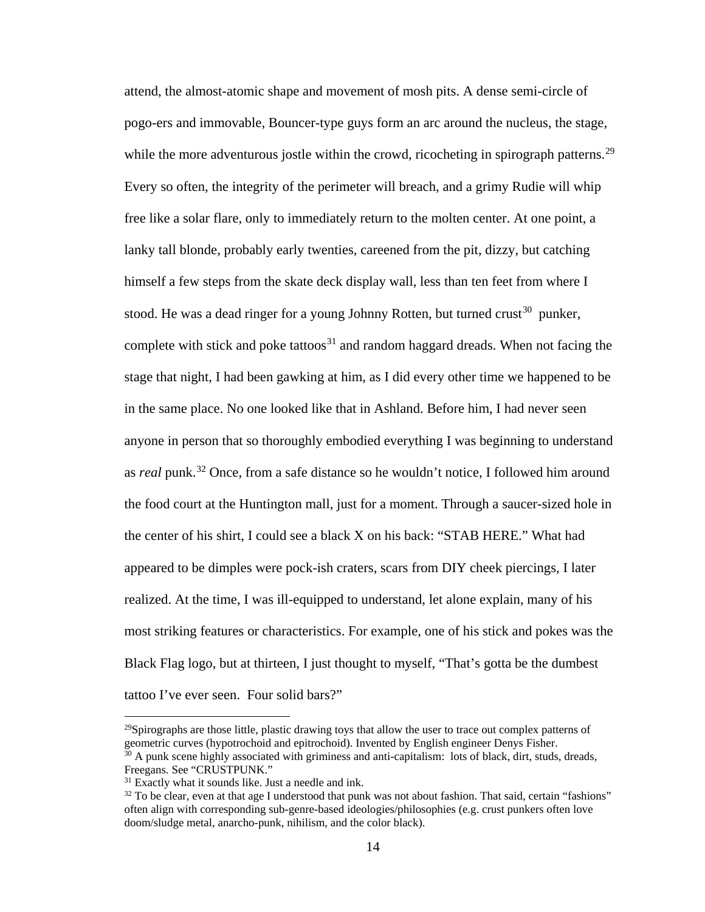attend, the almost-atomic shape and movement of mosh pits. A dense semi-circle of pogo-ers and immovable, Bouncer-type guys form an arc around the nucleus, the stage, while the more adventurous jostle within the crowd, ricocheting in spirograph patterns.<sup>[29](#page-19-0)</sup> Every so often, the integrity of the perimeter will breach, and a grimy Rudie will whip free like a solar flare, only to immediately return to the molten center. At one point, a lanky tall blonde, probably early twenties, careened from the pit, dizzy, but catching himself a few steps from the skate deck display wall, less than ten feet from where I stood. He was a dead ringer for a young Johnny Rotten, but turned crust<sup>[30](#page-19-1)</sup> punker, complete with stick and poke tattoos<sup>[31](#page-19-2)</sup> and random haggard dreads. When not facing the stage that night, I had been gawking at him, as I did every other time we happened to be in the same place. No one looked like that in Ashland. Before him, I had never seen anyone in person that so thoroughly embodied everything I was beginning to understand as *real* punk.<sup>[32](#page-19-3)</sup> Once, from a safe distance so he wouldn't notice, I followed him around the food court at the Huntington mall, just for a moment. Through a saucer-sized hole in the center of his shirt, I could see a black X on his back: "STAB HERE." What had appeared to be dimples were pock-ish craters, scars from DIY cheek piercings, I later realized. At the time, I was ill-equipped to understand, let alone explain, many of his most striking features or characteristics. For example, one of his stick and pokes was the Black Flag logo, but at thirteen, I just thought to myself, "That's gotta be the dumbest tattoo I've ever seen. Four solid bars?"

<span id="page-19-0"></span> $^{29}$ Spirographs are those little, plastic drawing toys that allow the user to trace out complex patterns of geometric curves (hypotrochoid and epitrochoid). Invented by English engineer Denys Fisher.  $30$  A punk scene highly associated with griminess and anti-capitalism: lots of black, dirt, studs, dreads, Freegans. See "CRUSTPUNK."

<span id="page-19-2"></span><span id="page-19-1"></span> $31$  Exactly what it sounds like. Just a needle and ink.

<span id="page-19-3"></span> $32$  To be clear, even at that age I understood that punk was not about fashion. That said, certain "fashions" often align with corresponding sub-genre-based ideologies/philosophies (e.g. crust punkers often love doom/sludge metal, anarcho-punk, nihilism, and the color black).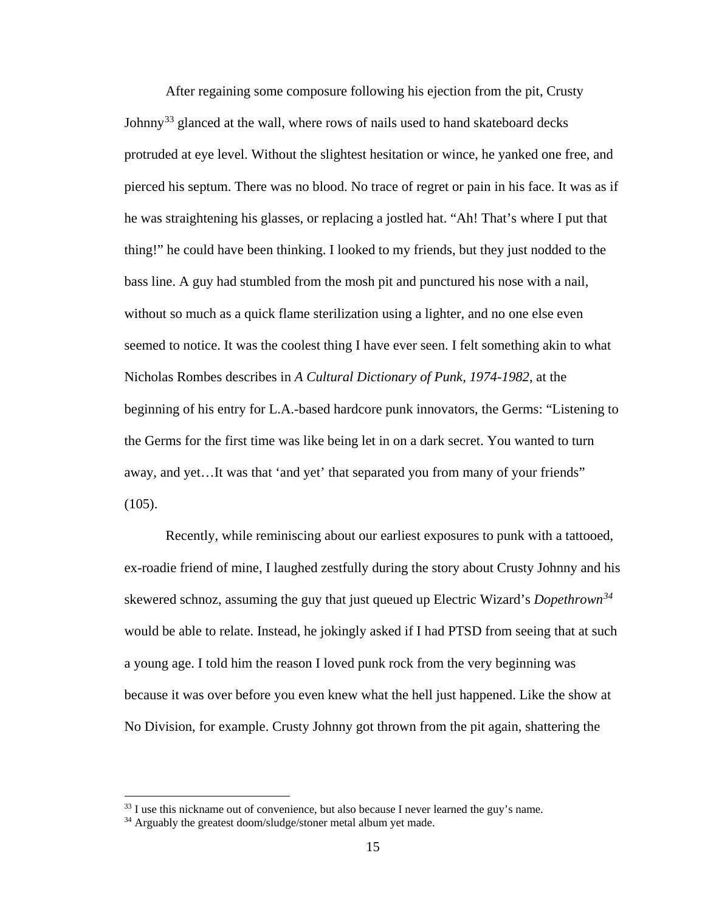After regaining some composure following his ejection from the pit, Crusty Johnny<sup>[33](#page-20-0)</sup> glanced at the wall, where rows of nails used to hand skateboard decks protruded at eye level. Without the slightest hesitation or wince, he yanked one free, and pierced his septum. There was no blood. No trace of regret or pain in his face. It was as if he was straightening his glasses, or replacing a jostled hat. "Ah! That's where I put that thing!" he could have been thinking. I looked to my friends, but they just nodded to the bass line. A guy had stumbled from the mosh pit and punctured his nose with a nail, without so much as a quick flame sterilization using a lighter, and no one else even seemed to notice. It was the coolest thing I have ever seen. I felt something akin to what Nicholas Rombes describes in *A Cultural Dictionary of Punk, 1974-1982*, at the beginning of his entry for L.A.-based hardcore punk innovators, the Germs: "Listening to the Germs for the first time was like being let in on a dark secret. You wanted to turn away, and yet…It was that 'and yet' that separated you from many of your friends"  $(105)$ .

Recently, while reminiscing about our earliest exposures to punk with a tattooed, ex-roadie friend of mine, I laughed zestfully during the story about Crusty Johnny and his skewered schnoz, assuming the guy that just queued up Electric Wizard's *Dopethrown[34](#page-20-1)* would be able to relate. Instead, he jokingly asked if I had PTSD from seeing that at such a young age. I told him the reason I loved punk rock from the very beginning was because it was over before you even knew what the hell just happened. Like the show at No Division, for example. Crusty Johnny got thrown from the pit again, shattering the

<span id="page-20-0"></span> $33$  I use this nickname out of convenience, but also because I never learned the guy's name.

<span id="page-20-1"></span><sup>&</sup>lt;sup>34</sup> Arguably the greatest doom/sludge/stoner metal album yet made.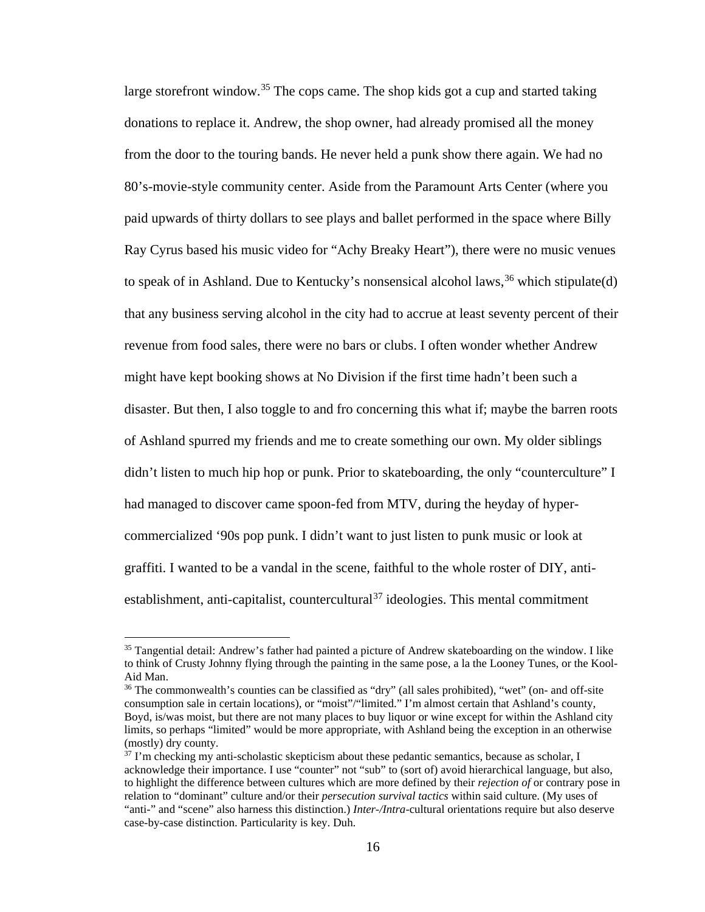large storefront window.<sup>[35](#page-21-0)</sup> The cops came. The shop kids got a cup and started taking donations to replace it. Andrew, the shop owner, had already promised all the money from the door to the touring bands. He never held a punk show there again. We had no 80's-movie-style community center. Aside from the Paramount Arts Center (where you paid upwards of thirty dollars to see plays and ballet performed in the space where Billy Ray Cyrus based his music video for "Achy Breaky Heart"), there were no music venues to speak of in Ashland. Due to Kentucky's nonsensical alcohol laws,  $36$  which stipulate(d) that any business serving alcohol in the city had to accrue at least seventy percent of their revenue from food sales, there were no bars or clubs. I often wonder whether Andrew might have kept booking shows at No Division if the first time hadn't been such a disaster. But then, I also toggle to and fro concerning this what if; maybe the barren roots of Ashland spurred my friends and me to create something our own. My older siblings didn't listen to much hip hop or punk. Prior to skateboarding, the only "counterculture" I had managed to discover came spoon-fed from MTV, during the heyday of hypercommercialized '90s pop punk. I didn't want to just listen to punk music or look at graffiti. I wanted to be a vandal in the scene, faithful to the whole roster of DIY, antiestablishment, anti-capitalist, countercultural  $37$  ideologies. This mental commitment

<span id="page-21-0"></span><sup>&</sup>lt;sup>35</sup> Tangential detail: Andrew's father had painted a picture of Andrew skateboarding on the window. I like to think of Crusty Johnny flying through the painting in the same pose, a la the Looney Tunes, or the Kool-Aid Man.

<span id="page-21-1"></span><sup>&</sup>lt;sup>36</sup> The commonwealth's counties can be classified as "dry" (all sales prohibited), "wet" (on- and off-site consumption sale in certain locations), or "moist"/"limited." I'm almost certain that Ashland's county, Boyd, is/was moist, but there are not many places to buy liquor or wine except for within the Ashland city limits, so perhaps "limited" would be more appropriate, with Ashland being the exception in an otherwise (mostly) dry county.

<span id="page-21-2"></span><sup>&</sup>lt;sup>37</sup> I'm checking my anti-scholastic skepticism about these pedantic semantics, because as scholar, I acknowledge their importance. I use "counter" not "sub" to (sort of) avoid hierarchical language, but also, to highlight the difference between cultures which are more defined by their *rejection of* or contrary pose in relation to "dominant" culture and/or their *persecution survival tactics* within said culture. (My uses of "anti-" and "scene" also harness this distinction.) *Inter-/Intra-*cultural orientations require but also deserve case-by-case distinction. Particularity is key. Duh.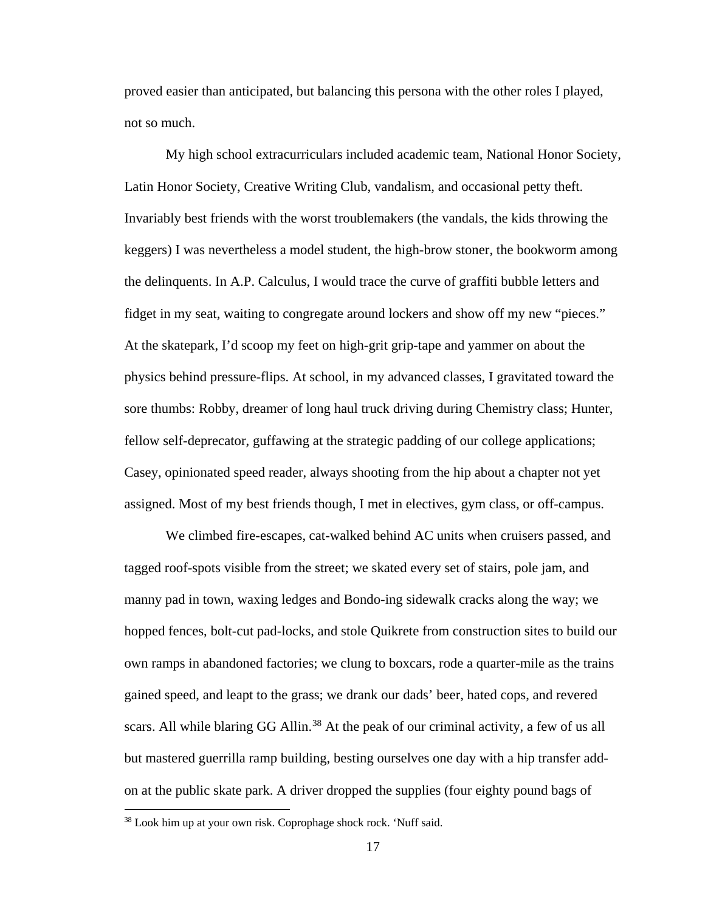proved easier than anticipated, but balancing this persona with the other roles I played, not so much.

My high school extracurriculars included academic team, National Honor Society, Latin Honor Society, Creative Writing Club, vandalism, and occasional petty theft. Invariably best friends with the worst troublemakers (the vandals, the kids throwing the keggers) I was nevertheless a model student, the high-brow stoner, the bookworm among the delinquents. In A.P. Calculus, I would trace the curve of graffiti bubble letters and fidget in my seat, waiting to congregate around lockers and show off my new "pieces." At the skatepark, I'd scoop my feet on high-grit grip-tape and yammer on about the physics behind pressure-flips. At school, in my advanced classes, I gravitated toward the sore thumbs: Robby, dreamer of long haul truck driving during Chemistry class; Hunter, fellow self-deprecator, guffawing at the strategic padding of our college applications; Casey, opinionated speed reader, always shooting from the hip about a chapter not yet assigned. Most of my best friends though, I met in electives, gym class, or off-campus.

We climbed fire-escapes, cat-walked behind AC units when cruisers passed, and tagged roof-spots visible from the street; we skated every set of stairs, pole jam, and manny pad in town, waxing ledges and Bondo-ing sidewalk cracks along the way; we hopped fences, bolt-cut pad-locks, and stole Quikrete from construction sites to build our own ramps in abandoned factories; we clung to boxcars, rode a quarter-mile as the trains gained speed, and leapt to the grass; we drank our dads' beer, hated cops, and revered scars. All while blaring GG Allin.<sup>[38](#page-22-0)</sup> At the peak of our criminal activity, a few of us all but mastered guerrilla ramp building, besting ourselves one day with a hip transfer addon at the public skate park. A driver dropped the supplies (four eighty pound bags of

<span id="page-22-0"></span> <sup>38</sup> Look him up at your own risk. Coprophage shock rock. 'Nuff said.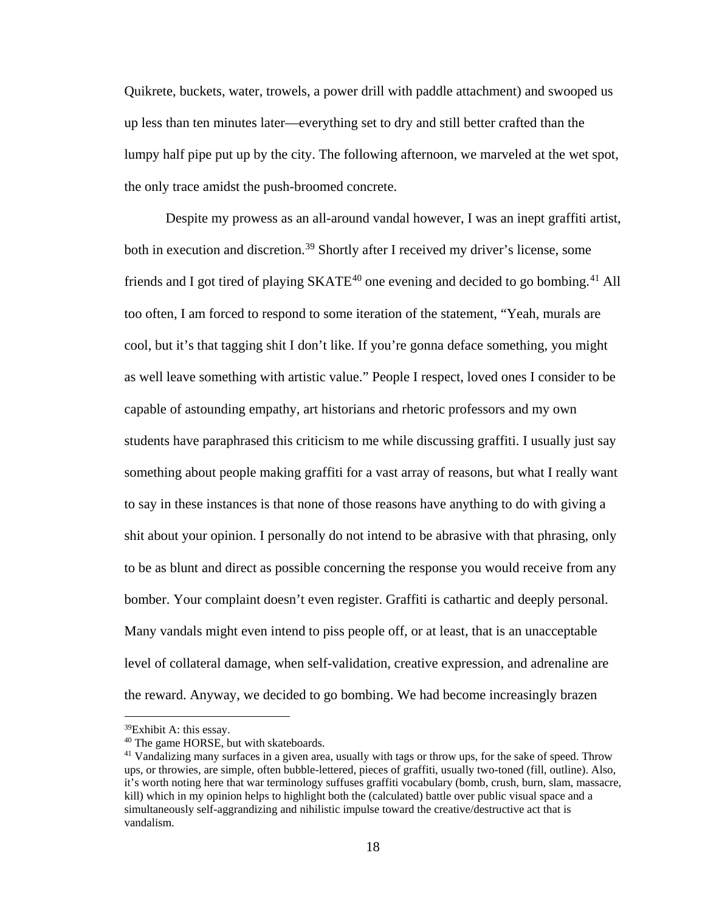Quikrete, buckets, water, trowels, a power drill with paddle attachment) and swooped us up less than ten minutes later—everything set to dry and still better crafted than the lumpy half pipe put up by the city. The following afternoon, we marveled at the wet spot, the only trace amidst the push-broomed concrete.

Despite my prowess as an all-around vandal however, I was an inept graffiti artist, both in execution and discretion.<sup>[39](#page-23-0)</sup> Shortly after I received my driver's license, some friends and I got tired of playing  $SKATE^{40}$  $SKATE^{40}$  $SKATE^{40}$  one evening and decided to go bombing.<sup>[41](#page-23-2)</sup> All too often, I am forced to respond to some iteration of the statement, "Yeah, murals are cool, but it's that tagging shit I don't like. If you're gonna deface something, you might as well leave something with artistic value." People I respect, loved ones I consider to be capable of astounding empathy, art historians and rhetoric professors and my own students have paraphrased this criticism to me while discussing graffiti. I usually just say something about people making graffiti for a vast array of reasons, but what I really want to say in these instances is that none of those reasons have anything to do with giving a shit about your opinion. I personally do not intend to be abrasive with that phrasing, only to be as blunt and direct as possible concerning the response you would receive from any bomber. Your complaint doesn't even register. Graffiti is cathartic and deeply personal. Many vandals might even intend to piss people off, or at least, that is an unacceptable level of collateral damage, when self-validation, creative expression, and adrenaline are the reward. Anyway, we decided to go bombing. We had become increasingly brazen

<sup>&</sup>lt;sup>39</sup>Exhibit A: this essay.

<span id="page-23-1"></span><span id="page-23-0"></span><sup>40</sup> The game HORSE, but with skateboards.

<span id="page-23-2"></span><sup>&</sup>lt;sup>41</sup> Vandalizing many surfaces in a given area, usually with tags or throw ups, for the sake of speed. Throw ups, or throwies, are simple, often bubble-lettered, pieces of graffiti, usually two-toned (fill, outline). Also, it's worth noting here that war terminology suffuses graffiti vocabulary (bomb, crush, burn, slam, massacre, kill) which in my opinion helps to highlight both the (calculated) battle over public visual space and a simultaneously self-aggrandizing and nihilistic impulse toward the creative/destructive act that is vandalism.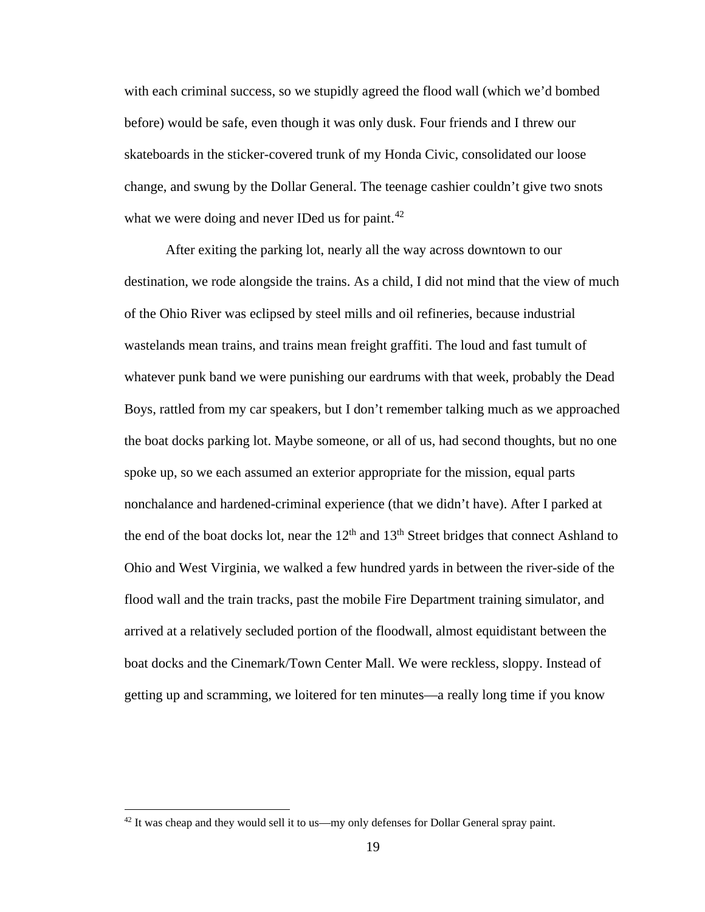with each criminal success, so we stupidly agreed the flood wall (which we'd bombed before) would be safe, even though it was only dusk. Four friends and I threw our skateboards in the sticker-covered trunk of my Honda Civic, consolidated our loose change, and swung by the Dollar General. The teenage cashier couldn't give two snots what we were doing and never IDed us for paint.<sup>[42](#page-24-0)</sup>

After exiting the parking lot, nearly all the way across downtown to our destination, we rode alongside the trains. As a child, I did not mind that the view of much of the Ohio River was eclipsed by steel mills and oil refineries, because industrial wastelands mean trains, and trains mean freight graffiti. The loud and fast tumult of whatever punk band we were punishing our eardrums with that week, probably the Dead Boys, rattled from my car speakers, but I don't remember talking much as we approached the boat docks parking lot. Maybe someone, or all of us, had second thoughts, but no one spoke up, so we each assumed an exterior appropriate for the mission, equal parts nonchalance and hardened-criminal experience (that we didn't have). After I parked at the end of the boat docks lot, near the  $12<sup>th</sup>$  and  $13<sup>th</sup>$  Street bridges that connect Ashland to Ohio and West Virginia, we walked a few hundred yards in between the river-side of the flood wall and the train tracks, past the mobile Fire Department training simulator, and arrived at a relatively secluded portion of the floodwall, almost equidistant between the boat docks and the Cinemark/Town Center Mall. We were reckless, sloppy. Instead of getting up and scramming, we loitered for ten minutes—a really long time if you know

<span id="page-24-0"></span> $42$  It was cheap and they would sell it to us—my only defenses for Dollar General spray paint.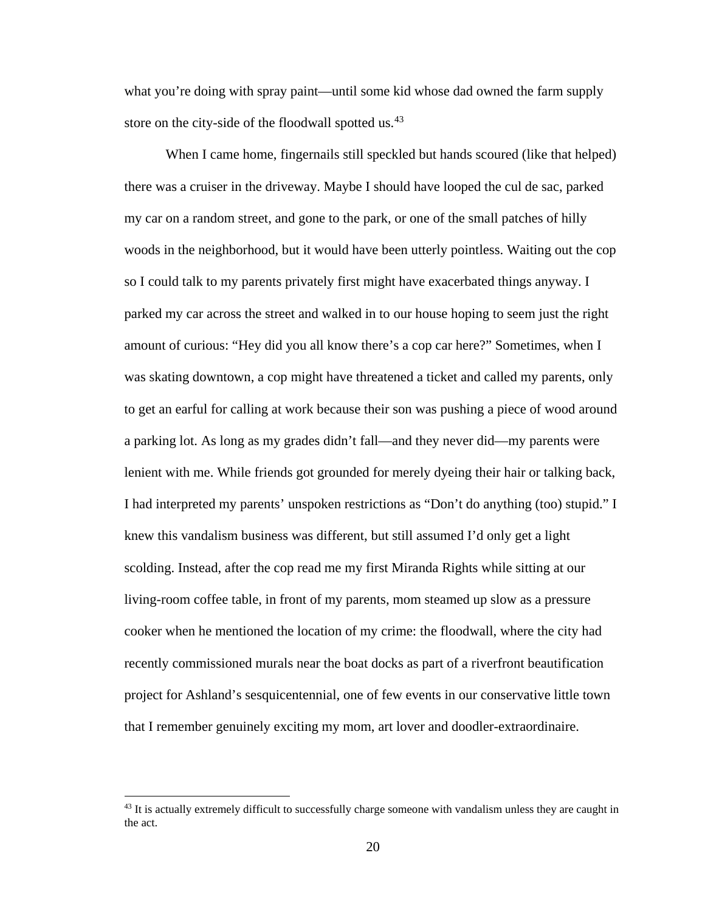what you're doing with spray paint—until some kid whose dad owned the farm supply store on the city-side of the floodwall spotted us.<sup>[43](#page-25-0)</sup>

When I came home, fingernails still speckled but hands scoured (like that helped) there was a cruiser in the driveway. Maybe I should have looped the cul de sac, parked my car on a random street, and gone to the park, or one of the small patches of hilly woods in the neighborhood, but it would have been utterly pointless. Waiting out the cop so I could talk to my parents privately first might have exacerbated things anyway. I parked my car across the street and walked in to our house hoping to seem just the right amount of curious: "Hey did you all know there's a cop car here?" Sometimes, when I was skating downtown, a cop might have threatened a ticket and called my parents, only to get an earful for calling at work because their son was pushing a piece of wood around a parking lot. As long as my grades didn't fall—and they never did—my parents were lenient with me. While friends got grounded for merely dyeing their hair or talking back, I had interpreted my parents' unspoken restrictions as "Don't do anything (too) stupid." I knew this vandalism business was different, but still assumed I'd only get a light scolding. Instead, after the cop read me my first Miranda Rights while sitting at our living-room coffee table, in front of my parents, mom steamed up slow as a pressure cooker when he mentioned the location of my crime: the floodwall, where the city had recently commissioned murals near the boat docks as part of a riverfront beautification project for Ashland's sesquicentennial, one of few events in our conservative little town that I remember genuinely exciting my mom, art lover and doodler-extraordinaire.

<span id="page-25-0"></span><sup>&</sup>lt;sup>43</sup> It is actually extremely difficult to successfully charge someone with vandalism unless they are caught in the act.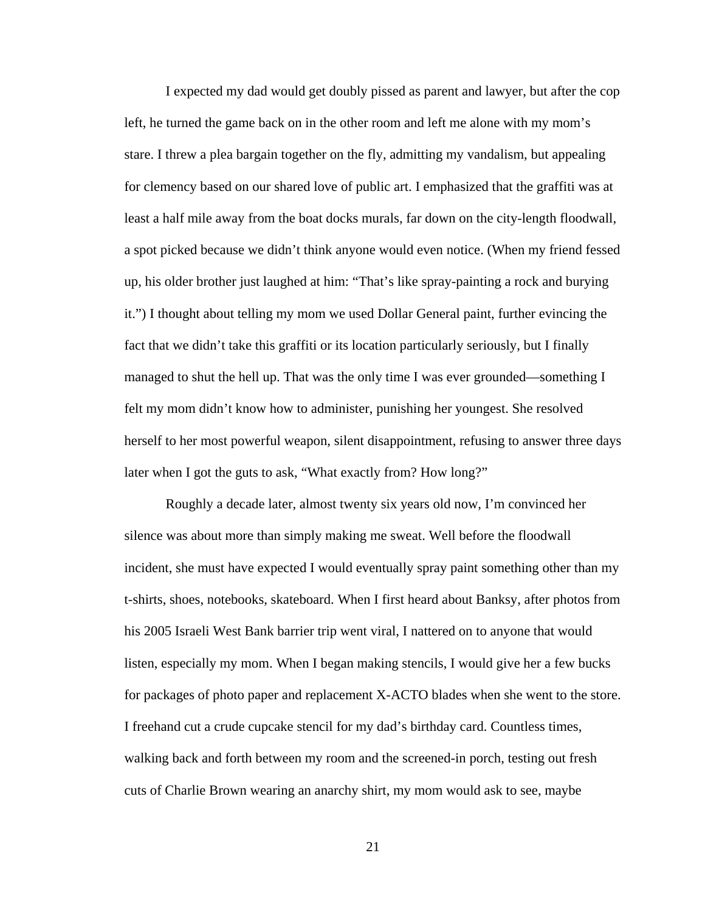I expected my dad would get doubly pissed as parent and lawyer, but after the cop left, he turned the game back on in the other room and left me alone with my mom's stare. I threw a plea bargain together on the fly, admitting my vandalism, but appealing for clemency based on our shared love of public art. I emphasized that the graffiti was at least a half mile away from the boat docks murals, far down on the city-length floodwall, a spot picked because we didn't think anyone would even notice. (When my friend fessed up, his older brother just laughed at him: "That's like spray-painting a rock and burying it.") I thought about telling my mom we used Dollar General paint, further evincing the fact that we didn't take this graffiti or its location particularly seriously, but I finally managed to shut the hell up. That was the only time I was ever grounded—something I felt my mom didn't know how to administer, punishing her youngest. She resolved herself to her most powerful weapon, silent disappointment, refusing to answer three days later when I got the guts to ask, "What exactly from? How long?"

Roughly a decade later, almost twenty six years old now, I'm convinced her silence was about more than simply making me sweat. Well before the floodwall incident, she must have expected I would eventually spray paint something other than my t-shirts, shoes, notebooks, skateboard. When I first heard about Banksy, after photos from his 2005 Israeli West Bank barrier trip went viral, I nattered on to anyone that would listen, especially my mom. When I began making stencils, I would give her a few bucks for packages of photo paper and replacement X-ACTO blades when she went to the store. I freehand cut a crude cupcake stencil for my dad's birthday card. Countless times, walking back and forth between my room and the screened-in porch, testing out fresh cuts of Charlie Brown wearing an anarchy shirt, my mom would ask to see, maybe

21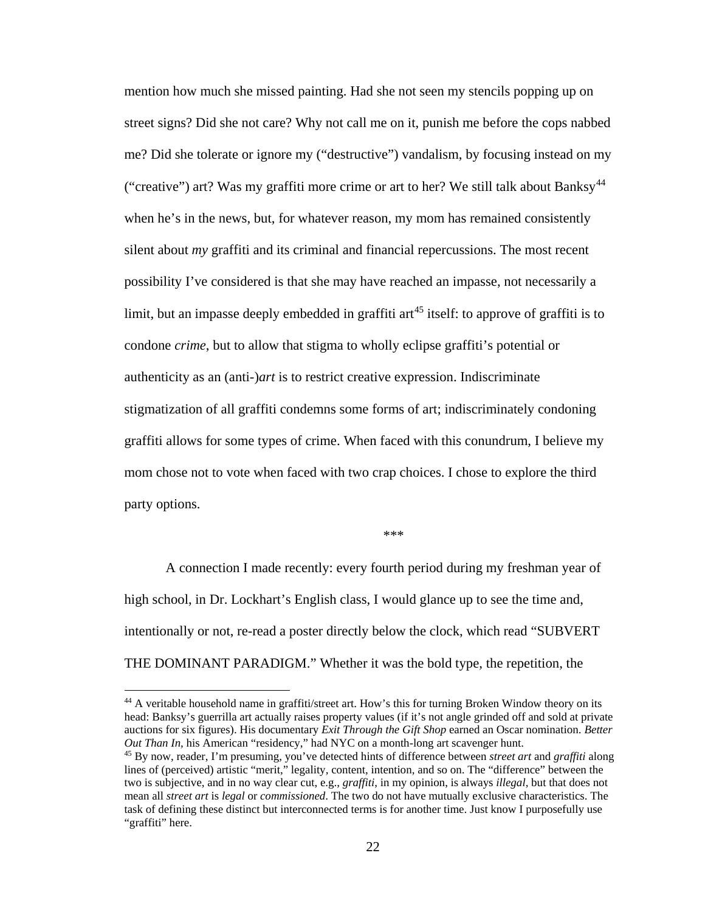mention how much she missed painting. Had she not seen my stencils popping up on street signs? Did she not care? Why not call me on it, punish me before the cops nabbed me? Did she tolerate or ignore my ("destructive") vandalism, by focusing instead on my ("creative") art? Was my graffiti more crime or art to her? We still talk about Banksy<sup>[44](#page-27-0)</sup> when he's in the news, but, for whatever reason, my mom has remained consistently silent about *my* graffiti and its criminal and financial repercussions. The most recent possibility I've considered is that she may have reached an impasse, not necessarily a limit, but an impasse deeply embedded in graffiti art<sup>[45](#page-27-1)</sup> itself: to approve of graffiti is to condone *crime*, but to allow that stigma to wholly eclipse graffiti's potential or authenticity as an (anti-)*art* is to restrict creative expression. Indiscriminate stigmatization of all graffiti condemns some forms of art; indiscriminately condoning graffiti allows for some types of crime. When faced with this conundrum, I believe my mom chose not to vote when faced with two crap choices. I chose to explore the third party options.

\*\*\*

A connection I made recently: every fourth period during my freshman year of high school, in Dr. Lockhart's English class, I would glance up to see the time and, intentionally or not, re-read a poster directly below the clock, which read "SUBVERT THE DOMINANT PARADIGM." Whether it was the bold type, the repetition, the

<span id="page-27-0"></span><sup>44</sup> A veritable household name in graffiti/street art. How's this for turning Broken Window theory on its head: Banksy's guerrilla art actually raises property values (if it's not angle grinded off and sold at private auctions for six figures). His documentary *Exit Through the Gift Shop* earned an Oscar nomination. *Better Out Than In,* his American "residency," had NYC on a month-long art scavenger hunt.

<span id="page-27-1"></span><sup>45</sup> By now, reader, I'm presuming, you've detected hints of difference between *street art* and *graffiti* along lines of (perceived) artistic "merit," legality, content, intention, and so on. The "difference" between the two is subjective, and in no way clear cut, e.g., *graffiti*, in my opinion, is always *illegal*, but that does not mean all *street art* is *legal* or *commissioned*. The two do not have mutually exclusive characteristics. The task of defining these distinct but interconnected terms is for another time. Just know I purposefully use "graffiti" here.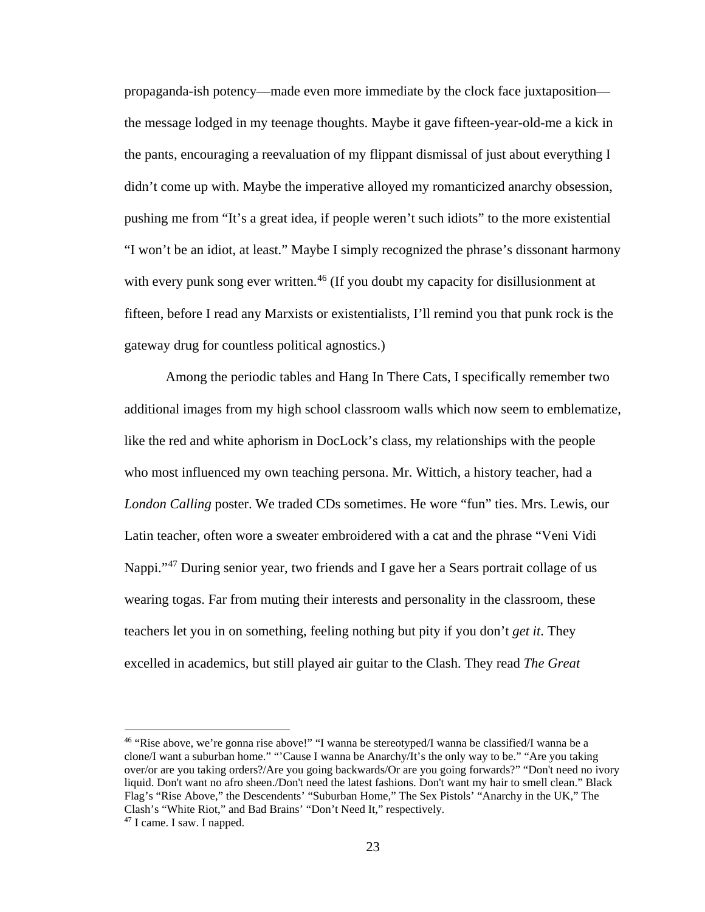propaganda-ish potency—made even more immediate by the clock face juxtaposition the message lodged in my teenage thoughts. Maybe it gave fifteen-year-old-me a kick in the pants, encouraging a reevaluation of my flippant dismissal of just about everything I didn't come up with. Maybe the imperative alloyed my romanticized anarchy obsession, pushing me from "It's a great idea, if people weren't such idiots" to the more existential "I won't be an idiot, at least." Maybe I simply recognized the phrase's dissonant harmony with every punk song ever written.<sup>[46](#page-28-0)</sup> (If you doubt my capacity for disillusionment at fifteen, before I read any Marxists or existentialists, I'll remind you that punk rock is the gateway drug for countless political agnostics.)

Among the periodic tables and Hang In There Cats, I specifically remember two additional images from my high school classroom walls which now seem to emblematize, like the red and white aphorism in DocLock's class, my relationships with the people who most influenced my own teaching persona. Mr. Wittich, a history teacher, had a *London Calling* poster. We traded CDs sometimes. He wore "fun" ties. Mrs. Lewis, our Latin teacher, often wore a sweater embroidered with a cat and the phrase "Veni Vidi Nappi."<sup>[47](#page-28-1)</sup> During senior year, two friends and I gave her a Sears portrait collage of us wearing togas. Far from muting their interests and personality in the classroom, these teachers let you in on something, feeling nothing but pity if you don't *get it*. They excelled in academics, but still played air guitar to the Clash. They read *The Great* 

<span id="page-28-0"></span> <sup>46</sup> "Rise above, we're gonna rise above!" "I wanna be stereotyped/I wanna be classified/I wanna be a clone/I want a suburban home." "'Cause I wanna be Anarchy/It's the only way to be." "Are you taking over/or are you taking orders?/Are you going backwards/Or are you going forwards?" "Don't need no ivory liquid. Don't want no afro sheen./Don't need the latest fashions. Don't want my hair to smell clean." Black Flag's "Rise Above," the Descendents' "Suburban Home," The Sex Pistols' "Anarchy in the UK," The Clash's "White Riot," and Bad Brains' "Don't Need It," respectively.

<span id="page-28-1"></span><sup>47</sup> I came. I saw. I napped.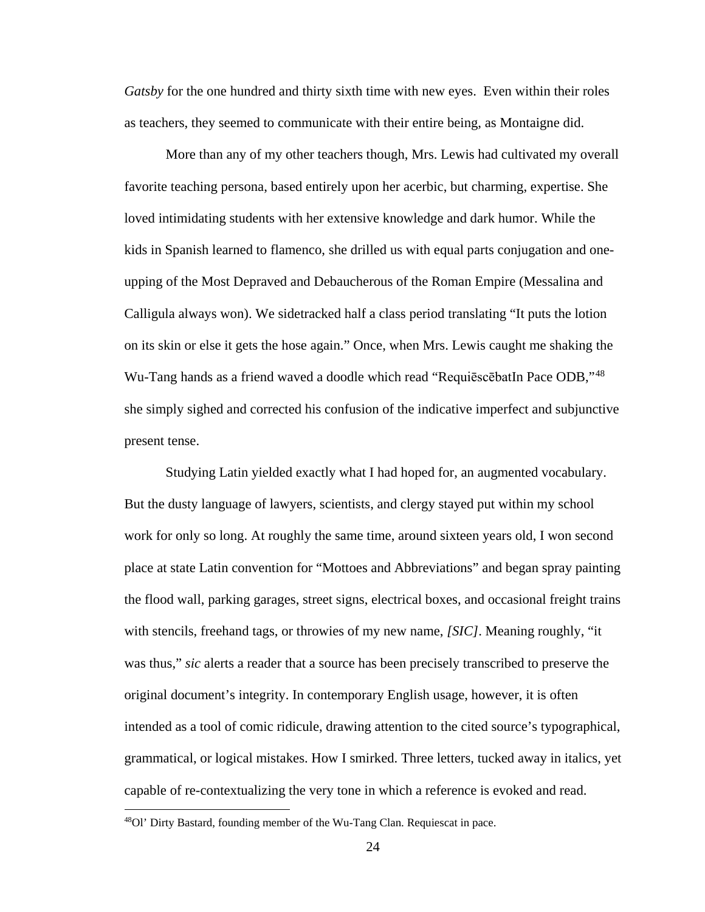*Gatsby* for the one hundred and thirty sixth time with new eyes. Even within their roles as teachers, they seemed to communicate with their entire being, as Montaigne did.

More than any of my other teachers though, Mrs. Lewis had cultivated my overall favorite teaching persona, based entirely upon her acerbic, but charming, expertise. She loved intimidating students with her extensive knowledge and dark humor. While the kids in Spanish learned to flamenco, she drilled us with equal parts conjugation and oneupping of the Most Depraved and Debaucherous of the Roman Empire (Messalina and Calligula always won). We sidetracked half a class period translating "It puts the lotion on its skin or else it gets the hose again." Once, when Mrs. Lewis caught me shaking the Wu-Tang hands as a friend waved a doodle which read "RequiescebatIn Pace ODB,"<sup>[48](#page-29-0)</sup> she simply sighed and corrected his confusion of the indicative imperfect and subjunctive present tense.

Studying Latin yielded exactly what I had hoped for, an augmented vocabulary. But the dusty language of lawyers, scientists, and clergy stayed put within my school work for only so long. At roughly the same time, around sixteen years old, I won second place at state Latin convention for "Mottoes and Abbreviations" and began spray painting the flood wall, parking garages, street signs, electrical boxes, and occasional freight trains with stencils, freehand tags, or throwies of my new name, *[SIC]*. Meaning roughly, "it was thus," *sic* alerts a reader that a source has been precisely transcribed to preserve the original document's integrity. In contemporary English usage, however, it is often intended as a tool of comic ridicule, drawing attention to the cited source's typographical, grammatical, or logical mistakes. How I smirked. Three letters, tucked away in italics, yet capable of re-contextualizing the very tone in which a reference is evoked and read.

<span id="page-29-0"></span> <sup>48</sup>Ol' Dirty Bastard, founding member of the Wu-Tang Clan. Requiescat in pace.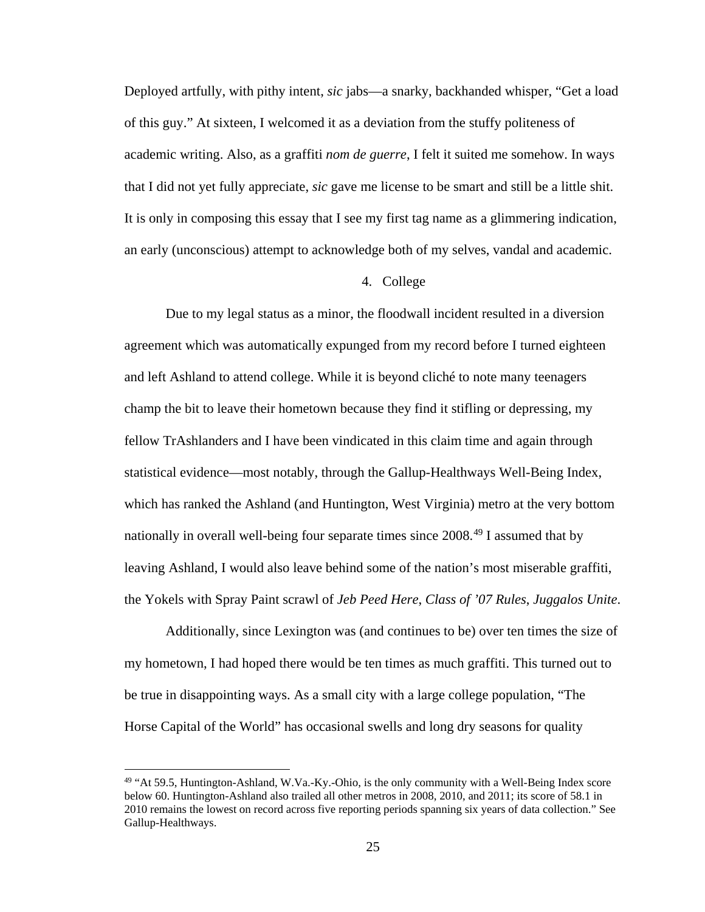Deployed artfully, with pithy intent, *sic* jabs—a snarky, backhanded whisper, "Get a load of this guy." At sixteen, I welcomed it as a deviation from the stuffy politeness of academic writing. Also, as a graffiti *nom de guerre*, I felt it suited me somehow. In ways that I did not yet fully appreciate, *sic* gave me license to be smart and still be a little shit. It is only in composing this essay that I see my first tag name as a glimmering indication, an early (unconscious) attempt to acknowledge both of my selves, vandal and academic.

#### 4. College

Due to my legal status as a minor, the floodwall incident resulted in a diversion agreement which was automatically expunged from my record before I turned eighteen and left Ashland to attend college. While it is beyond cliché to note many teenagers champ the bit to leave their hometown because they find it stifling or depressing, my fellow TrAshlanders and I have been vindicated in this claim time and again through statistical evidence—most notably, through the Gallup-Healthways Well-Being Index, which has ranked the Ashland (and Huntington, West Virginia) metro at the very bottom nationally in overall well-being four separate times since 2008.<sup>[49](#page-30-0)</sup> I assumed that by leaving Ashland, I would also leave behind some of the nation's most miserable graffiti, the Yokels with Spray Paint scrawl of *Jeb Peed Here*, *Class of '07 Rules*, *Juggalos Unite*.

Additionally, since Lexington was (and continues to be) over ten times the size of my hometown, I had hoped there would be ten times as much graffiti. This turned out to be true in disappointing ways. As a small city with a large college population, "The Horse Capital of the World" has occasional swells and long dry seasons for quality

<span id="page-30-0"></span> $49$  "At 59.5, Huntington-Ashland, W.Va.-Ky.-Ohio, is the only community with a Well-Being Index score below 60. Huntington-Ashland also trailed all other metros in 2008, 2010, and 2011; its score of 58.1 in 2010 remains the lowest on record across five reporting periods spanning six years of data collection." See Gallup-Healthways.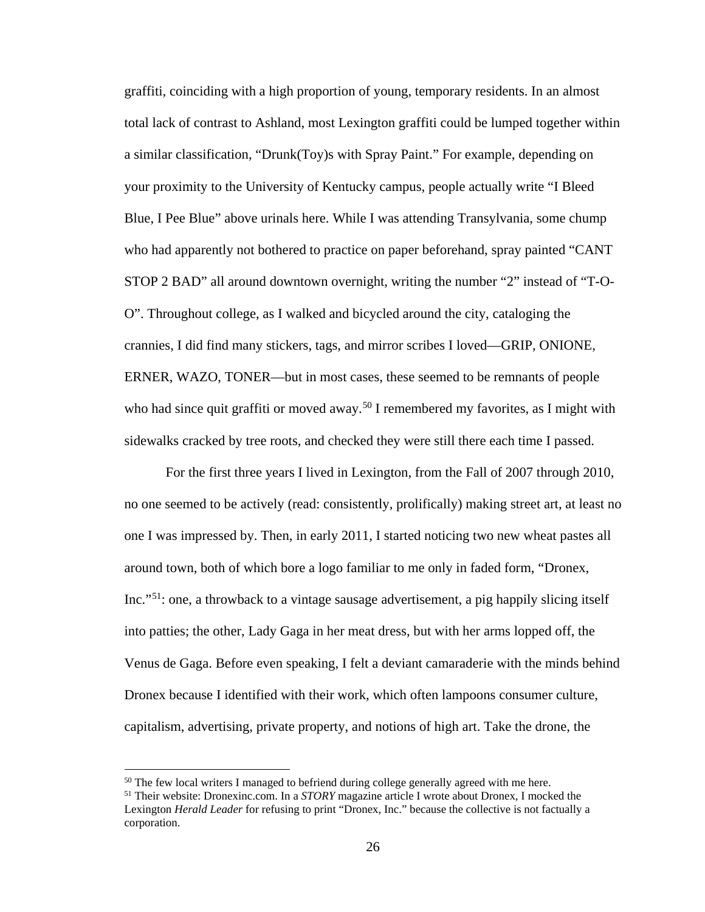graffiti, coinciding with a high proportion of young, temporary residents. In an almost total lack of contrast to Ashland, most Lexington graffiti could be lumped together within a similar classification, "Drunk(Toy)s with Spray Paint." For example, depending on your proximity to the University of Kentucky campus, people actually write "I Bleed Blue, I Pee Blue" above urinals here. While I was attending Transylvania, some chump who had apparently not bothered to practice on paper beforehand, spray painted "CANT STOP 2 BAD" all around downtown overnight, writing the number "2" instead of "T-O-O". Throughout college, as I walked and bicycled around the city, cataloging the crannies, I did find many stickers, tags, and mirror scribes I loved—GRIP, ONIONE, ERNER, WAZO, TONER—but in most cases, these seemed to be remnants of people who had since quit graffiti or moved away.<sup>[50](#page-31-0)</sup> I remembered my favorites, as I might with sidewalks cracked by tree roots, and checked they were still there each time I passed.

For the first three years I lived in Lexington, from the Fall of 2007 through 2010, no one seemed to be actively (read: consistently, prolifically) making street art, at least no one I was impressed by. Then, in early 2011, I started noticing two new wheat pastes all around town, both of which bore a logo familiar to me only in faded form, "Dronex, Inc."[51](#page-31-1): one, a throwback to a vintage sausage advertisement, a pig happily slicing itself into patties; the other, Lady Gaga in her meat dress, but with her arms lopped off, the Venus de Gaga. Before even speaking, I felt a deviant camaraderie with the minds behind Dronex because I identified with their work, which often lampoons consumer culture, capitalism, advertising, private property, and notions of high art. Take the drone, the

<span id="page-31-0"></span><sup>&</sup>lt;sup>50</sup> The few local writers I managed to befriend during college generally agreed with me here.

<span id="page-31-1"></span><sup>51</sup> Their website: Dronexinc.com. In a *STORY* magazine article I wrote about Dronex, I mocked the Lexington *Herald Leader* for refusing to print "Dronex, Inc." because the collective is not factually a corporation.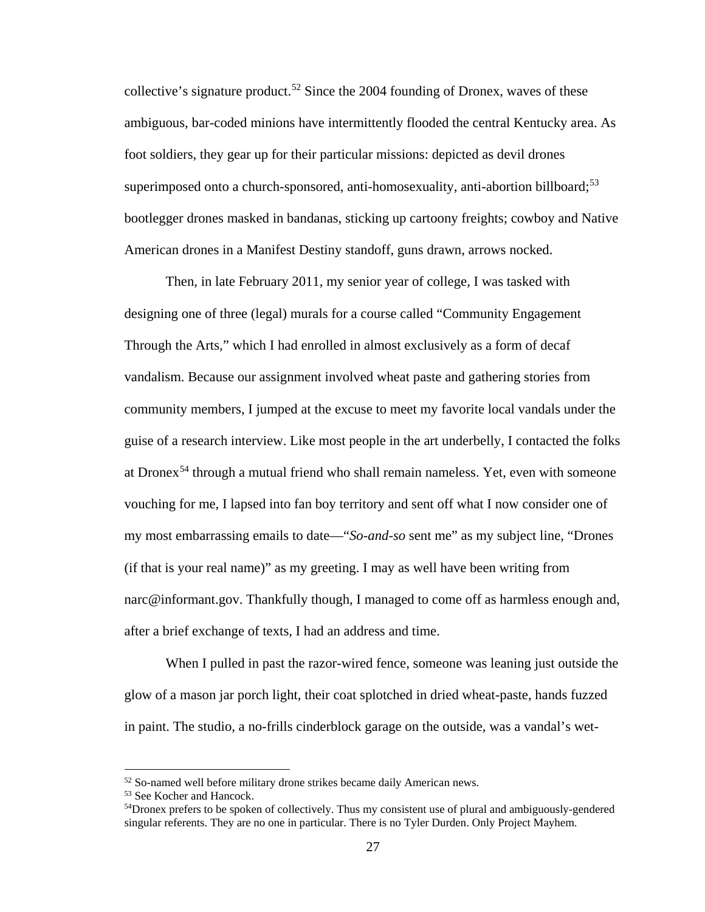collective's signature product.<sup>[52](#page-32-0)</sup> Since the 2004 founding of Dronex, waves of these ambiguous, bar-coded minions have intermittently flooded the central Kentucky area. As foot soldiers, they gear up for their particular missions: depicted as devil drones superimposed onto a church-sponsored, anti-homosexuality, anti-abortion billboard;<sup>[53](#page-32-1)</sup> bootlegger drones masked in bandanas, sticking up cartoony freights; cowboy and Native American drones in a Manifest Destiny standoff, guns drawn, arrows nocked.

Then, in late February 2011, my senior year of college, I was tasked with designing one of three (legal) murals for a course called "Community Engagement Through the Arts," which I had enrolled in almost exclusively as a form of decaf vandalism. Because our assignment involved wheat paste and gathering stories from community members, I jumped at the excuse to meet my favorite local vandals under the guise of a research interview. Like most people in the art underbelly, I contacted the folks at Dronex<sup>[54](#page-32-2)</sup> through a mutual friend who shall remain nameless. Yet, even with someone vouching for me, I lapsed into fan boy territory and sent off what I now consider one of my most embarrassing emails to date—"*So-and-so* sent me" as my subject line, "Drones (if that is your real name)" as my greeting. I may as well have been writing from narc@informant.gov. Thankfully though, I managed to come off as harmless enough and, after a brief exchange of texts, I had an address and time.

When I pulled in past the razor-wired fence, someone was leaning just outside the glow of a mason jar porch light, their coat splotched in dried wheat-paste, hands fuzzed in paint. The studio, a no-frills cinderblock garage on the outside, was a vandal's wet-

<span id="page-32-0"></span><sup>&</sup>lt;sup>52</sup> So-named well before military drone strikes became daily American news.

<sup>53</sup> See Kocher and Hancock.

<span id="page-32-2"></span><span id="page-32-1"></span><sup>54</sup>Dronex prefers to be spoken of collectively. Thus my consistent use of plural and ambiguously-gendered singular referents. They are no one in particular. There is no Tyler Durden. Only Project Mayhem.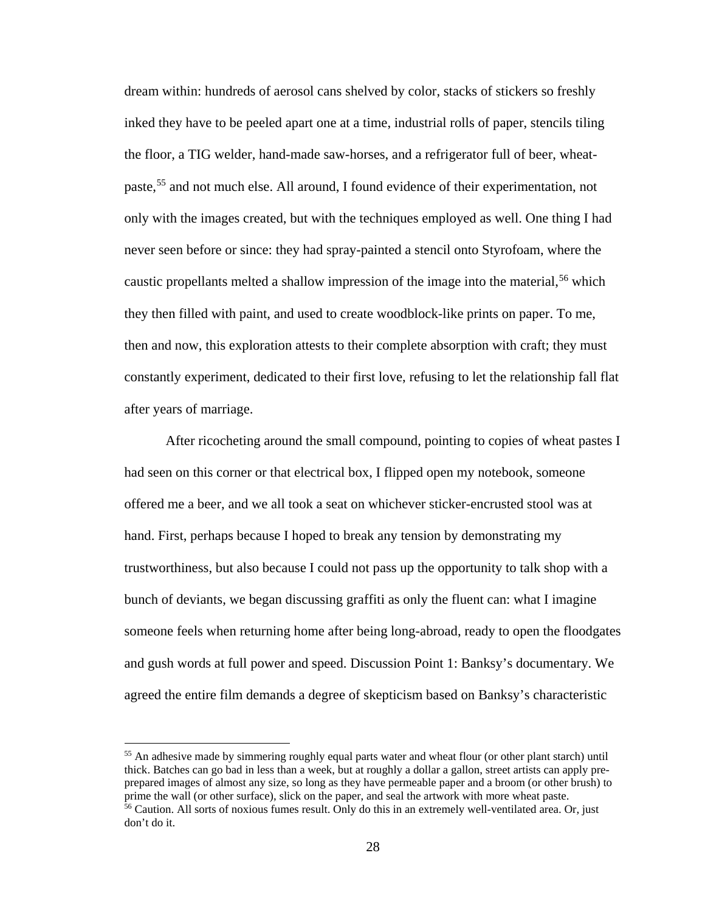dream within: hundreds of aerosol cans shelved by color, stacks of stickers so freshly inked they have to be peeled apart one at a time, industrial rolls of paper, stencils tiling the floor, a TIG welder, hand-made saw-horses, and a refrigerator full of beer, wheatpaste,[55](#page-33-0) and not much else. All around, I found evidence of their experimentation, not only with the images created, but with the techniques employed as well. One thing I had never seen before or since: they had spray-painted a stencil onto Styrofoam, where the caustic propellants melted a shallow impression of the image into the material,  $56$  which they then filled with paint, and used to create woodblock-like prints on paper. To me, then and now, this exploration attests to their complete absorption with craft; they must constantly experiment, dedicated to their first love, refusing to let the relationship fall flat after years of marriage.

After ricocheting around the small compound, pointing to copies of wheat pastes I had seen on this corner or that electrical box, I flipped open my notebook, someone offered me a beer, and we all took a seat on whichever sticker-encrusted stool was at hand. First, perhaps because I hoped to break any tension by demonstrating my trustworthiness, but also because I could not pass up the opportunity to talk shop with a bunch of deviants, we began discussing graffiti as only the fluent can: what I imagine someone feels when returning home after being long-abroad, ready to open the floodgates and gush words at full power and speed. Discussion Point 1: Banksy's documentary. We agreed the entire film demands a degree of skepticism based on Banksy's characteristic

<span id="page-33-1"></span><span id="page-33-0"></span><sup>&</sup>lt;sup>55</sup> An adhesive made by simmering roughly equal parts water and wheat flour (or other plant starch) until thick. Batches can go bad in less than a week, but at roughly a dollar a gallon, street artists can apply preprepared images of almost any size, so long as they have permeable paper and a broom (or other brush) to prime the wall (or other surface), slick on the paper, and seal the artwork with more wheat paste. <sup>56</sup> Caution. All sorts of noxious fumes result. Only do this in an extremely well-ventilated area. Or, just don't do it.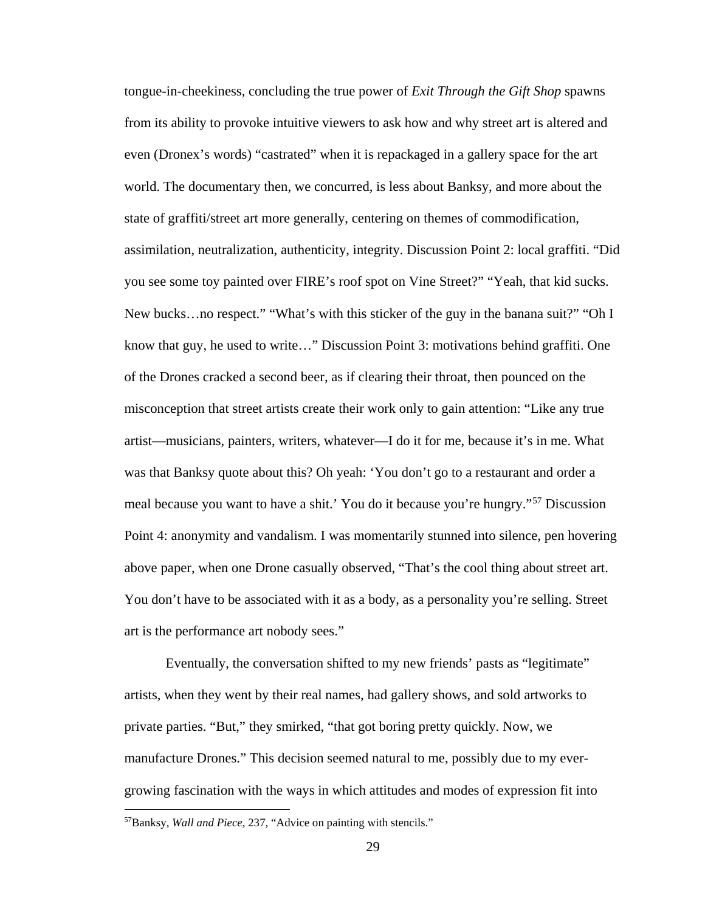tongue-in-cheekiness, concluding the true power of *Exit Through the Gift Shop* spawns from its ability to provoke intuitive viewers to ask how and why street art is altered and even (Dronex's words) "castrated" when it is repackaged in a gallery space for the art world. The documentary then, we concurred, is less about Banksy, and more about the state of graffiti/street art more generally, centering on themes of commodification, assimilation, neutralization, authenticity, integrity. Discussion Point 2: local graffiti. "Did you see some toy painted over FIRE's roof spot on Vine Street?" "Yeah, that kid sucks. New bucks…no respect." "What's with this sticker of the guy in the banana suit?" "Oh I know that guy, he used to write…" Discussion Point 3: motivations behind graffiti. One of the Drones cracked a second beer, as if clearing their throat, then pounced on the misconception that street artists create their work only to gain attention: "Like any true artist—musicians, painters, writers, whatever—I do it for me, because it's in me. What was that Banksy quote about this? Oh yeah: 'You don't go to a restaurant and order a meal because you want to have a shit.' You do it because you're hungry."[57](#page-34-0) Discussion Point 4: anonymity and vandalism. I was momentarily stunned into silence, pen hovering above paper, when one Drone casually observed, "That's the cool thing about street art. You don't have to be associated with it as a body, as a personality you're selling. Street art is the performance art nobody sees."

Eventually, the conversation shifted to my new friends' pasts as "legitimate" artists, when they went by their real names, had gallery shows, and sold artworks to private parties. "But," they smirked, "that got boring pretty quickly. Now, we manufacture Drones." This decision seemed natural to me, possibly due to my evergrowing fascination with the ways in which attitudes and modes of expression fit into

<span id="page-34-0"></span> <sup>57</sup>Banksy, *Wall and Piece*, 237, "Advice on painting with stencils."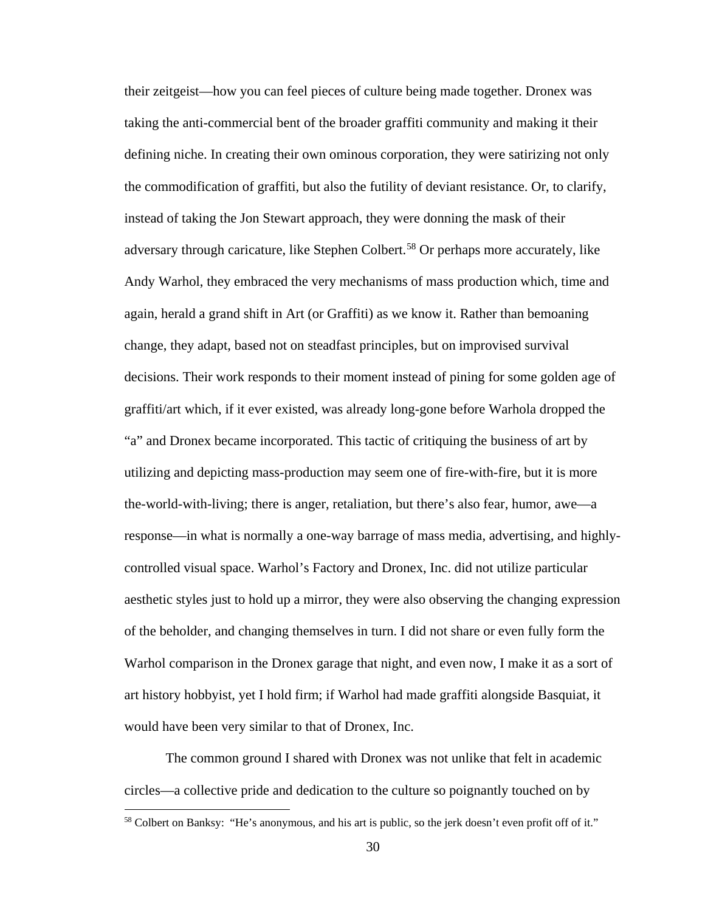their zeitgeist—how you can feel pieces of culture being made together. Dronex was taking the anti-commercial bent of the broader graffiti community and making it their defining niche. In creating their own ominous corporation, they were satirizing not only the commodification of graffiti, but also the futility of deviant resistance. Or, to clarify, instead of taking the Jon Stewart approach, they were donning the mask of their adversary through caricature, like Stephen Colbert.<sup>[58](#page-35-0)</sup> Or perhaps more accurately, like Andy Warhol, they embraced the very mechanisms of mass production which, time and again, herald a grand shift in Art (or Graffiti) as we know it. Rather than bemoaning change, they adapt, based not on steadfast principles, but on improvised survival decisions. Their work responds to their moment instead of pining for some golden age of graffiti/art which, if it ever existed, was already long-gone before Warhola dropped the "a" and Dronex became incorporated. This tactic of critiquing the business of art by utilizing and depicting mass-production may seem one of fire-with-fire, but it is more the-world-with-living; there is anger, retaliation, but there's also fear, humor, awe—a response—in what is normally a one-way barrage of mass media, advertising, and highlycontrolled visual space. Warhol's Factory and Dronex, Inc. did not utilize particular aesthetic styles just to hold up a mirror, they were also observing the changing expression of the beholder, and changing themselves in turn. I did not share or even fully form the Warhol comparison in the Dronex garage that night, and even now, I make it as a sort of art history hobbyist, yet I hold firm; if Warhol had made graffiti alongside Basquiat, it would have been very similar to that of Dronex, Inc.

The common ground I shared with Dronex was not unlike that felt in academic circles—a collective pride and dedication to the culture so poignantly touched on by

<span id="page-35-0"></span><sup>&</sup>lt;sup>58</sup> Colbert on Banksy: "He's anonymous, and his art is public, so the jerk doesn't even profit off of it."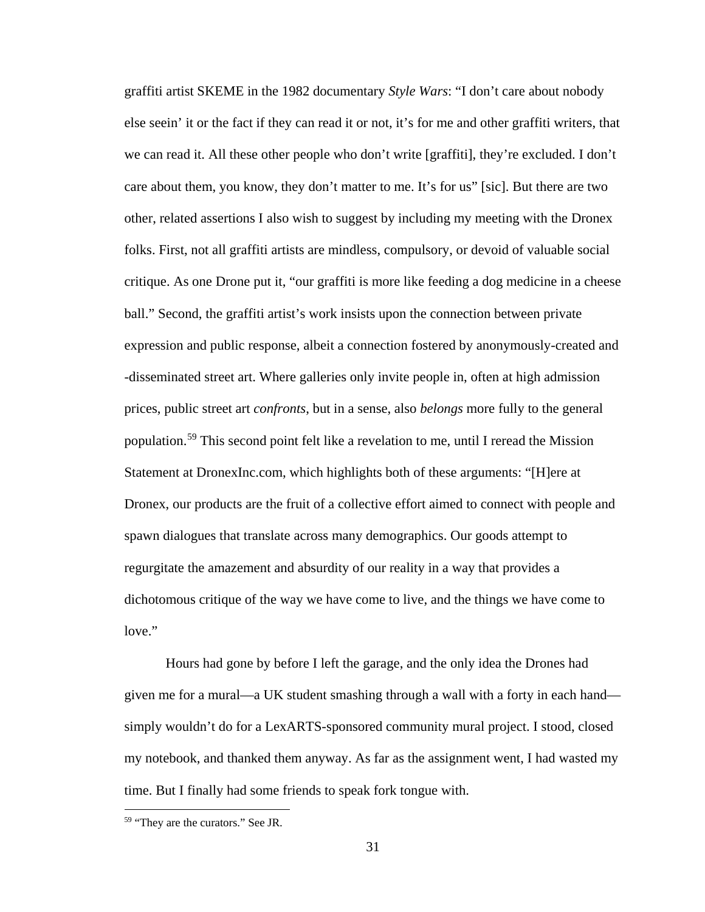graffiti artist SKEME in the 1982 documentary *Style Wars*: "I don't care about nobody else seein' it or the fact if they can read it or not, it's for me and other graffiti writers, that we can read it. All these other people who don't write [graffiti], they're excluded. I don't care about them, you know, they don't matter to me. It's for us" [sic]. But there are two other, related assertions I also wish to suggest by including my meeting with the Dronex folks. First, not all graffiti artists are mindless, compulsory, or devoid of valuable social critique. As one Drone put it, "our graffiti is more like feeding a dog medicine in a cheese ball." Second, the graffiti artist's work insists upon the connection between private expression and public response, albeit a connection fostered by anonymously-created and -disseminated street art. Where galleries only invite people in, often at high admission prices, public street art *confronts*, but in a sense, also *belongs* more fully to the general population.<sup>[59](#page-36-0)</sup> This second point felt like a revelation to me, until I reread the Mission Statement at DronexInc.com, which highlights both of these arguments: "[H]ere at Dronex, our products are the fruit of a collective effort aimed to connect with people and spawn dialogues that translate across many demographics. Our goods attempt to regurgitate the amazement and absurdity of our reality in a way that provides a dichotomous critique of the way we have come to live, and the things we have come to love."

Hours had gone by before I left the garage, and the only idea the Drones had given me for a mural—a UK student smashing through a wall with a forty in each hand simply wouldn't do for a LexARTS-sponsored community mural project. I stood, closed my notebook, and thanked them anyway. As far as the assignment went, I had wasted my time. But I finally had some friends to speak fork tongue with.

<span id="page-36-0"></span> <sup>59</sup> "They are the curators." See JR.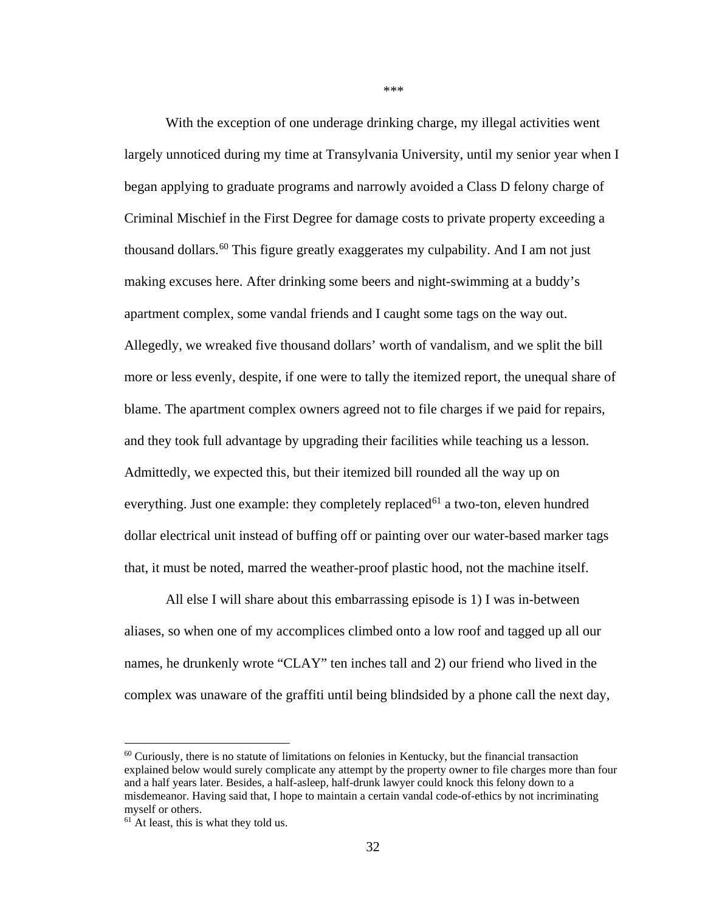With the exception of one underage drinking charge, my illegal activities went largely unnoticed during my time at Transylvania University, until my senior year when I began applying to graduate programs and narrowly avoided a Class D felony charge of Criminal Mischief in the First Degree for damage costs to private property exceeding a thousand dollars.<sup>[60](#page-37-0)</sup> This figure greatly exaggerates my culpability. And I am not just making excuses here. After drinking some beers and night-swimming at a buddy's apartment complex, some vandal friends and I caught some tags on the way out. Allegedly, we wreaked five thousand dollars' worth of vandalism, and we split the bill more or less evenly, despite, if one were to tally the itemized report, the unequal share of blame. The apartment complex owners agreed not to file charges if we paid for repairs, and they took full advantage by upgrading their facilities while teaching us a lesson. Admittedly, we expected this, but their itemized bill rounded all the way up on everything. Just one example: they completely replaced<sup>[61](#page-37-1)</sup> a two-ton, eleven hundred dollar electrical unit instead of buffing off or painting over our water-based marker tags that, it must be noted, marred the weather-proof plastic hood, not the machine itself.

\*\*\*

All else I will share about this embarrassing episode is 1) I was in-between aliases, so when one of my accomplices climbed onto a low roof and tagged up all our names, he drunkenly wrote "CLAY" ten inches tall and 2) our friend who lived in the complex was unaware of the graffiti until being blindsided by a phone call the next day,

<span id="page-37-0"></span> $60$  Curiously, there is no statute of limitations on felonies in Kentucky, but the financial transaction explained below would surely complicate any attempt by the property owner to file charges more than four and a half years later. Besides, a half-asleep, half-drunk lawyer could knock this felony down to a misdemeanor. Having said that, I hope to maintain a certain vandal code-of-ethics by not incriminating myself or others.

<span id="page-37-1"></span> $61$  At least, this is what they told us.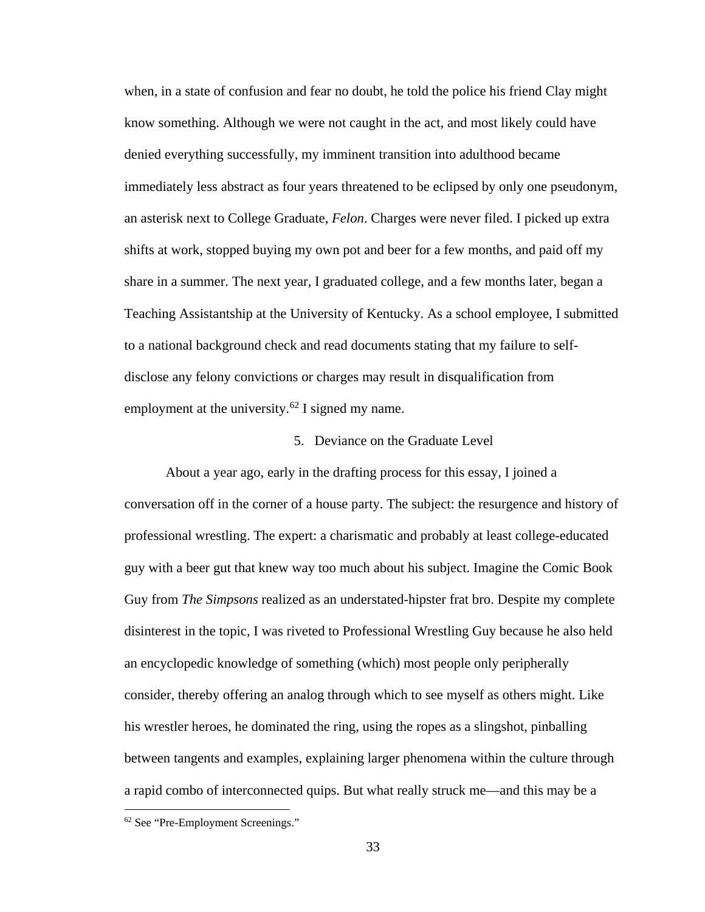when, in a state of confusion and fear no doubt, he told the police his friend Clay might know something. Although we were not caught in the act, and most likely could have denied everything successfully, my imminent transition into adulthood became immediately less abstract as four years threatened to be eclipsed by only one pseudonym, an asterisk next to College Graduate, *Felon*. Charges were never filed. I picked up extra shifts at work, stopped buying my own pot and beer for a few months, and paid off my share in a summer. The next year, I graduated college, and a few months later, began a Teaching Assistantship at the University of Kentucky. As a school employee, I submitted to a national background check and read documents stating that my failure to selfdisclose any felony convictions or charges may result in disqualification from employment at the university.<sup>[62](#page-38-0)</sup> I signed my name.

#### 5. Deviance on the Graduate Level

About a year ago, early in the drafting process for this essay, I joined a conversation off in the corner of a house party. The subject: the resurgence and history of professional wrestling. The expert: a charismatic and probably at least college-educated guy with a beer gut that knew way too much about his subject. Imagine the Comic Book Guy from *The Simpsons* realized as an understated-hipster frat bro. Despite my complete disinterest in the topic, I was riveted to Professional Wrestling Guy because he also held an encyclopedic knowledge of something (which) most people only peripherally consider, thereby offering an analog through which to see myself as others might. Like his wrestler heroes, he dominated the ring, using the ropes as a slingshot, pinballing between tangents and examples, explaining larger phenomena within the culture through a rapid combo of interconnected quips. But what really struck me—and this may be a

<span id="page-38-0"></span> <sup>62</sup> See "Pre-Employment Screenings."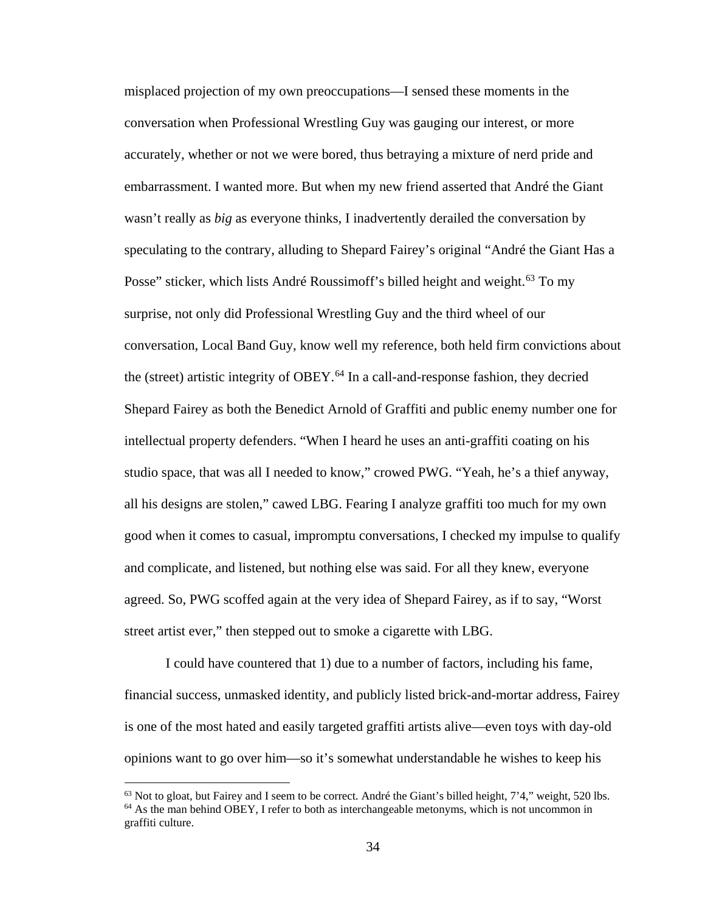misplaced projection of my own preoccupations—I sensed these moments in the conversation when Professional Wrestling Guy was gauging our interest, or more accurately, whether or not we were bored, thus betraying a mixture of nerd pride and embarrassment. I wanted more. But when my new friend asserted that André the Giant wasn't really as *big* as everyone thinks, I inadvertently derailed the conversation by speculating to the contrary, alluding to Shepard Fairey's original "André the Giant Has a Posse" sticker, which lists André Roussimoff's billed height and weight.<sup>[63](#page-39-0)</sup> To my surprise, not only did Professional Wrestling Guy and the third wheel of our conversation, Local Band Guy, know well my reference, both held firm convictions about the (street) artistic integrity of OBEY. [64](#page-39-1) In a call-and-response fashion, they decried Shepard Fairey as both the Benedict Arnold of Graffiti and public enemy number one for intellectual property defenders. "When I heard he uses an anti-graffiti coating on his studio space, that was all I needed to know," crowed PWG. "Yeah, he's a thief anyway, all his designs are stolen," cawed LBG. Fearing I analyze graffiti too much for my own good when it comes to casual, impromptu conversations, I checked my impulse to qualify and complicate, and listened, but nothing else was said. For all they knew, everyone agreed. So, PWG scoffed again at the very idea of Shepard Fairey, as if to say, "Worst street artist ever," then stepped out to smoke a cigarette with LBG.

I could have countered that 1) due to a number of factors, including his fame, financial success, unmasked identity, and publicly listed brick-and-mortar address, Fairey is one of the most hated and easily targeted graffiti artists alive—even toys with day-old opinions want to go over him—so it's somewhat understandable he wishes to keep his

<span id="page-39-1"></span><span id="page-39-0"></span> $63$  Not to gloat, but Fairey and I seem to be correct. André the Giant's billed height,  $7'4$ ," weight,  $520$  lbs.  $64$  As the man behind OBEY, I refer to both as interchangeable metonyms, which is not uncommon in graffiti culture.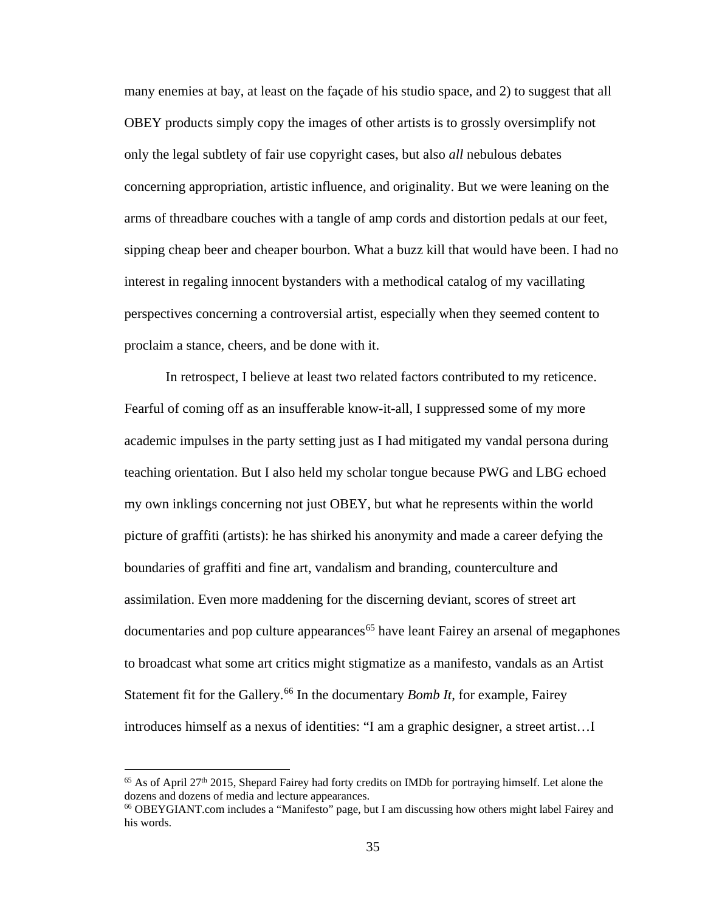many enemies at bay, at least on the façade of his studio space, and 2) to suggest that all OBEY products simply copy the images of other artists is to grossly oversimplify not only the legal subtlety of fair use copyright cases, but also *all* nebulous debates concerning appropriation, artistic influence, and originality. But we were leaning on the arms of threadbare couches with a tangle of amp cords and distortion pedals at our feet, sipping cheap beer and cheaper bourbon. What a buzz kill that would have been. I had no interest in regaling innocent bystanders with a methodical catalog of my vacillating perspectives concerning a controversial artist, especially when they seemed content to proclaim a stance, cheers, and be done with it.

In retrospect, I believe at least two related factors contributed to my reticence. Fearful of coming off as an insufferable know-it-all, I suppressed some of my more academic impulses in the party setting just as I had mitigated my vandal persona during teaching orientation. But I also held my scholar tongue because PWG and LBG echoed my own inklings concerning not just OBEY, but what he represents within the world picture of graffiti (artists): he has shirked his anonymity and made a career defying the boundaries of graffiti and fine art, vandalism and branding, counterculture and assimilation. Even more maddening for the discerning deviant, scores of street art documentaries and pop culture appearances<sup>[65](#page-40-0)</sup> have leant Fairey an arsenal of megaphones to broadcast what some art critics might stigmatize as a manifesto, vandals as an Artist Statement fit for the Gallery.<sup>[66](#page-40-1)</sup> In the documentary *Bomb It*, for example, Fairey introduces himself as a nexus of identities: "I am a graphic designer, a street artist…I

<span id="page-40-0"></span> $65$  As of April 27<sup>th</sup> 2015, Shepard Fairey had forty credits on IMDb for portraying himself. Let alone the dozens and dozens of media and lecture appearances.

<span id="page-40-1"></span><sup>66</sup> OBEYGIANT.com includes a "Manifesto" page, but I am discussing how others might label Fairey and his words.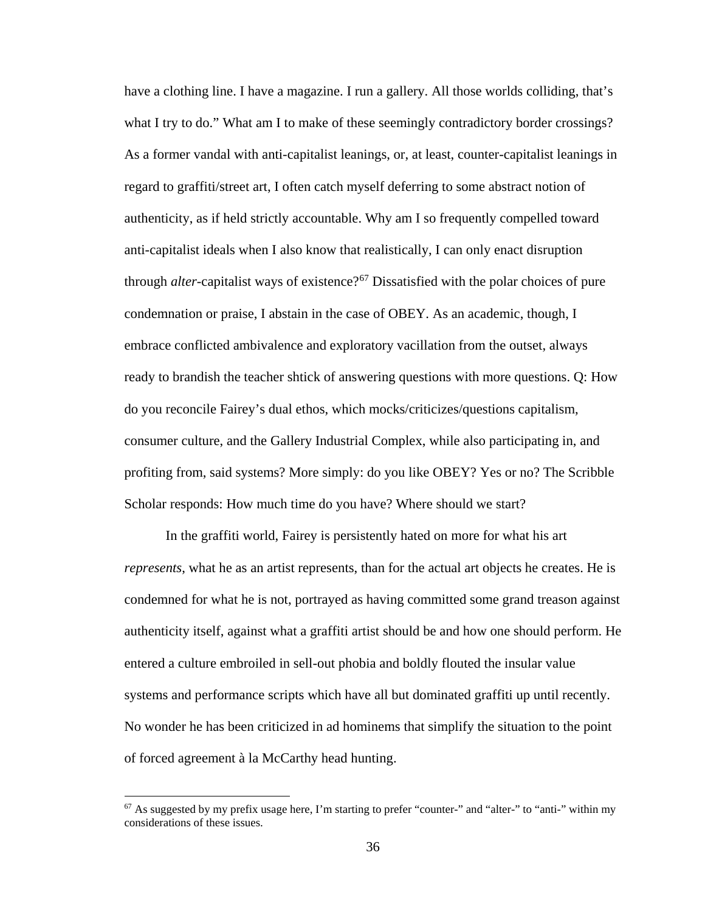have a clothing line. I have a magazine. I run a gallery. All those worlds colliding, that's what I try to do." What am I to make of these seemingly contradictory border crossings? As a former vandal with anti-capitalist leanings, or, at least, counter-capitalist leanings in regard to graffiti/street art, I often catch myself deferring to some abstract notion of authenticity, as if held strictly accountable. Why am I so frequently compelled toward anti-capitalist ideals when I also know that realistically, I can only enact disruption through *alter*-capitalist ways of existence?<sup>[67](#page-41-0)</sup> Dissatisfied with the polar choices of pure condemnation or praise, I abstain in the case of OBEY. As an academic, though, I embrace conflicted ambivalence and exploratory vacillation from the outset, always ready to brandish the teacher shtick of answering questions with more questions. Q: How do you reconcile Fairey's dual ethos, which mocks/criticizes/questions capitalism, consumer culture, and the Gallery Industrial Complex, while also participating in, and profiting from, said systems? More simply: do you like OBEY? Yes or no? The Scribble Scholar responds: How much time do you have? Where should we start?

In the graffiti world, Fairey is persistently hated on more for what his art *represents*, what he as an artist represents, than for the actual art objects he creates. He is condemned for what he is not, portrayed as having committed some grand treason against authenticity itself, against what a graffiti artist should be and how one should perform. He entered a culture embroiled in sell-out phobia and boldly flouted the insular value systems and performance scripts which have all but dominated graffiti up until recently. No wonder he has been criticized in ad hominems that simplify the situation to the point of forced agreement à la McCarthy head hunting.

<span id="page-41-0"></span> <sup>67</sup> As suggested by my prefix usage here, I'm starting to prefer "counter-" and "alter-" to "anti-" within my considerations of these issues.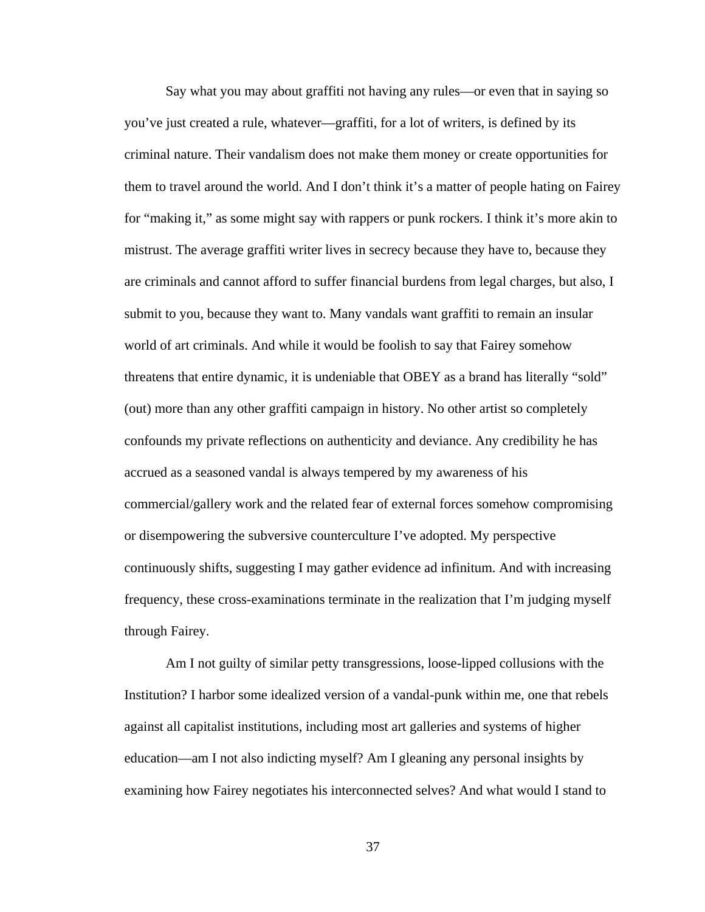Say what you may about graffiti not having any rules—or even that in saying so you've just created a rule, whatever—graffiti, for a lot of writers, is defined by its criminal nature. Their vandalism does not make them money or create opportunities for them to travel around the world. And I don't think it's a matter of people hating on Fairey for "making it," as some might say with rappers or punk rockers. I think it's more akin to mistrust. The average graffiti writer lives in secrecy because they have to, because they are criminals and cannot afford to suffer financial burdens from legal charges, but also, I submit to you, because they want to. Many vandals want graffiti to remain an insular world of art criminals. And while it would be foolish to say that Fairey somehow threatens that entire dynamic, it is undeniable that OBEY as a brand has literally "sold" (out) more than any other graffiti campaign in history. No other artist so completely confounds my private reflections on authenticity and deviance. Any credibility he has accrued as a seasoned vandal is always tempered by my awareness of his commercial/gallery work and the related fear of external forces somehow compromising or disempowering the subversive counterculture I've adopted. My perspective continuously shifts, suggesting I may gather evidence ad infinitum. And with increasing frequency, these cross-examinations terminate in the realization that I'm judging myself through Fairey.

Am I not guilty of similar petty transgressions, loose-lipped collusions with the Institution? I harbor some idealized version of a vandal-punk within me, one that rebels against all capitalist institutions, including most art galleries and systems of higher education—am I not also indicting myself? Am I gleaning any personal insights by examining how Fairey negotiates his interconnected selves? And what would I stand to

37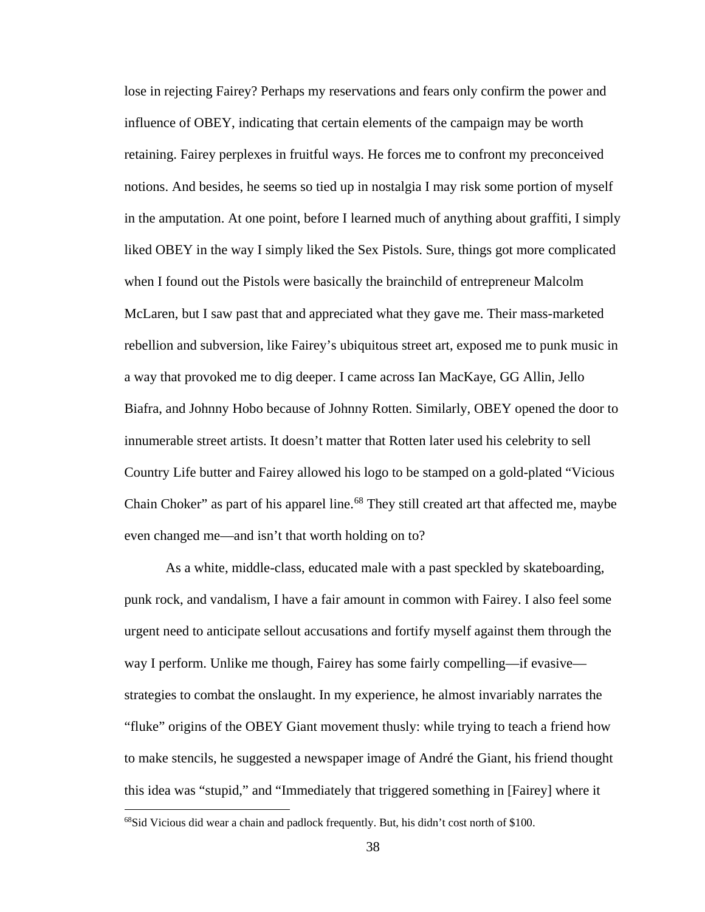lose in rejecting Fairey? Perhaps my reservations and fears only confirm the power and influence of OBEY, indicating that certain elements of the campaign may be worth retaining. Fairey perplexes in fruitful ways. He forces me to confront my preconceived notions. And besides, he seems so tied up in nostalgia I may risk some portion of myself in the amputation. At one point, before I learned much of anything about graffiti, I simply liked OBEY in the way I simply liked the Sex Pistols. Sure, things got more complicated when I found out the Pistols were basically the brainchild of entrepreneur Malcolm McLaren, but I saw past that and appreciated what they gave me. Their mass-marketed rebellion and subversion, like Fairey's ubiquitous street art, exposed me to punk music in a way that provoked me to dig deeper. I came across Ian MacKaye, GG Allin, Jello Biafra, and Johnny Hobo because of Johnny Rotten. Similarly, OBEY opened the door to innumerable street artists. It doesn't matter that Rotten later used his celebrity to sell Country Life butter and Fairey allowed his logo to be stamped on a gold-plated "Vicious Chain Choker" as part of his apparel line.<sup>[68](#page-43-0)</sup> They still created art that affected me, maybe even changed me—and isn't that worth holding on to?

As a white, middle-class, educated male with a past speckled by skateboarding, punk rock, and vandalism, I have a fair amount in common with Fairey. I also feel some urgent need to anticipate sellout accusations and fortify myself against them through the way I perform. Unlike me though, Fairey has some fairly compelling—if evasive strategies to combat the onslaught. In my experience, he almost invariably narrates the "fluke" origins of the OBEY Giant movement thusly: while trying to teach a friend how to make stencils, he suggested a newspaper image of André the Giant, his friend thought this idea was "stupid," and "Immediately that triggered something in [Fairey] where it

<span id="page-43-0"></span> <sup>68</sup>Sid Vicious did wear a chain and padlock frequently. But, his didn't cost north of \$100.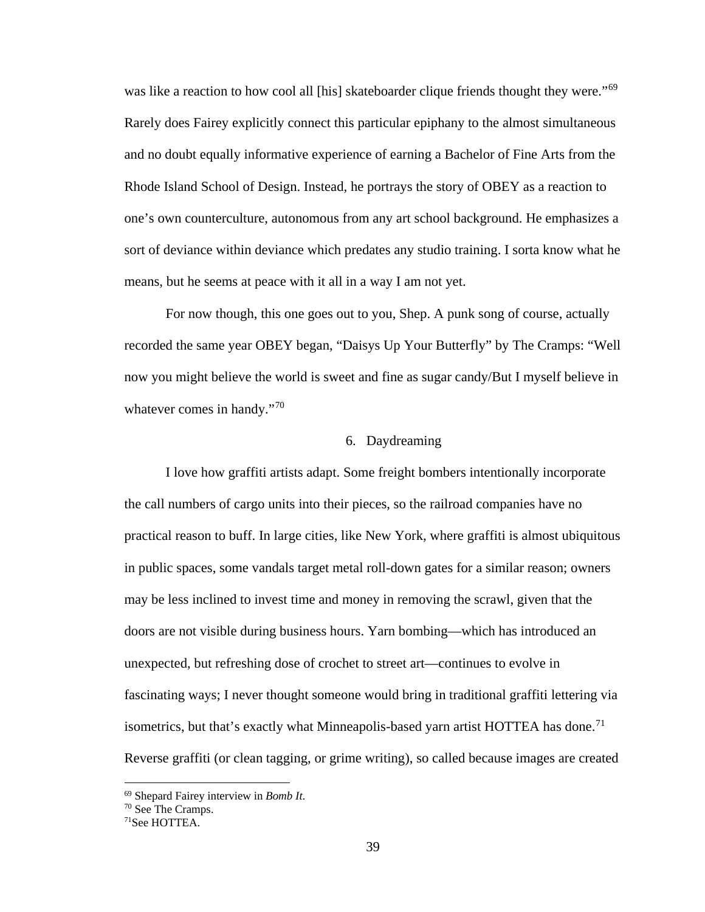was like a reaction to how cool all [his] skateboarder clique friends thought they were."<sup>[69](#page-44-0)</sup> Rarely does Fairey explicitly connect this particular epiphany to the almost simultaneous and no doubt equally informative experience of earning a Bachelor of Fine Arts from the Rhode Island School of Design. Instead, he portrays the story of OBEY as a reaction to one's own counterculture, autonomous from any art school background. He emphasizes a sort of deviance within deviance which predates any studio training. I sorta know what he means, but he seems at peace with it all in a way I am not yet.

For now though, this one goes out to you, Shep. A punk song of course, actually recorded the same year OBEY began, "Daisys Up Your Butterfly" by The Cramps: "Well now you might believe the world is sweet and fine as sugar candy/But I myself believe in whatever comes in handy."<sup>[70](#page-44-1)</sup>

#### 6. Daydreaming

I love how graffiti artists adapt. Some freight bombers intentionally incorporate the call numbers of cargo units into their pieces, so the railroad companies have no practical reason to buff. In large cities, like New York, where graffiti is almost ubiquitous in public spaces, some vandals target metal roll-down gates for a similar reason; owners may be less inclined to invest time and money in removing the scrawl, given that the doors are not visible during business hours. Yarn bombing—which has introduced an unexpected, but refreshing dose of crochet to street art—continues to evolve in fascinating ways; I never thought someone would bring in traditional graffiti lettering via isometrics, but that's exactly what Minneapolis-based yarn artist HOTTEA has done.<sup>[71](#page-44-2)</sup> Reverse graffiti (or clean tagging, or grime writing), so called because images are created

<span id="page-44-0"></span> <sup>69</sup> Shepard Fairey interview in *Bomb It*.

<sup>70</sup> See The Cramps.

<span id="page-44-2"></span><span id="page-44-1"></span><sup>71</sup>See HOTTEA.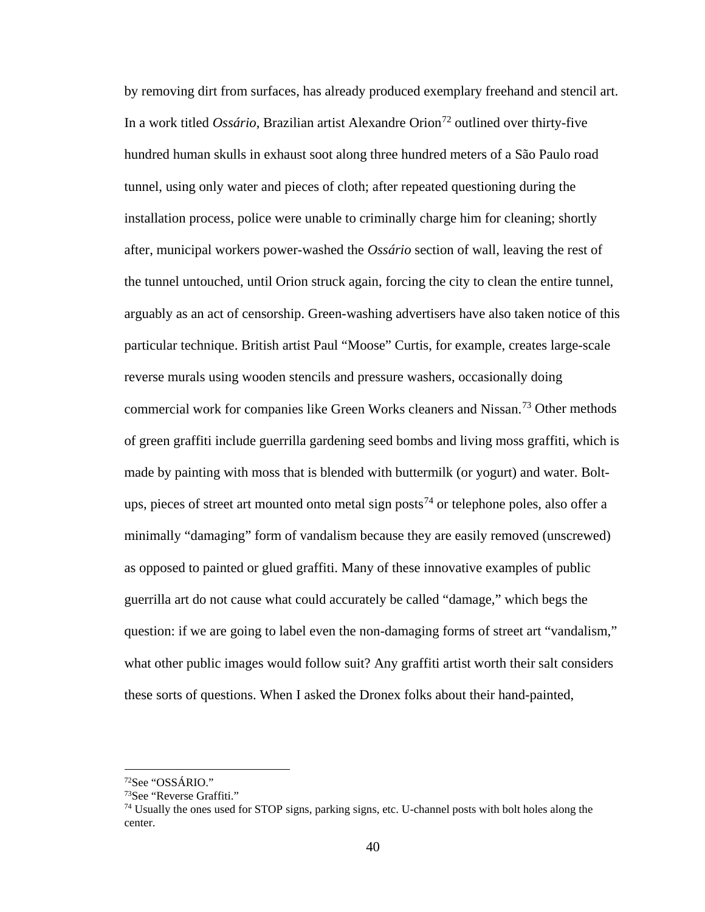by removing dirt from surfaces, has already produced exemplary freehand and stencil art. In a work titled *Ossário*, Brazilian artist Alexandre Orion<sup>[72](#page-45-0)</sup> outlined over thirty-five hundred human skulls in exhaust soot along three hundred meters of a São Paulo road tunnel, using only water and pieces of cloth; after repeated questioning during the installation process, police were unable to criminally charge him for cleaning; shortly after, municipal workers power-washed the *Ossário* section of wall, leaving the rest of the tunnel untouched, until Orion struck again, forcing the city to clean the entire tunnel, arguably as an act of censorship. Green-washing advertisers have also taken notice of this particular technique. British artist Paul "Moose" Curtis, for example, creates large-scale reverse murals using wooden stencils and pressure washers, occasionally doing commercial work for companies like Green Works cleaners and Nissan.<sup>[73](#page-45-1)</sup> Other methods of green graffiti include guerrilla gardening seed bombs and living moss graffiti, which is made by painting with moss that is blended with buttermilk (or yogurt) and water. Bolt-ups, pieces of street art mounted onto metal sign posts<sup>[74](#page-45-2)</sup> or telephone poles, also offer a minimally "damaging" form of vandalism because they are easily removed (unscrewed) as opposed to painted or glued graffiti. Many of these innovative examples of public guerrilla art do not cause what could accurately be called "damage," which begs the question: if we are going to label even the non-damaging forms of street art "vandalism," what other public images would follow suit? Any graffiti artist worth their salt considers these sorts of questions. When I asked the Dronex folks about their hand-painted,

 <sup>72</sup>See "OSSÁRIO."

<span id="page-45-2"></span><span id="page-45-1"></span><span id="page-45-0"></span><sup>73</sup>See "Reverse Graffiti."

<sup>74</sup> Usually the ones used for STOP signs, parking signs, etc. U-channel posts with bolt holes along the center.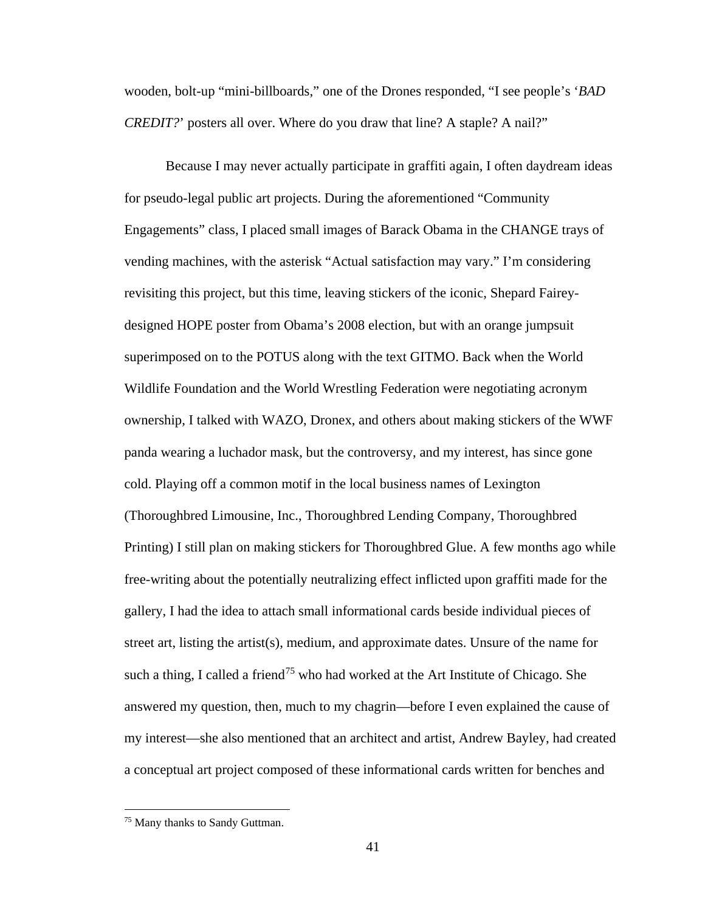wooden, bolt-up "mini-billboards," one of the Drones responded, "I see people's '*BAD CREDIT?*' posters all over. Where do you draw that line? A staple? A nail?"

Because I may never actually participate in graffiti again, I often daydream ideas for pseudo-legal public art projects. During the aforementioned "Community Engagements" class, I placed small images of Barack Obama in the CHANGE trays of vending machines, with the asterisk "Actual satisfaction may vary." I'm considering revisiting this project, but this time, leaving stickers of the iconic, Shepard Faireydesigned HOPE poster from Obama's 2008 election, but with an orange jumpsuit superimposed on to the POTUS along with the text GITMO. Back when the World Wildlife Foundation and the World Wrestling Federation were negotiating acronym ownership, I talked with WAZO, Dronex, and others about making stickers of the WWF panda wearing a luchador mask, but the controversy, and my interest, has since gone cold. Playing off a common motif in the local business names of Lexington (Thoroughbred Limousine, Inc., Thoroughbred Lending Company, Thoroughbred Printing) I still plan on making stickers for Thoroughbred Glue. A few months ago while free-writing about the potentially neutralizing effect inflicted upon graffiti made for the gallery, I had the idea to attach small informational cards beside individual pieces of street art, listing the artist(s), medium, and approximate dates. Unsure of the name for such a thing, I called a friend<sup>[75](#page-46-0)</sup> who had worked at the Art Institute of Chicago. She answered my question, then, much to my chagrin—before I even explained the cause of my interest—she also mentioned that an architect and artist, Andrew Bayley, had created a conceptual art project composed of these informational cards written for benches and

<span id="page-46-0"></span> <sup>75</sup> Many thanks to Sandy Guttman.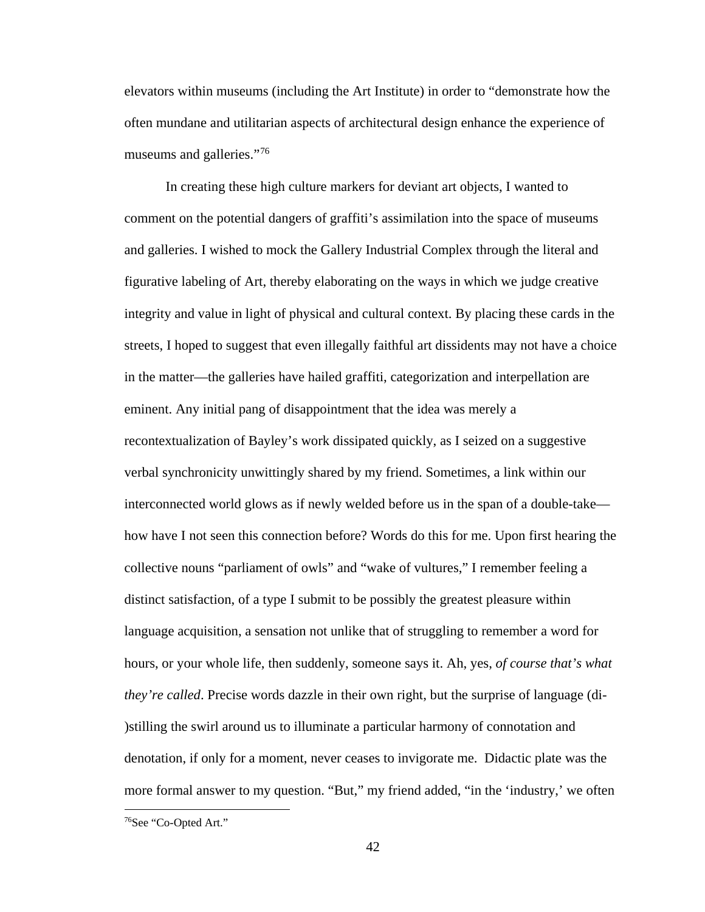elevators within museums (including the Art Institute) in order to "demonstrate how the often mundane and utilitarian aspects of architectural design enhance the experience of museums and galleries."<sup>[76](#page-47-0)</sup>

In creating these high culture markers for deviant art objects, I wanted to comment on the potential dangers of graffiti's assimilation into the space of museums and galleries. I wished to mock the Gallery Industrial Complex through the literal and figurative labeling of Art, thereby elaborating on the ways in which we judge creative integrity and value in light of physical and cultural context. By placing these cards in the streets, I hoped to suggest that even illegally faithful art dissidents may not have a choice in the matter—the galleries have hailed graffiti, categorization and interpellation are eminent. Any initial pang of disappointment that the idea was merely a recontextualization of Bayley's work dissipated quickly, as I seized on a suggestive verbal synchronicity unwittingly shared by my friend. Sometimes, a link within our interconnected world glows as if newly welded before us in the span of a double-take how have I not seen this connection before? Words do this for me. Upon first hearing the collective nouns "parliament of owls" and "wake of vultures," I remember feeling a distinct satisfaction, of a type I submit to be possibly the greatest pleasure within language acquisition, a sensation not unlike that of struggling to remember a word for hours, or your whole life, then suddenly, someone says it. Ah, yes, *of course that's what they're called*. Precise words dazzle in their own right, but the surprise of language (di- )stilling the swirl around us to illuminate a particular harmony of connotation and denotation, if only for a moment, never ceases to invigorate me. Didactic plate was the more formal answer to my question. "But," my friend added, "in the 'industry,' we often

<span id="page-47-0"></span> <sup>76</sup>See "Co-Opted Art."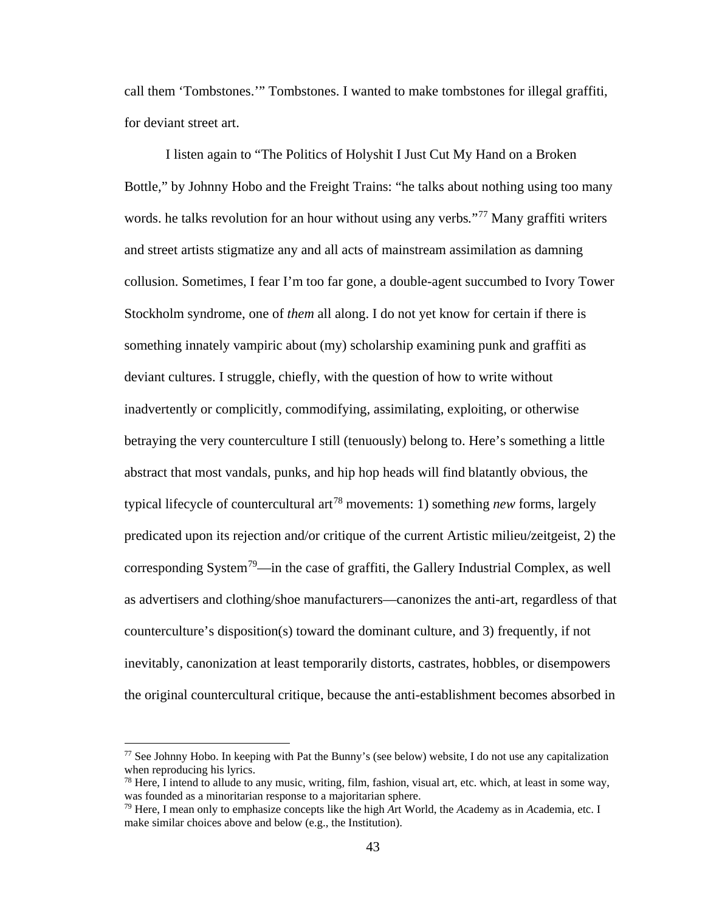call them 'Tombstones.'" Tombstones. I wanted to make tombstones for illegal graffiti, for deviant street art.

I listen again to "The Politics of Holyshit I Just Cut My Hand on a Broken Bottle," by Johnny Hobo and the Freight Trains: "he talks about nothing using too many words. he talks revolution for an hour without using any verbs*.*"[77](#page-48-0) Many graffiti writers and street artists stigmatize any and all acts of mainstream assimilation as damning collusion. Sometimes, I fear I'm too far gone, a double-agent succumbed to Ivory Tower Stockholm syndrome, one of *them* all along. I do not yet know for certain if there is something innately vampiric about (my) scholarship examining punk and graffiti as deviant cultures. I struggle, chiefly, with the question of how to write without inadvertently or complicitly, commodifying, assimilating, exploiting, or otherwise betraying the very counterculture I still (tenuously) belong to. Here's something a little abstract that most vandals, punks, and hip hop heads will find blatantly obvious, the typical lifecycle of countercultural art[78](#page-48-1) movements: 1) something *new* forms, largely predicated upon its rejection and/or critique of the current Artistic milieu/zeitgeist, 2) the corresponding System<sup>79</sup>—in the case of graffiti, the Gallery Industrial Complex, as well as advertisers and clothing/shoe manufacturers—canonizes the anti-art, regardless of that counterculture's disposition(s) toward the dominant culture, and 3) frequently, if not inevitably, canonization at least temporarily distorts, castrates, hobbles, or disempowers the original countercultural critique, because the anti-establishment becomes absorbed in

<span id="page-48-0"></span> <sup>77</sup> See Johnny Hobo. In keeping with Pat the Bunny's (see below) website, I do not use any capitalization when reproducing his lyrics.

<span id="page-48-1"></span> $^{78}$  Here, I intend to allude to any music, writing, film, fashion, visual art, etc. which, at least in some way, was founded as a minoritarian response to a majoritarian sphere.

<span id="page-48-2"></span><sup>79</sup> Here, I mean only to emphasize concepts like the high *A*rt World, the *A*cademy as in *A*cademia, etc. I make similar choices above and below (e.g., the Institution).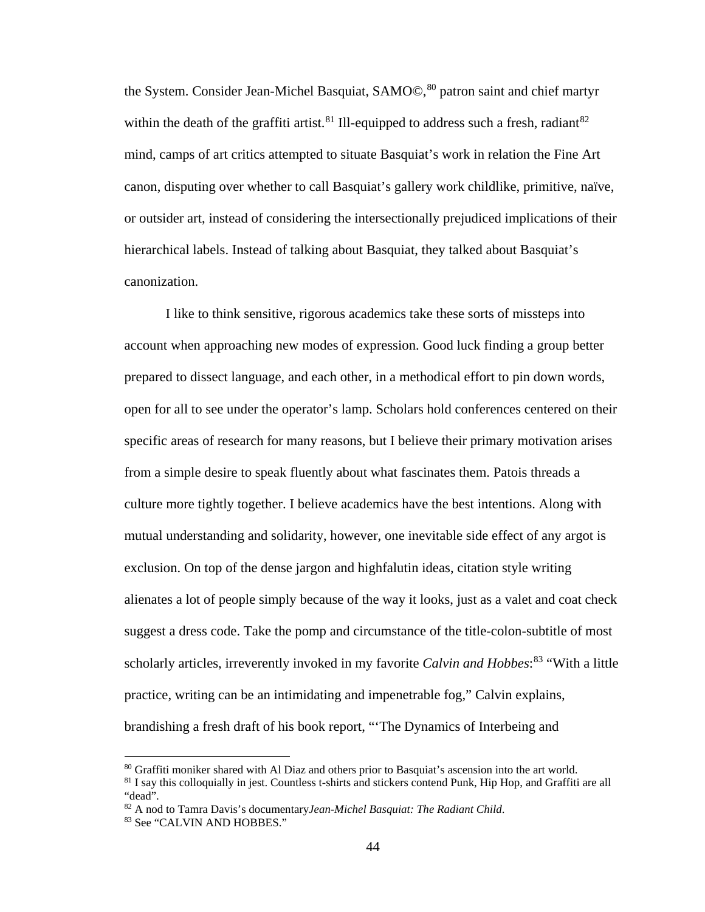the System. Consider Jean-Michel Basquiat, SAMO©,<sup>[80](#page-49-0)</sup> patron saint and chief martyr within the death of the graffiti artist.<sup>[81](#page-49-1)</sup> Ill-equipped to address such a fresh, radiant<sup>[82](#page-49-2)</sup> mind, camps of art critics attempted to situate Basquiat's work in relation the Fine Art canon, disputing over whether to call Basquiat's gallery work childlike, primitive, naïve, or outsider art, instead of considering the intersectionally prejudiced implications of their hierarchical labels. Instead of talking about Basquiat, they talked about Basquiat's canonization.

I like to think sensitive, rigorous academics take these sorts of missteps into account when approaching new modes of expression. Good luck finding a group better prepared to dissect language, and each other, in a methodical effort to pin down words, open for all to see under the operator's lamp. Scholars hold conferences centered on their specific areas of research for many reasons, but I believe their primary motivation arises from a simple desire to speak fluently about what fascinates them. Patois threads a culture more tightly together. I believe academics have the best intentions. Along with mutual understanding and solidarity, however, one inevitable side effect of any argot is exclusion. On top of the dense jargon and highfalutin ideas, citation style writing alienates a lot of people simply because of the way it looks, just as a valet and coat check suggest a dress code. Take the pomp and circumstance of the title-colon-subtitle of most scholarly articles, irreverently invoked in my favorite *Calvin and Hobbes*: [83](#page-49-3) "With a little practice, writing can be an intimidating and impenetrable fog," Calvin explains, brandishing a fresh draft of his book report, "'The Dynamics of Interbeing and

<sup>&</sup>lt;sup>80</sup> Graffiti moniker shared with Al Diaz and others prior to Basquiat's ascension into the art world.

<span id="page-49-1"></span><span id="page-49-0"></span><sup>&</sup>lt;sup>81</sup> I say this colloquially in jest. Countless t-shirts and stickers contend Punk, Hip Hop, and Graffiti are all "dead".

<span id="page-49-2"></span><sup>82</sup> A nod to Tamra Davis's documentary*Jean-Michel Basquiat: The Radiant Child*.

<span id="page-49-3"></span><sup>83</sup> See "CALVIN AND HOBBES."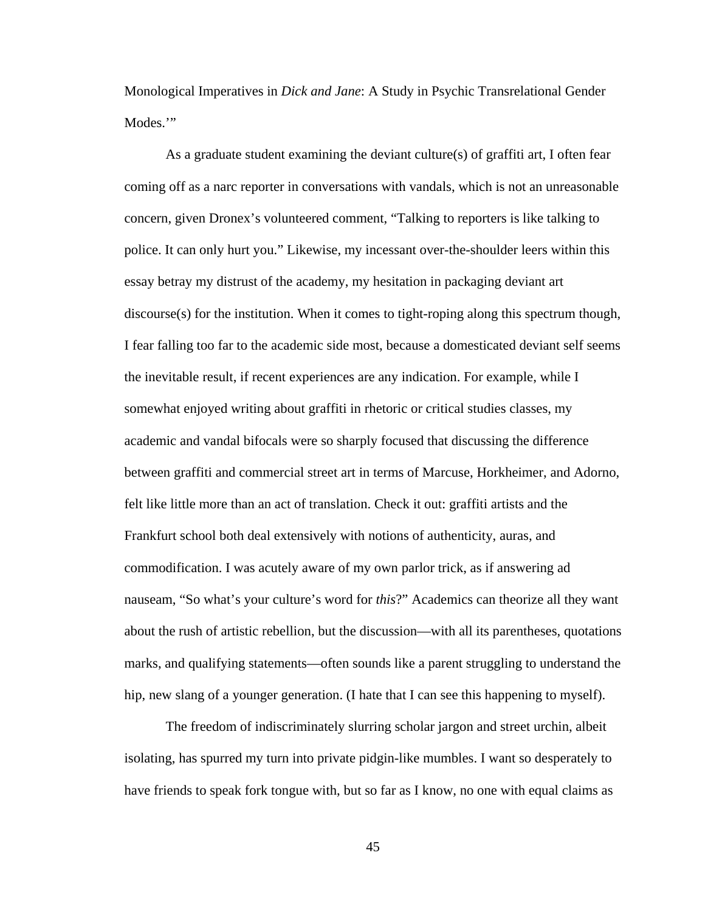Monological Imperatives in *Dick and Jane*: A Study in Psychic Transrelational Gender Modes."

As a graduate student examining the deviant culture(s) of graffiti art, I often fear coming off as a narc reporter in conversations with vandals, which is not an unreasonable concern, given Dronex's volunteered comment, "Talking to reporters is like talking to police. It can only hurt you." Likewise, my incessant over-the-shoulder leers within this essay betray my distrust of the academy, my hesitation in packaging deviant art discourse(s) for the institution. When it comes to tight-roping along this spectrum though, I fear falling too far to the academic side most, because a domesticated deviant self seems the inevitable result, if recent experiences are any indication. For example, while I somewhat enjoyed writing about graffiti in rhetoric or critical studies classes, my academic and vandal bifocals were so sharply focused that discussing the difference between graffiti and commercial street art in terms of Marcuse, Horkheimer, and Adorno, felt like little more than an act of translation. Check it out: graffiti artists and the Frankfurt school both deal extensively with notions of authenticity, auras, and commodification. I was acutely aware of my own parlor trick, as if answering ad nauseam, "So what's your culture's word for *this*?" Academics can theorize all they want about the rush of artistic rebellion, but the discussion—with all its parentheses, quotations marks, and qualifying statements—often sounds like a parent struggling to understand the hip, new slang of a younger generation. (I hate that I can see this happening to myself).

The freedom of indiscriminately slurring scholar jargon and street urchin, albeit isolating, has spurred my turn into private pidgin-like mumbles. I want so desperately to have friends to speak fork tongue with, but so far as I know, no one with equal claims as

45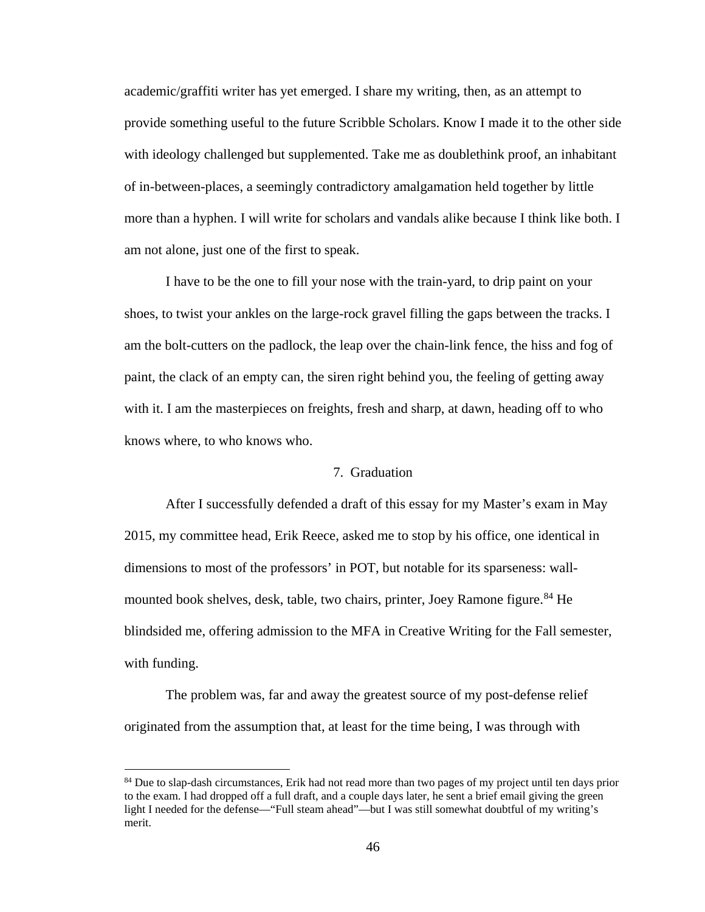academic/graffiti writer has yet emerged. I share my writing, then, as an attempt to provide something useful to the future Scribble Scholars. Know I made it to the other side with ideology challenged but supplemented. Take me as doublethink proof, an inhabitant of in-between-places, a seemingly contradictory amalgamation held together by little more than a hyphen. I will write for scholars and vandals alike because I think like both. I am not alone, just one of the first to speak.

I have to be the one to fill your nose with the train-yard, to drip paint on your shoes, to twist your ankles on the large-rock gravel filling the gaps between the tracks. I am the bolt-cutters on the padlock, the leap over the chain-link fence, the hiss and fog of paint, the clack of an empty can, the siren right behind you, the feeling of getting away with it. I am the masterpieces on freights, fresh and sharp, at dawn, heading off to who knows where, to who knows who.

#### 7. Graduation

After I successfully defended a draft of this essay for my Master's exam in May 2015, my committee head, Erik Reece, asked me to stop by his office, one identical in dimensions to most of the professors' in POT, but notable for its sparseness: wall-mounted book shelves, desk, table, two chairs, printer, Joey Ramone figure.<sup>[84](#page-51-0)</sup> He blindsided me, offering admission to the MFA in Creative Writing for the Fall semester, with funding.

The problem was, far and away the greatest source of my post-defense relief originated from the assumption that, at least for the time being, I was through with

<span id="page-51-0"></span><sup>&</sup>lt;sup>84</sup> Due to slap-dash circumstances, Erik had not read more than two pages of my project until ten days prior to the exam. I had dropped off a full draft, and a couple days later, he sent a brief email giving the green light I needed for the defense—"Full steam ahead"—but I was still somewhat doubtful of my writing's merit.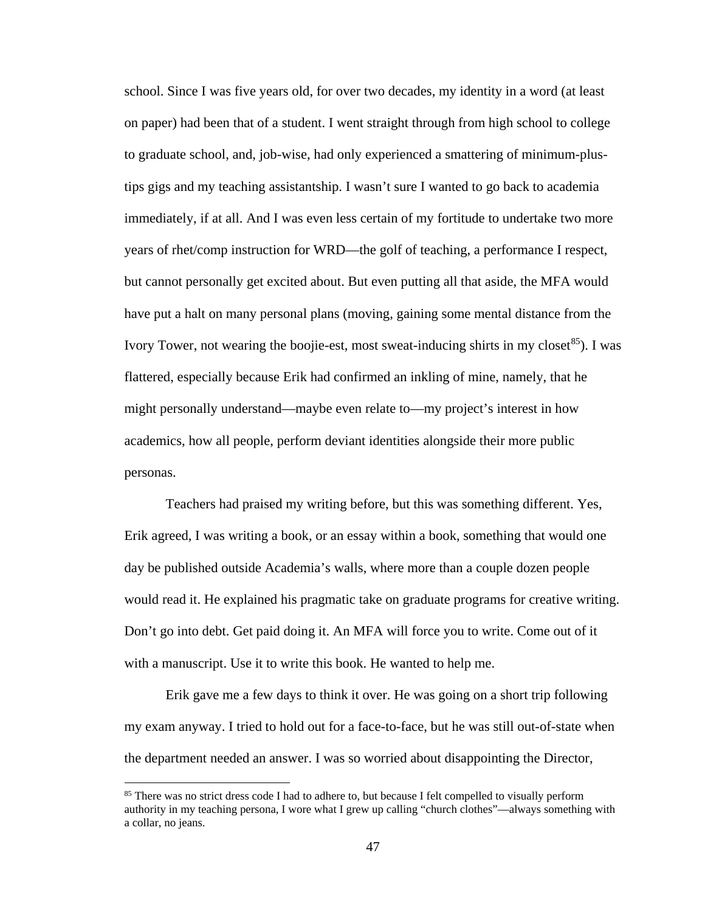school. Since I was five years old, for over two decades, my identity in a word (at least on paper) had been that of a student. I went straight through from high school to college to graduate school, and, job-wise, had only experienced a smattering of minimum-plustips gigs and my teaching assistantship. I wasn't sure I wanted to go back to academia immediately, if at all. And I was even less certain of my fortitude to undertake two more years of rhet/comp instruction for WRD—the golf of teaching, a performance I respect, but cannot personally get excited about. But even putting all that aside, the MFA would have put a halt on many personal plans (moving, gaining some mental distance from the Ivory Tower, not wearing the boojie-est, most sweat-inducing shirts in my closet<sup>[85](#page-52-0)</sup>). I was flattered, especially because Erik had confirmed an inkling of mine, namely, that he might personally understand—maybe even relate to—my project's interest in how academics, how all people, perform deviant identities alongside their more public personas.

Teachers had praised my writing before, but this was something different. Yes, Erik agreed, I was writing a book, or an essay within a book, something that would one day be published outside Academia's walls, where more than a couple dozen people would read it. He explained his pragmatic take on graduate programs for creative writing. Don't go into debt. Get paid doing it. An MFA will force you to write. Come out of it with a manuscript. Use it to write this book. He wanted to help me.

Erik gave me a few days to think it over. He was going on a short trip following my exam anyway. I tried to hold out for a face-to-face, but he was still out-of-state when the department needed an answer. I was so worried about disappointing the Director,

<span id="page-52-0"></span><sup>&</sup>lt;sup>85</sup> There was no strict dress code I had to adhere to, but because I felt compelled to visually perform authority in my teaching persona, I wore what I grew up calling "church clothes"—always something with a collar, no jeans.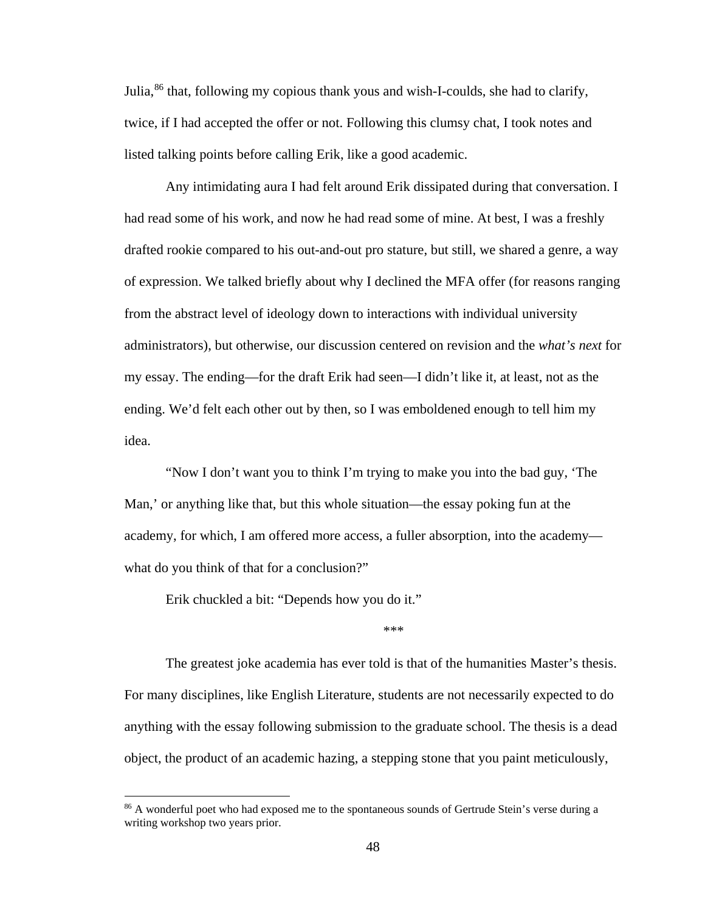Julia,  $86$  that, following my copious thank yous and wish-I-coulds, she had to clarify, twice, if I had accepted the offer or not. Following this clumsy chat, I took notes and listed talking points before calling Erik, like a good academic.

Any intimidating aura I had felt around Erik dissipated during that conversation. I had read some of his work, and now he had read some of mine. At best, I was a freshly drafted rookie compared to his out-and-out pro stature, but still, we shared a genre, a way of expression. We talked briefly about why I declined the MFA offer (for reasons ranging from the abstract level of ideology down to interactions with individual university administrators), but otherwise, our discussion centered on revision and the *what's next* for my essay. The ending—for the draft Erik had seen—I didn't like it, at least, not as the ending. We'd felt each other out by then, so I was emboldened enough to tell him my idea.

"Now I don't want you to think I'm trying to make you into the bad guy, 'The Man,' or anything like that, but this whole situation—the essay poking fun at the academy, for which, I am offered more access, a fuller absorption, into the academy what do you think of that for a conclusion?"

Erik chuckled a bit: "Depends how you do it."

\*\*\*

The greatest joke academia has ever told is that of the humanities Master's thesis. For many disciplines, like English Literature, students are not necessarily expected to do anything with the essay following submission to the graduate school. The thesis is a dead object, the product of an academic hazing, a stepping stone that you paint meticulously,

<span id="page-53-0"></span><sup>&</sup>lt;sup>86</sup> A wonderful poet who had exposed me to the spontaneous sounds of Gertrude Stein's verse during a writing workshop two years prior.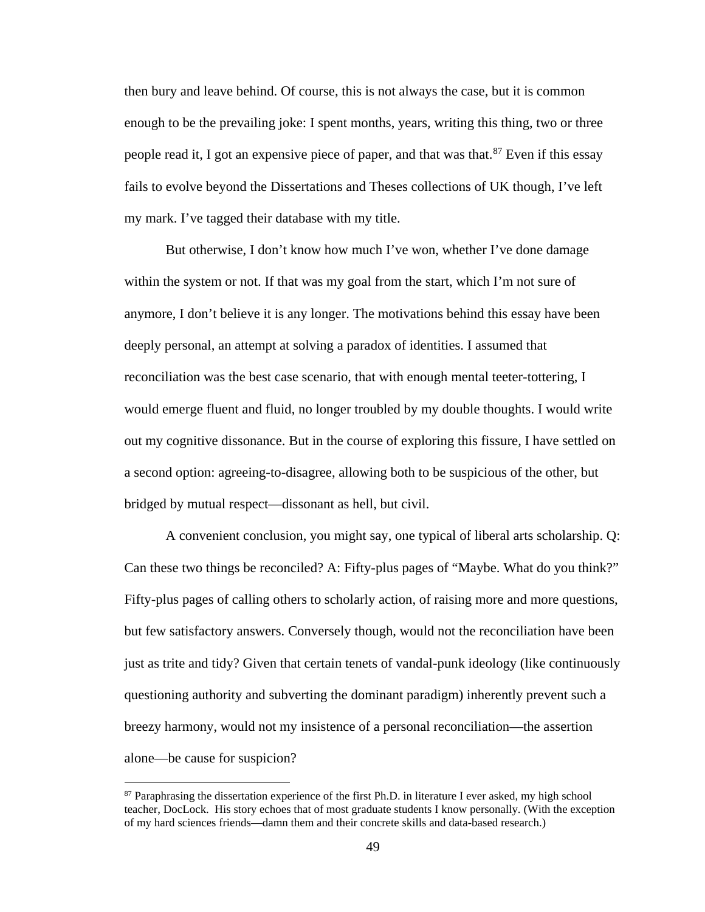then bury and leave behind. Of course, this is not always the case, but it is common enough to be the prevailing joke: I spent months, years, writing this thing, two or three people read it, I got an expensive piece of paper, and that was that.<sup>[87](#page-54-0)</sup> Even if this essay fails to evolve beyond the Dissertations and Theses collections of UK though, I've left my mark. I've tagged their database with my title.

But otherwise, I don't know how much I've won, whether I've done damage within the system or not. If that was my goal from the start, which I'm not sure of anymore, I don't believe it is any longer. The motivations behind this essay have been deeply personal, an attempt at solving a paradox of identities. I assumed that reconciliation was the best case scenario, that with enough mental teeter-tottering, I would emerge fluent and fluid, no longer troubled by my double thoughts. I would write out my cognitive dissonance. But in the course of exploring this fissure, I have settled on a second option: agreeing-to-disagree, allowing both to be suspicious of the other, but bridged by mutual respect—dissonant as hell, but civil.

A convenient conclusion, you might say, one typical of liberal arts scholarship. Q: Can these two things be reconciled? A: Fifty-plus pages of "Maybe. What do you think?" Fifty-plus pages of calling others to scholarly action, of raising more and more questions, but few satisfactory answers. Conversely though, would not the reconciliation have been just as trite and tidy? Given that certain tenets of vandal-punk ideology (like continuously questioning authority and subverting the dominant paradigm) inherently prevent such a breezy harmony, would not my insistence of a personal reconciliation—the assertion alone—be cause for suspicion?

<span id="page-54-0"></span><sup>&</sup>lt;sup>87</sup> Paraphrasing the dissertation experience of the first Ph.D. in literature I ever asked, my high school teacher, DocLock. His story echoes that of most graduate students I know personally. (With the exception of my hard sciences friends—damn them and their concrete skills and data-based research.)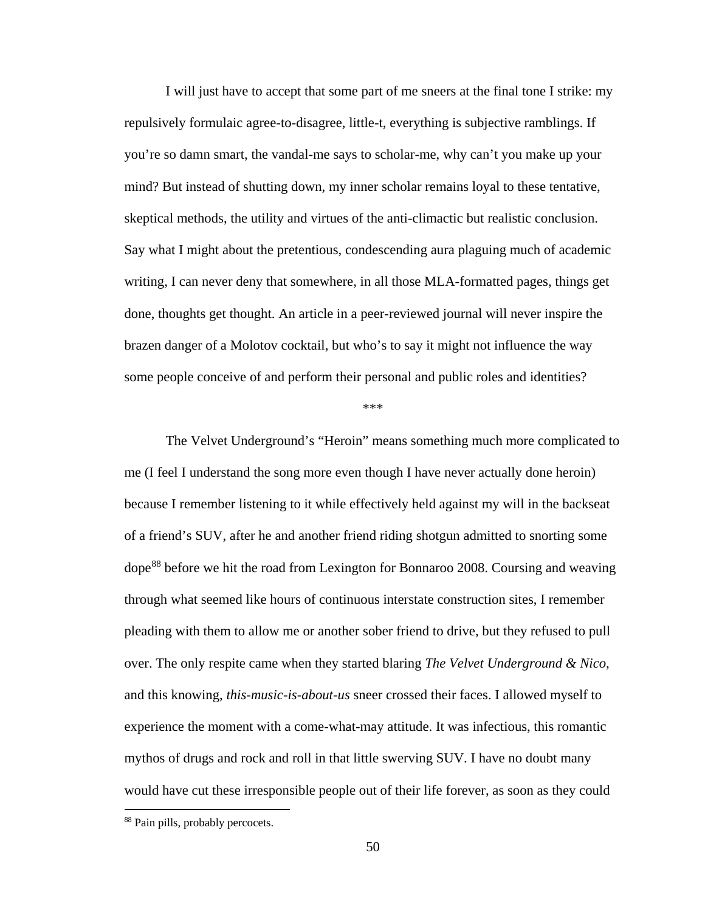I will just have to accept that some part of me sneers at the final tone I strike: my repulsively formulaic agree-to-disagree, little-t, everything is subjective ramblings. If you're so damn smart, the vandal-me says to scholar-me, why can't you make up your mind? But instead of shutting down, my inner scholar remains loyal to these tentative, skeptical methods, the utility and virtues of the anti-climactic but realistic conclusion. Say what I might about the pretentious, condescending aura plaguing much of academic writing, I can never deny that somewhere, in all those MLA-formatted pages, things get done, thoughts get thought. An article in a peer-reviewed journal will never inspire the brazen danger of a Molotov cocktail, but who's to say it might not influence the way some people conceive of and perform their personal and public roles and identities?

#### \*\*\*

The Velvet Underground's "Heroin" means something much more complicated to me (I feel I understand the song more even though I have never actually done heroin) because I remember listening to it while effectively held against my will in the backseat of a friend's SUV, after he and another friend riding shotgun admitted to snorting some dope[88](#page-55-0) before we hit the road from Lexington for Bonnaroo 2008. Coursing and weaving through what seemed like hours of continuous interstate construction sites, I remember pleading with them to allow me or another sober friend to drive, but they refused to pull over. The only respite came when they started blaring *The Velvet Underground & Nico*, and this knowing, *this-music-is-about-us* sneer crossed their faces. I allowed myself to experience the moment with a come-what-may attitude. It was infectious, this romantic mythos of drugs and rock and roll in that little swerving SUV. I have no doubt many would have cut these irresponsible people out of their life forever, as soon as they could

<span id="page-55-0"></span> <sup>88</sup> Pain pills, probably percocets.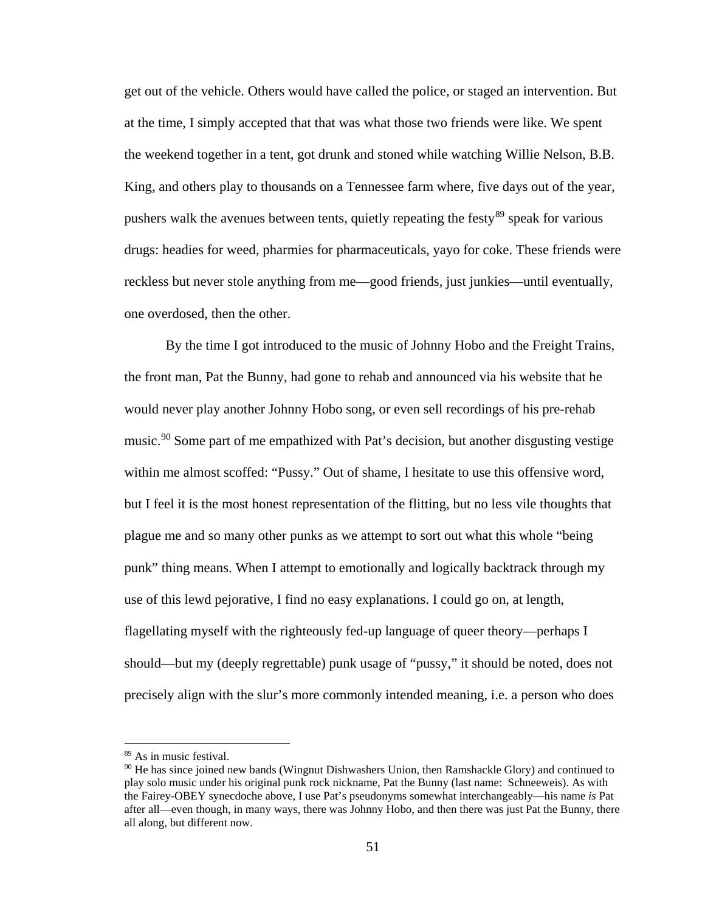get out of the vehicle. Others would have called the police, or staged an intervention. But at the time, I simply accepted that that was what those two friends were like. We spent the weekend together in a tent, got drunk and stoned while watching Willie Nelson, B.B. King, and others play to thousands on a Tennessee farm where, five days out of the year, pushers walk the avenues between tents, quietly repeating the festy<sup>[89](#page-56-0)</sup> speak for various drugs: headies for weed, pharmies for pharmaceuticals, yayo for coke. These friends were reckless but never stole anything from me—good friends, just junkies—until eventually, one overdosed, then the other.

By the time I got introduced to the music of Johnny Hobo and the Freight Trains, the front man, Pat the Bunny, had gone to rehab and announced via his website that he would never play another Johnny Hobo song, or even sell recordings of his pre-rehab music.<sup>[90](#page-56-1)</sup> Some part of me empathized with Pat's decision, but another disgusting vestige within me almost scoffed: "Pussy." Out of shame, I hesitate to use this offensive word, but I feel it is the most honest representation of the flitting, but no less vile thoughts that plague me and so many other punks as we attempt to sort out what this whole "being punk" thing means. When I attempt to emotionally and logically backtrack through my use of this lewd pejorative, I find no easy explanations. I could go on, at length, flagellating myself with the righteously fed-up language of queer theory—perhaps I should—but my (deeply regrettable) punk usage of "pussy," it should be noted, does not precisely align with the slur's more commonly intended meaning, i.e. a person who does

<span id="page-56-0"></span> <sup>89</sup> As in music festival.

<span id="page-56-1"></span><sup>&</sup>lt;sup>90</sup> He has since joined new bands (Wingnut Dishwashers Union, then Ramshackle Glory) and continued to play solo music under his original punk rock nickname, Pat the Bunny (last name: Schneeweis). As with the Fairey-OBEY synecdoche above, I use Pat's pseudonyms somewhat interchangeably—his name *is* Pat after all—even though, in many ways, there was Johnny Hobo, and then there was just Pat the Bunny, there all along, but different now.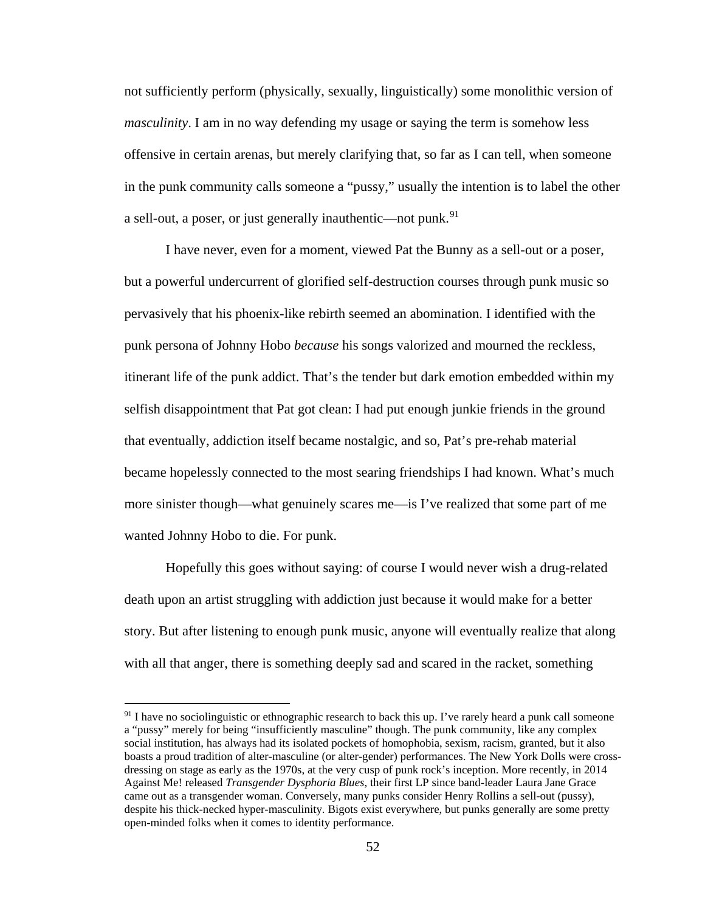not sufficiently perform (physically, sexually, linguistically) some monolithic version of *masculinity*. I am in no way defending my usage or saying the term is somehow less offensive in certain arenas, but merely clarifying that, so far as I can tell, when someone in the punk community calls someone a "pussy," usually the intention is to label the other a sell-out, a poser, or just generally inauthentic—not punk.<sup>[91](#page-57-0)</sup>

I have never, even for a moment, viewed Pat the Bunny as a sell-out or a poser, but a powerful undercurrent of glorified self-destruction courses through punk music so pervasively that his phoenix-like rebirth seemed an abomination. I identified with the punk persona of Johnny Hobo *because* his songs valorized and mourned the reckless, itinerant life of the punk addict. That's the tender but dark emotion embedded within my selfish disappointment that Pat got clean: I had put enough junkie friends in the ground that eventually, addiction itself became nostalgic, and so, Pat's pre-rehab material became hopelessly connected to the most searing friendships I had known. What's much more sinister though—what genuinely scares me—is I've realized that some part of me wanted Johnny Hobo to die. For punk.

Hopefully this goes without saying: of course I would never wish a drug-related death upon an artist struggling with addiction just because it would make for a better story. But after listening to enough punk music, anyone will eventually realize that along with all that anger, there is something deeply sad and scared in the racket, something

<span id="page-57-0"></span><sup>&</sup>lt;sup>91</sup> I have no sociolinguistic or ethnographic research to back this up. I've rarely heard a punk call someone a "pussy" merely for being "insufficiently masculine" though. The punk community, like any complex social institution, has always had its isolated pockets of homophobia, sexism, racism, granted, but it also boasts a proud tradition of alter-masculine (or alter-gender) performances. The New York Dolls were crossdressing on stage as early as the 1970s, at the very cusp of punk rock's inception. More recently, in 2014 Against Me! released *Transgender Dysphoria Blues*, their first LP since band-leader Laura Jane Grace came out as a transgender woman. Conversely, many punks consider Henry Rollins a sell-out (pussy), despite his thick-necked hyper-masculinity. Bigots exist everywhere, but punks generally are some pretty open-minded folks when it comes to identity performance.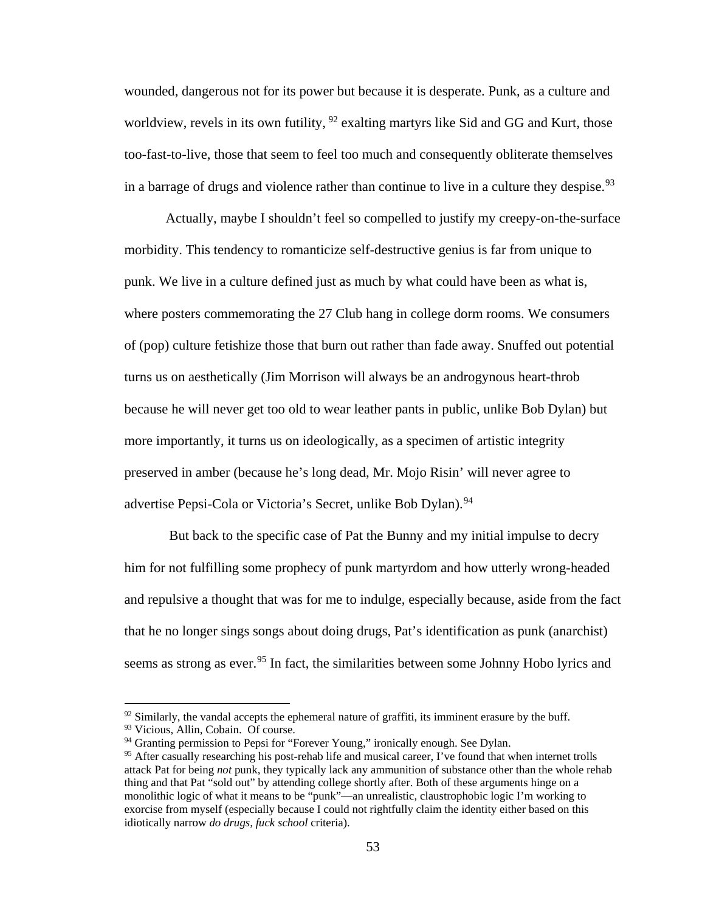wounded, dangerous not for its power but because it is desperate. Punk, as a culture and worldview, revels in its own futility,  $92$  exalting martyrs like Sid and GG and Kurt, those too-fast-to-live, those that seem to feel too much and consequently obliterate themselves in a barrage of drugs and violence rather than continue to live in a culture they despise.  $93$ 

Actually, maybe I shouldn't feel so compelled to justify my creepy-on-the-surface morbidity. This tendency to romanticize self-destructive genius is far from unique to punk. We live in a culture defined just as much by what could have been as what is, where posters commemorating the 27 Club hang in college dorm rooms. We consumers of (pop) culture fetishize those that burn out rather than fade away. Snuffed out potential turns us on aesthetically (Jim Morrison will always be an androgynous heart-throb because he will never get too old to wear leather pants in public, unlike Bob Dylan) but more importantly, it turns us on ideologically, as a specimen of artistic integrity preserved in amber (because he's long dead, Mr. Mojo Risin' will never agree to advertise Pepsi-Cola or Victoria's Secret, unlike Bob Dylan).<sup>[94](#page-58-2)</sup>

But back to the specific case of Pat the Bunny and my initial impulse to decry him for not fulfilling some prophecy of punk martyrdom and how utterly wrong-headed and repulsive a thought that was for me to indulge, especially because, aside from the fact that he no longer sings songs about doing drugs, Pat's identification as punk (anarchist) seems as strong as ever.<sup>[95](#page-58-3)</sup> In fact, the similarities between some Johnny Hobo lyrics and

<span id="page-58-0"></span> $92$  Similarly, the vandal accepts the ephemeral nature of graffiti, its imminent erasure by the buff.

<span id="page-58-1"></span><sup>93</sup> Vicious, Allin, Cobain. Of course.

<span id="page-58-2"></span><sup>&</sup>lt;sup>94</sup> Granting permission to Pepsi for "Forever Young," ironically enough. See Dylan.

<span id="page-58-3"></span><sup>&</sup>lt;sup>95</sup> After casually researching his post-rehab life and musical career, I've found that when internet trolls attack Pat for being *not* punk, they typically lack any ammunition of substance other than the whole rehab thing and that Pat "sold out" by attending college shortly after. Both of these arguments hinge on a monolithic logic of what it means to be "punk"—an unrealistic, claustrophobic logic I'm working to exorcise from myself (especially because I could not rightfully claim the identity either based on this idiotically narrow *do drugs, fuck school* criteria).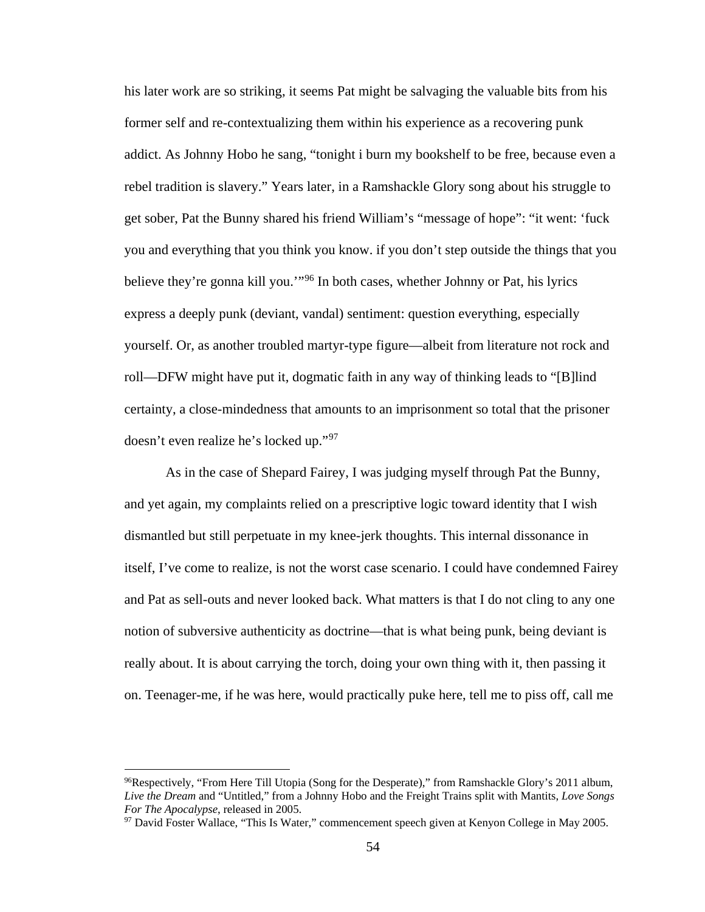his later work are so striking, it seems Pat might be salvaging the valuable bits from his former self and re-contextualizing them within his experience as a recovering punk addict. As Johnny Hobo he sang, "tonight i burn my bookshelf to be free, because even a rebel tradition is slavery." Years later, in a Ramshackle Glory song about his struggle to get sober, Pat the Bunny shared his friend William's "message of hope": "it went: 'fuck you and everything that you think you know. if you don't step outside the things that you believe they're gonna kill you.'"[96](#page-59-0) In both cases, whether Johnny or Pat, his lyrics express a deeply punk (deviant, vandal) sentiment: question everything, especially yourself. Or, as another troubled martyr-type figure—albeit from literature not rock and roll—DFW might have put it, dogmatic faith in any way of thinking leads to "[B]lind certainty, a close-mindedness that amounts to an imprisonment so total that the prisoner doesn't even realize he's locked up."[97](#page-59-1)

As in the case of Shepard Fairey, I was judging myself through Pat the Bunny, and yet again, my complaints relied on a prescriptive logic toward identity that I wish dismantled but still perpetuate in my knee-jerk thoughts. This internal dissonance in itself, I've come to realize, is not the worst case scenario. I could have condemned Fairey and Pat as sell-outs and never looked back. What matters is that I do not cling to any one notion of subversive authenticity as doctrine—that is what being punk, being deviant is really about. It is about carrying the torch, doing your own thing with it, then passing it on. Teenager-me, if he was here, would practically puke here, tell me to piss off, call me

<span id="page-59-0"></span> <sup>96</sup>Respectively, "From Here Till Utopia (Song for the Desperate)," from Ramshackle Glory's 2011 album, *Live the Dream* and "Untitled," from a Johnny Hobo and the Freight Trains split with Mantits, *Love Songs For The Apocalypse*, released in 2005.

<span id="page-59-1"></span><sup>&</sup>lt;sup>97</sup> David Foster Wallace, "This Is Water," commencement speech given at Kenyon College in May 2005.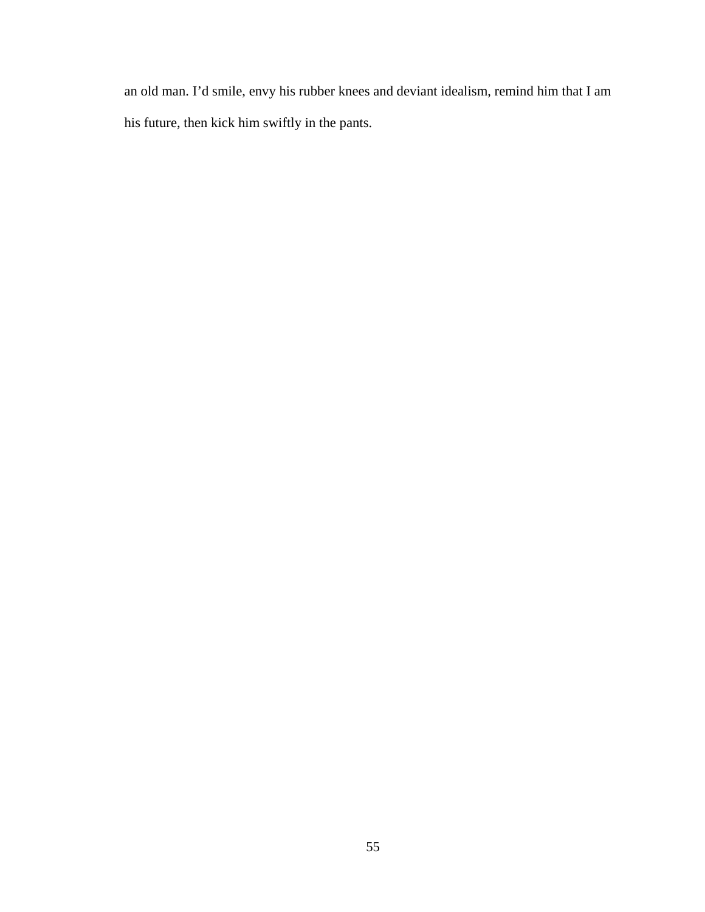an old man. I'd smile, envy his rubber knees and deviant idealism, remind him that I am his future, then kick him swiftly in the pants.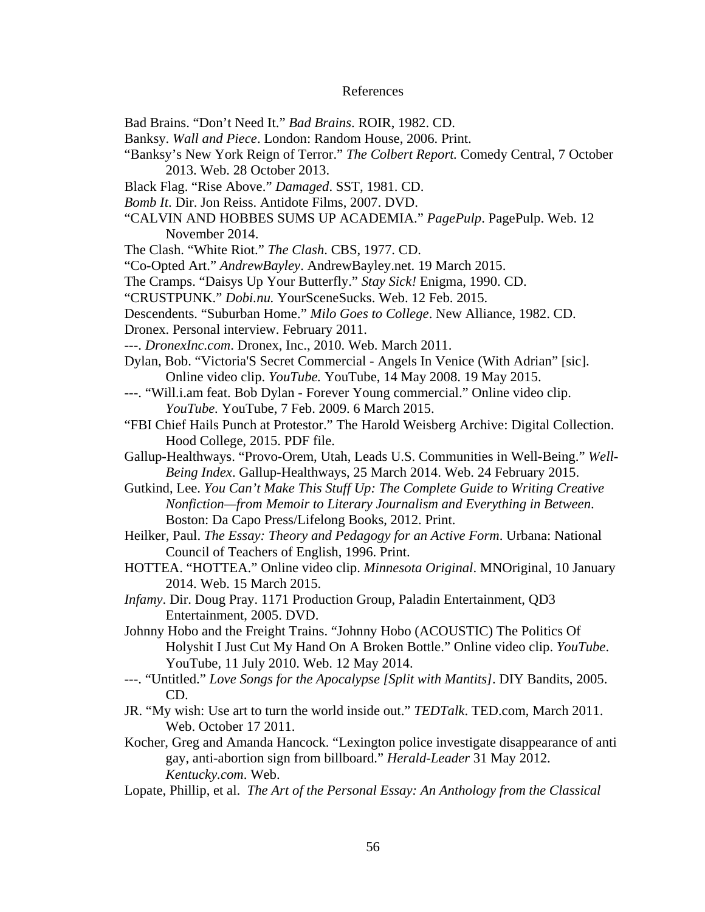#### References

- Bad Brains. "Don't Need It." *Bad Brains*. ROIR, 1982. CD.
- Banksy. *Wall and Piece*. London: Random House, 2006. Print.
- "Banksy's New York Reign of Terror." *The Colbert Report.* Comedy Central, 7 October 2013. Web. 28 October 2013.
- Black Flag. "Rise Above." *Damaged*. SST, 1981. CD.
- *Bomb It*. Dir. Jon Reiss. Antidote Films, 2007. DVD.
- "CALVIN AND HOBBES SUMS UP ACADEMIA." *PagePulp*. PagePulp. Web. 12 November 2014.
- The Clash. "White Riot." *The Clash*. CBS, 1977. CD.
- "Co-Opted Art." *AndrewBayley*. AndrewBayley.net. 19 March 2015.
- The Cramps. "Daisys Up Your Butterfly." *Stay Sick!* Enigma, 1990. CD.
- "CRUSTPUNK." *Dobi.nu.* YourSceneSucks. Web. 12 Feb. 2015.
- Descendents. "Suburban Home." *Milo Goes to College*. New Alliance, 1982. CD.
- Dronex. Personal interview. February 2011.
- ---. *DronexInc.com*. Dronex, Inc., 2010. Web. March 2011.
- Dylan, Bob. "Victoria'S Secret Commercial Angels In Venice (With Adrian" [sic]. Online video clip. *YouTube.* YouTube, 14 May 2008. 19 May 2015.
- ---. "Will.i.am feat. Bob Dylan Forever Young commercial." Online video clip. *YouTube.* YouTube, 7 Feb. 2009. 6 March 2015.
- "FBI Chief Hails Punch at Protestor." The Harold Weisberg Archive: Digital Collection. Hood College, 2015. PDF file.
- Gallup-Healthways. "Provo-Orem, Utah, Leads U.S. Communities in Well-Being." *Well-Being Index*. Gallup-Healthways, 25 March 2014. Web. 24 February 2015.
- Gutkind, Lee. *You Can't Make This Stuff Up: The Complete Guide to Writing Creative Nonfiction—from Memoir to Literary Journalism and Everything in Between*. Boston: Da Capo Press/Lifelong Books, 2012. Print.
- Heilker, Paul. *The Essay: Theory and Pedagogy for an Active Form*. Urbana: National Council of Teachers of English, 1996. Print.
- HOTTEA. "HOTTEA." Online video clip. *Minnesota Original*. MNOriginal, 10 January 2014. Web. 15 March 2015.
- *Infamy*. Dir. Doug Pray. 1171 Production Group, Paladin Entertainment, QD3 Entertainment, 2005. DVD.
- Johnny Hobo and the Freight Trains. "Johnny Hobo (ACOUSTIC) The Politics Of Holyshit I Just Cut My Hand On A Broken Bottle." Online video clip. *YouTube*. YouTube, 11 July 2010. Web. 12 May 2014.
- ---. "Untitled." *Love Songs for the Apocalypse [Split with Mantits]*. DIY Bandits, 2005. CD.
- JR. "My wish: Use art to turn the world inside out." *TEDTalk*. TED.com, March 2011. Web. October 17 2011.
- Kocher, Greg and Amanda Hancock. "Lexington police investigate disappearance of anti gay, anti-abortion sign from billboard." *Herald-Leader* 31 May 2012. *Kentucky.com*. Web.
- Lopate, Phillip, et al. *The Art of the Personal Essay: An Anthology from the Classical*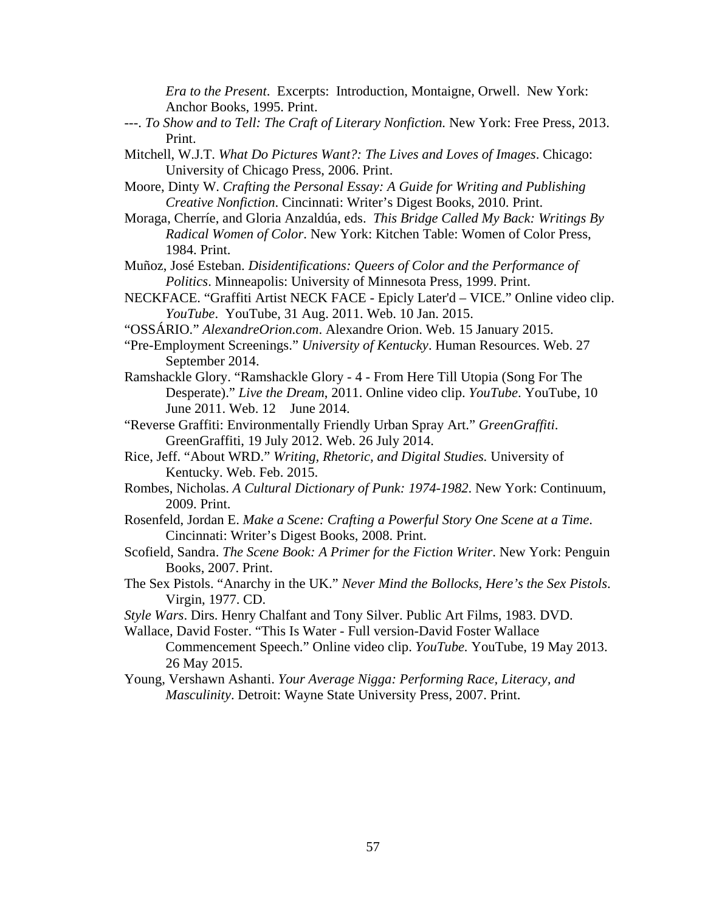*Era to the Present*. Excerpts: Introduction, Montaigne, Orwell. New York: Anchor Books, 1995. Print.

- ---. *To Show and to Tell: The Craft of Literary Nonfiction.* New York: Free Press, 2013. Print.
- Mitchell, W.J.T. *What Do Pictures Want?: The Lives and Loves of Images*. Chicago: University of Chicago Press, 2006. Print.
- Moore, Dinty W. *Crafting the Personal Essay: A Guide for Writing and Publishing Creative Nonfiction*. Cincinnati: Writer's Digest Books, 2010. Print.
- Moraga, Cherríe, and Gloria Anzaldúa, eds. *This Bridge Called My Back: Writings By Radical Women of Color*. New York: Kitchen Table: Women of Color Press, 1984. Print.
- Muñoz, José Esteban. *Disidentifications: Queers of Color and the Performance of Politics*. Minneapolis: University of Minnesota Press, 1999. Print.
- NECKFACE. "Graffiti Artist NECK FACE Epicly Later'd VICE." Online video clip. *YouTube*. YouTube, 31 Aug. 2011. Web. 10 Jan. 2015.
- "OSSÁRIO." *AlexandreOrion.com*. Alexandre Orion. Web. 15 January 2015.
- "Pre-Employment Screenings." *University of Kentucky*. Human Resources. Web. 27 September 2014.
- Ramshackle Glory. "Ramshackle Glory 4 From Here Till Utopia (Song For The Desperate)." *Live the Dream*, 2011. Online video clip. *YouTube*. YouTube, 10 June 2011. Web. 12 June 2014.
- "Reverse Graffiti: Environmentally Friendly Urban Spray Art." *GreenGraffiti*. GreenGraffiti, 19 July 2012. Web. 26 July 2014.
- Rice, Jeff. "About WRD." *Writing, Rhetoric, and Digital Studies.* University of Kentucky. Web. Feb. 2015.
- Rombes, Nicholas. *A Cultural Dictionary of Punk: 1974-1982*. New York: Continuum, 2009. Print.
- Rosenfeld, Jordan E. *Make a Scene: Crafting a Powerful Story One Scene at a Time*. Cincinnati: Writer's Digest Books, 2008. Print.
- Scofield, Sandra. *The Scene Book: A Primer for the Fiction Writer*. New York: Penguin Books, 2007. Print.
- The Sex Pistols. "Anarchy in the UK." *Never Mind the Bollocks, Here's the Sex Pistols*. Virgin, 1977. CD.
- *Style Wars*. Dirs. Henry Chalfant and Tony Silver. Public Art Films, 1983. DVD.
- Wallace, David Foster. "This Is Water Full version-David Foster Wallace Commencement Speech." Online video clip. *YouTube.* YouTube, 19 May 2013. 26 May 2015.
- Young, Vershawn Ashanti. *Your Average Nigga: Performing Race, Literacy, and Masculinity*. Detroit: Wayne State University Press, 2007. Print.